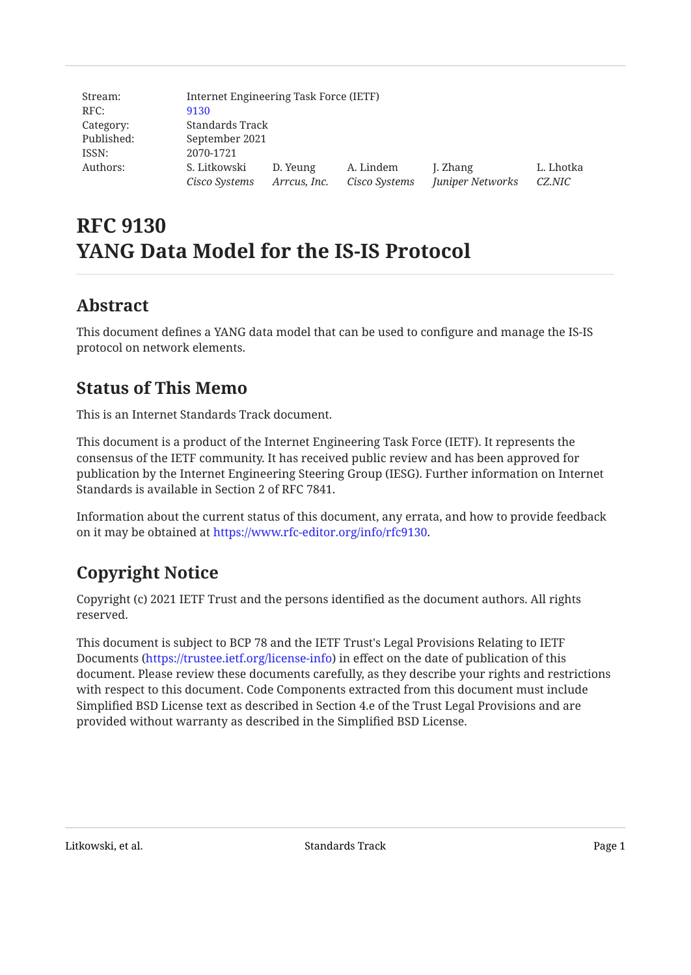| Stream:    | Internet Engineering Task Force (IETF) |              |               |                  |           |
|------------|----------------------------------------|--------------|---------------|------------------|-----------|
| RFC:       | 9130                                   |              |               |                  |           |
| Category:  | Standards Track                        |              |               |                  |           |
| Published: | September 2021                         |              |               |                  |           |
| ISSN:      | 2070-1721                              |              |               |                  |           |
| Authors:   | S. Litkowski                           | D. Yeung     | A. Lindem     | J. Zhang         | L. Lhotka |
|            | Cisco Systems                          | Arreus, Inc. | Cisco Systems | Juniper Networks | CZ.NIC    |

# **RFC 9130 YANG Data Model for the IS-IS Protocol**

# <span id="page-0-0"></span>**[Abstract](#page-0-0)**

<span id="page-0-1"></span>This document defines a YANG data model that can be used to configure and manage the IS-IS protocol on network elements.

# **[Status of This Memo](#page-0-1)**

This is an Internet Standards Track document.

This document is a product of the Internet Engineering Task Force (IETF). It represents the consensus of the IETF community. It has received public review and has been approved for publication by the Internet Engineering Steering Group (IESG). Further information on Internet Standards is available in Section 2 of RFC 7841.

<span id="page-0-2"></span>Information about the current status of this document, any errata, and how to provide feedback on it may be obtained at <https://www.rfc-editor.org/info/rfc9130>.

# **[Copyright Notice](#page-0-2)**

Copyright (c) 2021 IETF Trust and the persons identified as the document authors. All rights reserved.

This document is subject to BCP 78 and the IETF Trust's Legal Provisions Relating to IETF Documents (<https://trustee.ietf.org/license-info>) in effect on the date of publication of this document. Please review these documents carefully, as they describe your rights and restrictions with respect to this document. Code Components extracted from this document must include Simplified BSD License text as described in Section 4.e of the Trust Legal Provisions and are provided without warranty as described in the Simplified BSD License.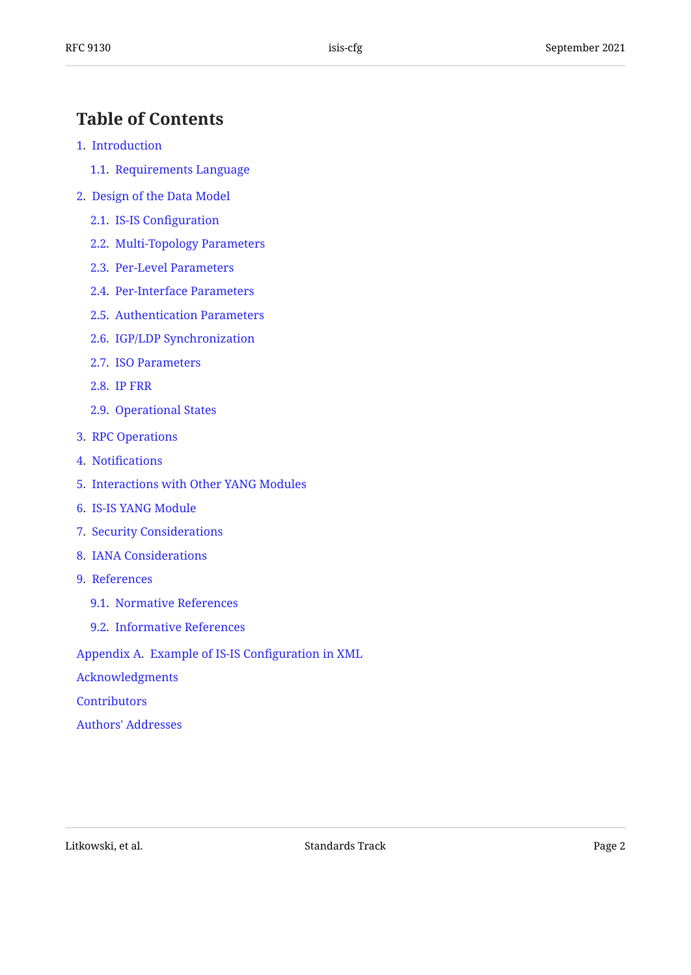# <span id="page-1-0"></span>**[Table of Contents](#page-1-0)**

- [1.](#page-2-0) [Introduction](#page-2-0)
	- [1.1.](#page-2-1) [Requirements Language](#page-2-1)
- [2.](#page-2-2) [Design of the Data Model](#page-2-2)
	- [2.1.](#page-9-0) [IS-IS Con](#page-9-0)figuration
	- [2.2.](#page-9-1) [Multi-Topology Parameters](#page-9-1)
	- [2.3.](#page-9-2) [Per-Level Parameters](#page-9-2)
	- [2.4.](#page-11-0) [Per-Interface Parameters](#page-11-0)
	- [2.5.](#page-19-0) [Authentication Parameters](#page-19-0)
	- [2.6.](#page-19-1) [IGP/LDP Synchronization](#page-19-1)
	- [2.7.](#page-19-2) [ISO Parameters](#page-19-2)
	- [2.8.](#page-19-3) [IP FRR](#page-19-3)
	- [2.9.](#page-19-4) [Operational States](#page-19-4)
- [3.](#page-20-0) [RPC Operations](#page-20-0)
- [4.](#page-20-1) Notifi[cations](#page-20-1)
- [5.](#page-22-0) [Interactions with Other YANG Modules](#page-22-0)
- [6.](#page-23-0) [IS-IS YANG Module](#page-23-0)
- [7.](#page-101-0) [Security Considerations](#page-101-0)
- [8.](#page-103-0) [IANA Considerations](#page-103-0)
- [9.](#page-103-1) [References](#page-103-1)
	- [9.1.](#page-103-2) [Normative References](#page-103-2)
	- [9.2.](#page-106-0) [Informative References](#page-106-0)

[Appendix A.](#page-108-0) [Example of IS-IS Con](#page-108-0)figuration in XML

[Acknowledgments](#page-110-0)

- **[Contributors](#page-111-0)**
- [Authors' Addresses](#page-111-1)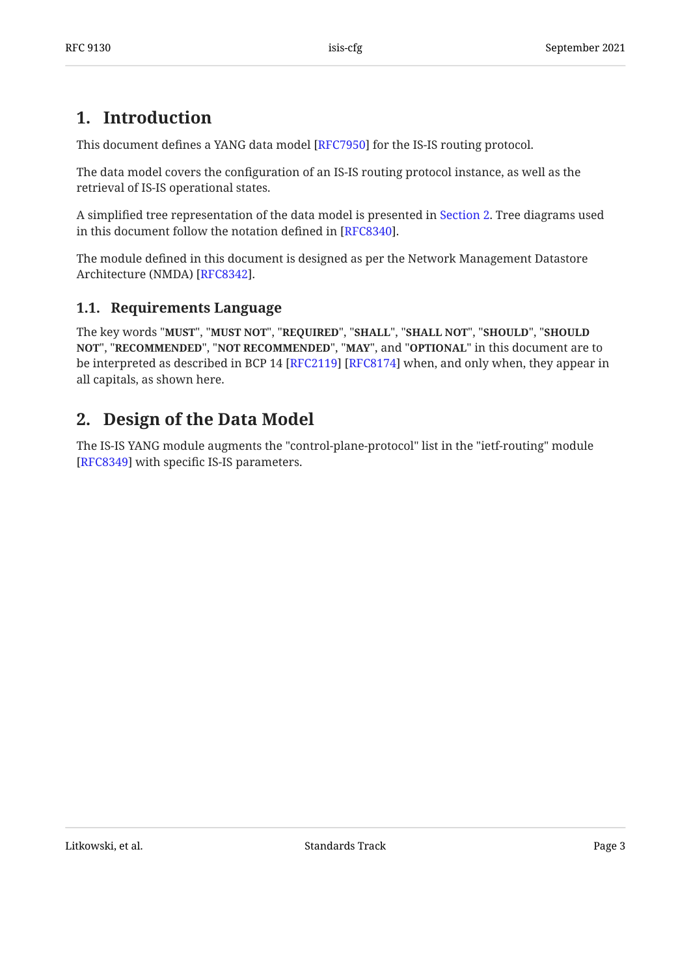# <span id="page-2-0"></span>**[1. Introduction](#page-2-0)**

This document defines a YANG data model [RFC7950] for the IS-IS routing protocol.

The data model covers the configuration of an IS-IS routing protocol instance, as well as the retrieval of IS-IS operational states.

A simplified tree representation of the data model is presented in [Section 2.](#page-2-2) Tree diagrams used in this document follow the notation defined in [RFC8340].

The module defined in this document is designed as per the Network Management Datastore Architecture (NMDA) [RFC8342].

## <span id="page-2-1"></span>**[1.1. Requirements Language](#page-2-1)**

The key words "MUST", "MUST NOT", "REQUIRED", "SHALL", "SHALL NOT", "SHOULD", "SHOULD <code>NOT",</code> "<code>RECOMMENDED", "NOT RECOMMENDED", "MAY", and "OPTIONAL" in this document are to</code> be interpreted as described in BCP 14 [RFC2119] [RFC8174] when, and only when, they appear in all capitals, as shown here.

# <span id="page-2-2"></span>**[2. Design of the Data Model](#page-2-2)**

The IS-IS YANG module augments the "control-plane-protocol" list in the "ietf-routing" module [[RFC8349\]](#page-106-3) with specific IS-IS parameters.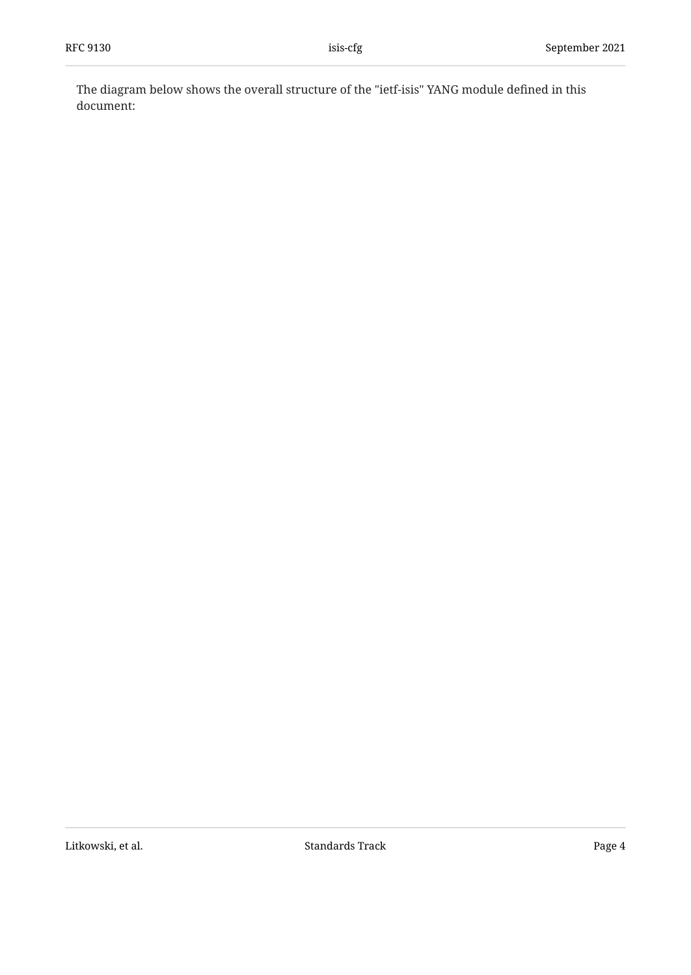The diagram below shows the overall structure of the "ietf-isis" YANG module defined in this document: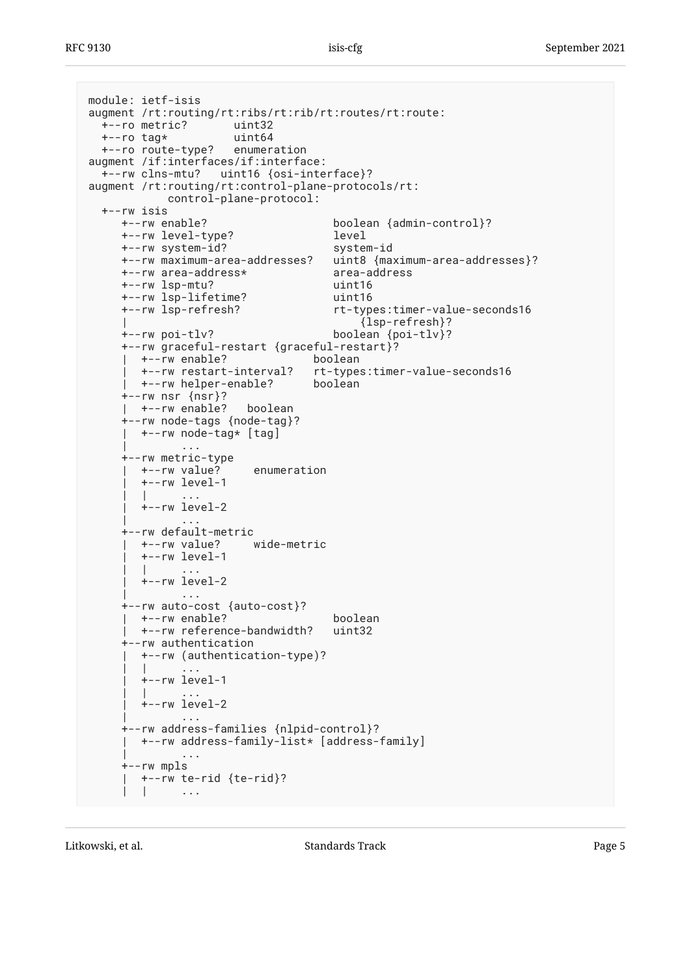```
module: ietf-isis
augment /rt:routing/rt:ribs/rt:rib/rt:routes/rt:route:<br>+--ro metric? uint32
  +--ro metric?
   +--ro tag* uint64
   +--ro route-type? enumeration
augment /if:interfaces/if:interface:
   +--rw clns-mtu? uint16 {osi-interface}?
augment /rt:routing/rt:control-plane-protocols/rt:
               control-plane-protocol:
   +--rw isis
       +--rw enable? boolean {admin-control}?
       +--rw level-type? level
      +--rw system-id?
       +--rw maximum-area-addresses? uint8 {maximum-area-addresses}?
       +--rw area-address* area-address
       +--rw lsp-mtu? uint16
       +--rw lsp-lifetime? uint16
                                             rt-types: timer-value-seconds16
                                                   | {lsp-refresh}?
       +--rw poi-tlv? boolean {poi-tlv}?
       +--rw graceful-restart {graceful-restart}?
        | +--rw enable? boolean
                                          rt-types:timer-value-seconds16
         | +--rw helper-enable? boolean
       +--rw nsr {nsr}?
       | +--rw enable? boolean
       +--rw node-tags {node-tag}?
       | +--rw node-tag* [tag]
 | ...
       +--rw metric-type
        | +--rw value? enumeration
          | +--rw level-1
| | .... | ... | ... | ... | ... | ... | ... | ... | ... | ... | ... | ... | ... | ... | ... | ... | ... | ...
         +--rw level-2
 | ...
       +--rw default-metric
         | +--rw value? wide-metric
          | +--rw level-1
| | .... | ... | ... | ... | ... | ... | ... | ... | ... | ... | ... | ... | ... | ... | ... | ... | ... | ...
          | +--rw level-2
 | ...
       +--rw auto-cost {auto-cost}?
         | +--rw enable? boolean
         +--rw reference-bandwidth?
       +--rw authentication
          | +--rw (authentication-type)?
| | .... | ... | ... | ... | ... | ... | ... | ... | ... | ... | ... | ... | ... | ... | ... | ... | ... | ...
          | +--rw level-1
| | .... | ... | ... | ... | ... | ... | ... | ... | ... | ... | ... | ... | ... | ... | ... | ... | ... | ...
          | +--rw level-2
 | ...
       +--rw address-families {nlpid-control}?
         | +--rw address-family-list* [address-family]
 | ...
       +--rw mpls
       | +--rw te-rid {te-rid}?
| | .... | ... | ... | ... | ... | ... | ... | ... | ... | ... | ... | ... | ... | ... | ... | ... | ... | ...
```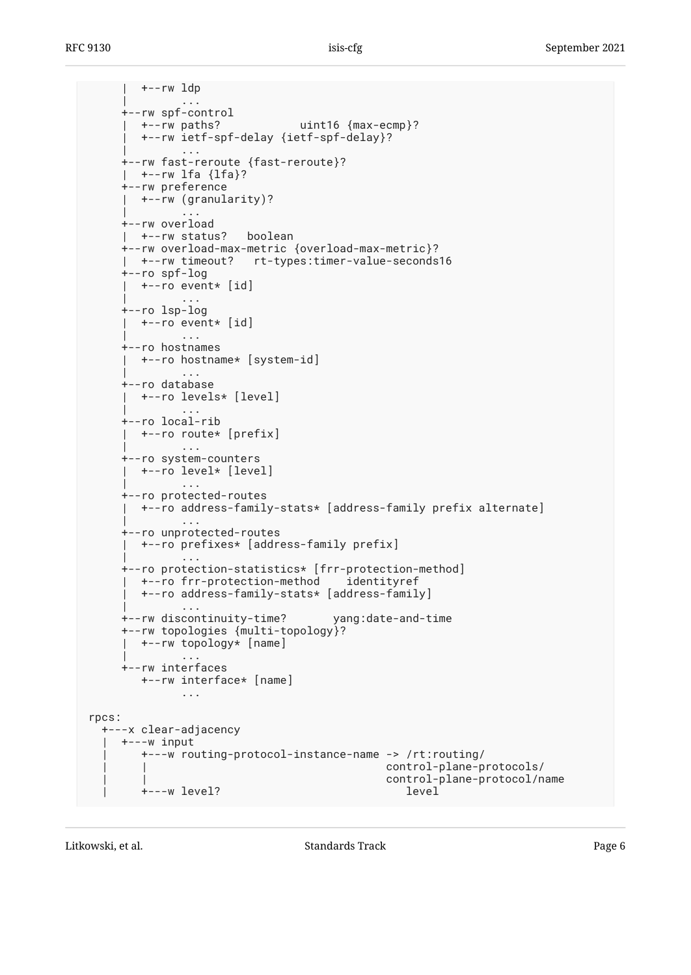| +--rw ldp | ... +--rw spf-control | +--rw paths? uint16 {max-ecmp}? | +--rw ietf-spf-delay {ietf-spf-delay}? | ... +--rw fast-reroute {fast-reroute}? | +--rw lfa {lfa}? +--rw preference | +--rw (granularity)? | ... +--rw overload | +--rw status? boolean +--rw overload-max-metric {overload-max-metric}? | +--rw timeout? rt-types:timer-value-seconds16 +--ro spf-log | +--ro event\* [id] | ... +--ro lsp-log | +--ro event\* [id] | ... +--ro hostnames | +--ro hostname\* [system-id] | ... +--ro database | +--ro levels\* [level] | ... +--ro local-rib | +--ro route\* [prefix] | ... +--ro system-counters | +--ro level\* [level] | ... +--ro protected-routes | +--ro address-family-stats\* [address-family prefix alternate] | ... +--ro unprotected-routes | +--ro prefixes\* [address-family prefix] | ... +--ro protection-statistics\* [frr-protection-method] | +--ro frr-protection-method identityref | +--ro address-family-stats\* [address-family] | ... +--rw discontinuity-time? yang:date-and-time +--rw topologies {multi-topology}? | +--rw topology\* [name] | ... +--rw interfaces +--rw interface\* [name] ... rpcs: +---x clear-adjacency | +---w input | +---w routing-protocol-instance-name -> /rt:routing/ | | control-plane-protocols/ control-plane-protocol/name | +---w level? level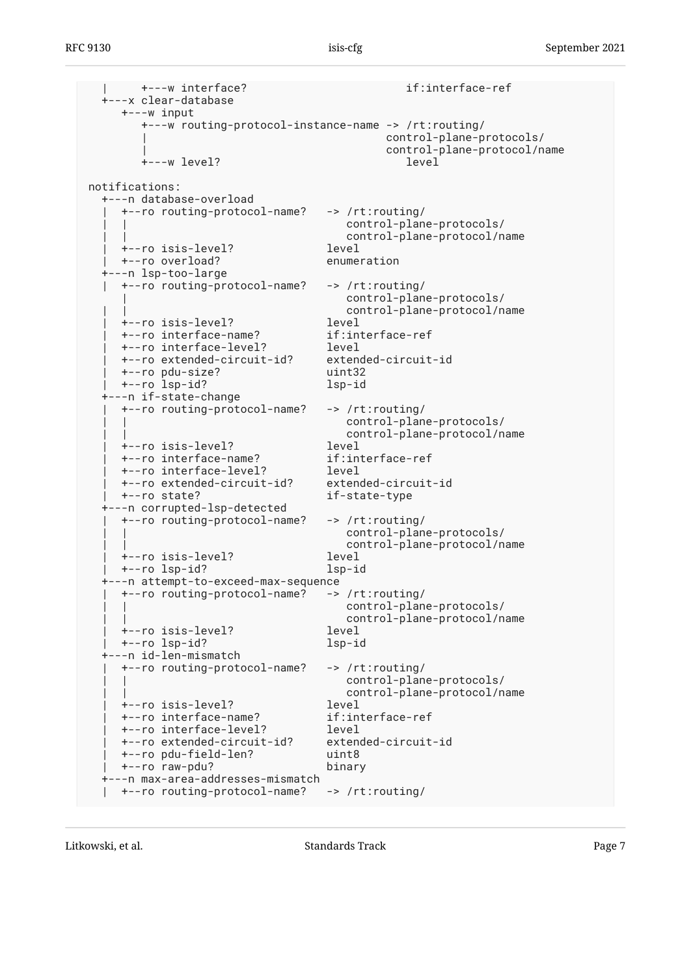| +---w interface? if:interface-ref +---x clear-database +---w input +---w routing-protocol-instance-name -> /rt:routing/ | control-plane-protocols/ | control-plane-protocol/name +---w level? level notifications: +---n database-overload | +--ro routing-protocol-name? -> /rt:routing/ | | control-plane-protocols/ control-plane-protocol/name | +--ro isis-level? level | +--ro overload? enumeration +---n lsp-too-large | +--ro routing-protocol-name? -> /rt:routing/ | control-plane-protocols/ control-plane-protocol/name<br>level | +--ro isis-level? level +--ro interface-name? | +--ro interface-level? level | +--ro extended-circuit-id? extended-circuit-id | +--ro pdu-size? uint32 | +--ro lsp-id? lsp-id +---n if-state-change | +--ro routing-protocol-name? -> /rt:routing/ | | control-plane-protocols/ | | control-plane-protocol/name | +--ro isis-level? level +--ro interface-name? | +--ro interface-level? level | +--ro extended-circuit-id? extended-circuit-id | +--ro state? if-state-type +---n corrupted-lsp-detected | +--ro routing-protocol-name? -> /rt:routing/ | | control-plane-protocols/ | | control-plane-protocol/name | +--ro isis-level? level | +--ro lsp-id? lsp-id +---n attempt-to-exceed-max-sequence | +--ro routing-protocol-name? -> /rt:routing/ control-plane-protocols/ | | control-plane-protocol/name | +--ro isis-level? level | +--ro lsp-id? lsp-id +---n id-len-mismatch | +--ro routing-protocol-name? -> /rt:routing/ control-plane-protocols/ control-plane-protocol/name<br>level | +--ro isis-level? level | +--ro interface-name? if:interface-ref | +--ro interface-level? level | +--ro extended-circuit-id? extended-circuit-id | +--ro pdu-field-len? uint8 | +--ro raw-pdu? binary +---n max-area-addresses-mismatch | +--ro routing-protocol-name? -> /rt:routing/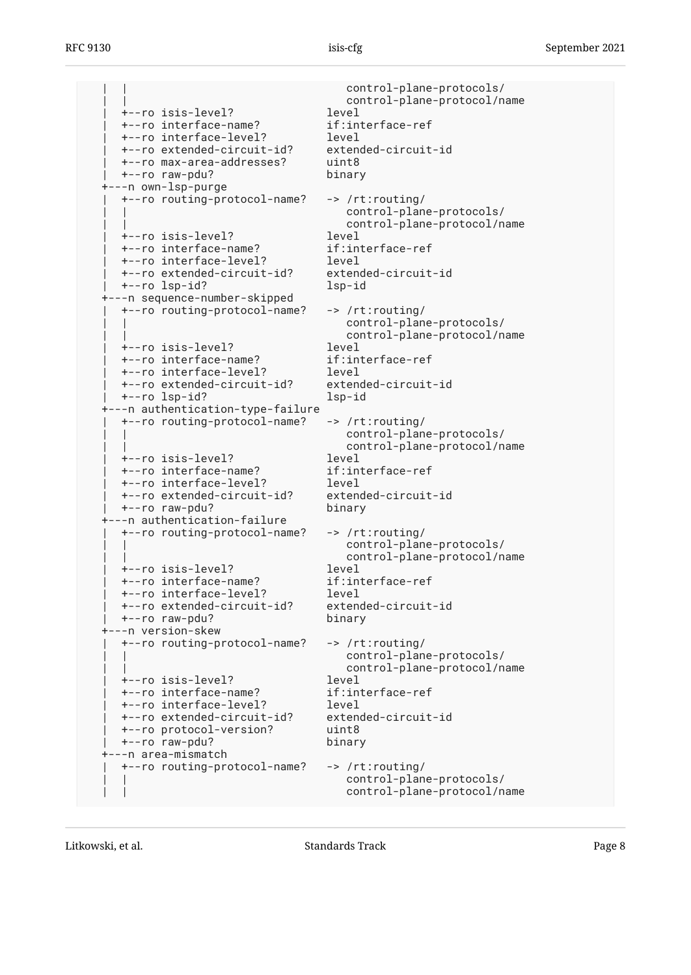control-plane-protocols/ control-plane-protocol/name | +--ro isis-level? level | +--ro interface-name? if:interface-ref | +--ro interface-level? level | +--ro extended-circuit-id? extended-circuit-id | +--ro max-area-addresses? uint8 | +--ro raw-pdu? binary +---n own-lsp-purge | +--ro routing-protocol-name? -> /rt:routing/ control-plane-protocols/ control-plane-protocol/name | +--ro isis-level? level | +--ro interface-name? if:interface-ref | +--ro interface-level? level | +--ro extended-circuit-id? extended-circuit-id | +--ro lsp-id? lsp-id +---n sequence-number-skipped | +--ro routing-protocol-name? -> /rt:routing/ control-plane-protocols/ control-plane-protocol/name | +--ro isis-level? level | +--ro interface-name? if:interface-ref | +--ro interface-level? level +--ro extended-circuit-id? | +--ro lsp-id? lsp-id +---n authentication-type-failure | +--ro routing-protocol-name? -> /rt:routing/ control-plane-protocols/ | | control-plane-protocol/name | +--ro isis-level? level | +--ro interface-name? if:interface-ref | +--ro interface-level? level | +--ro extended-circuit-id? extended-circuit-id | +--ro raw-pdu? binary +---n authentication-failure | +--ro routing-protocol-name? -> /rt:routing/ control-plane-protocols/ | | control-plane-protocol/name | +--ro isis-level? level +--ro interface-name? | +--ro interface-level? level | +--ro extended-circuit-id? extended-circuit-id | +--ro raw-pdu? binary +---n version-skew | +--ro routing-protocol-name? -> /rt:routing/ control-plane-protocols/ | | control-plane-protocol/name | +--ro isis-level? level +--ro interface-name? | +--ro interface-level? level | +--ro extended-circuit-id? extended-circuit-id | +--ro protocol-version? uint8 +--ro raw-pdu? +---n area-mismatch | +--ro routing-protocol-name? -> /rt:routing/ control-plane-protocols/ control-plane-protocol/name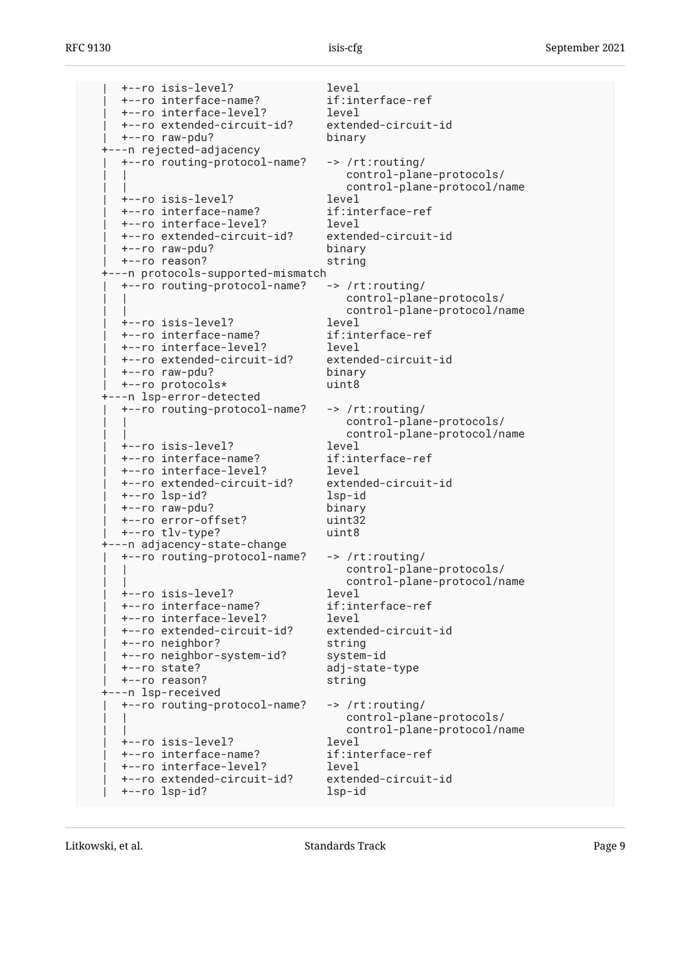| +--ro isis-level? level | +--ro interface-name? if:interface-ref | +--ro interface-level? level | +--ro extended-circuit-id? extended-circuit-id | +--ro raw-pdu? binary +---n rejected-adjacency | +--ro routing-protocol-name? -> /rt:routing/ | | control-plane-protocols/ | | control-plane-protocol/name +--ro isis-level? | +--ro interface-name? if:interface-ref | +--ro interface-level? level | +--ro extended-circuit-id? extended-circuit-id | +--ro raw-pdu? binary | +--ro reason? string +---n protocols-supported-mismatch | +--ro routing-protocol-name? -> /rt:routing/ control-plane-protocols/ control-plane-protocol/name<br>level | +--ro isis-level? level +--ro interface-name? | +--ro interface-level? level | +--ro extended-circuit-id? extended-circuit-id | +--ro raw-pdu? binary +--ro protocols\* +---n lsp-error-detected | +--ro routing-protocol-name? -> /rt:routing/ control-plane-protocols/ | | control-plane-protocol/name | +--ro isis-level? level +--ro interface-name? | +--ro interface-level? level | +--ro extended-circuit-id? extended-circuit-id | +--ro lsp-id? lsp-id +--ro raw-pdu? | +--ro error-offset? uint32 | +--ro tlv-type? uint8 +---n adjacency-state-change | +--ro routing-protocol-name? -> /rt:routing/ control-plane-protocols/ | | control-plane-protocol/name | +--ro isis-level? level | +--ro interface-name? if:interface-ref | +--ro interface-level? level | +--ro extended-circuit-id? extended-circuit-id | +--ro neighbor? string | +--ro neighbor-system-id? system-id | +--ro state? adj-state-type | +--ro reason? string +---n lsp-received | +--ro routing-protocol-name? -> /rt:routing/ control-plane-protocols/ control-plane-protocol/name | +--ro isis-level? level | +--ro interface-name? if:interface-ref | +--ro interface-level? level | +--ro extended-circuit-id? extended-circuit-id | +--ro lsp-id? lsp-id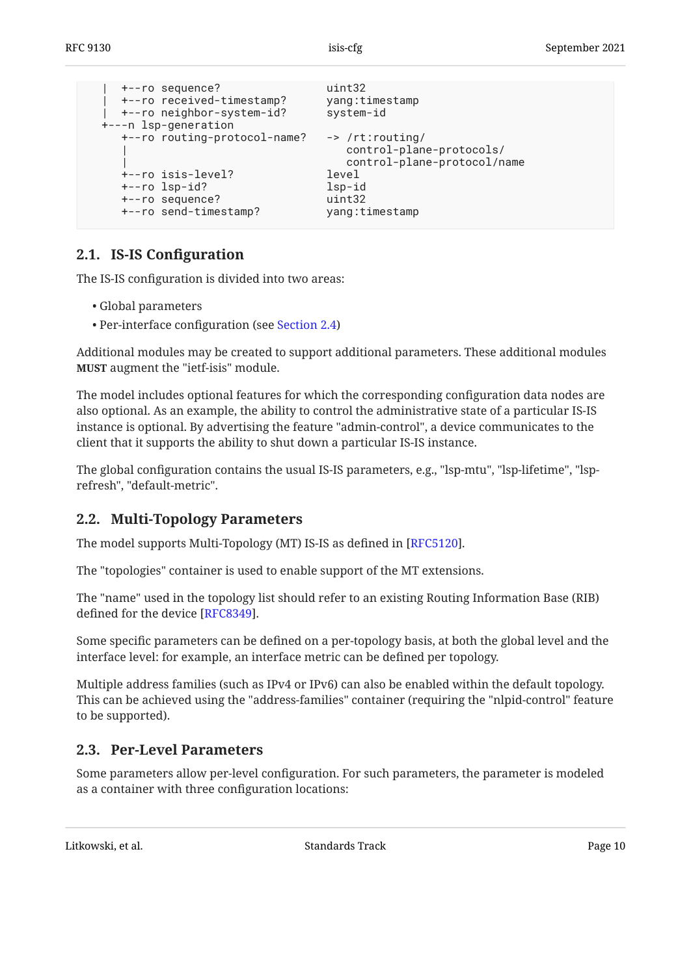```
 | +--ro sequence? uint32
   | +--ro received-timestamp? yang:timestamp
  | +--ro neighbor-system-id? system-id
 +---n lsp-generation
   +--ro routing-protocol-name? -> /rt:routing/
                                | control-plane-protocols/
                                | control-plane-protocol/name
   +--ro isis-level? level
   +--ro lsp-id? lsp-id
   +--ro sequence? uint32
  +--ro send-timestamp?
```
### <span id="page-9-0"></span>**[2.1. IS-IS Con](#page-9-0)figuration**

The IS-IS configuration is divided into two areas:

- Global parameters •
- Per-interface configuration (see [Section 2.4\)](#page-11-0) •

Additional modules may be created to support additional parameters. These additional modules **MUST** augment the "ietf-isis" module.

The model includes optional features for which the corresponding configuration data nodes are also optional. As an example, the ability to control the administrative state of a particular IS-IS instance is optional. By advertising the feature "admin-control", a device communicates to the client that it supports the ability to shut down a particular IS-IS instance.

The global configuration contains the usual IS-IS parameters, e.g., "lsp-mtu", "lsp-lifetime", "lsprefresh", "default-metric".

### <span id="page-9-1"></span>**[2.2. Multi-Topology Parameters](#page-9-1)**

The model supports Multi-Topology (MT) IS-IS as defined in [RFC5120].

The "topologies" container is used to enable support of the MT extensions.

The "name" used in the topology list should refer to an existing Routing Information Base (RIB) defined for the device [RFC8349].

Some specific parameters can be defined on a per-topology basis, at both the global level and the interface level: for example, an interface metric can be defined per topology.

Multiple address families (such as IPv4 or IPv6) can also be enabled within the default topology. This can be achieved using the "address-families" container (requiring the "nlpid-control" feature to be supported).

### <span id="page-9-2"></span>**[2.3. Per-Level Parameters](#page-9-2)**

Some parameters allow per-level configuration. For such parameters, the parameter is modeled as a container with three configuration locations: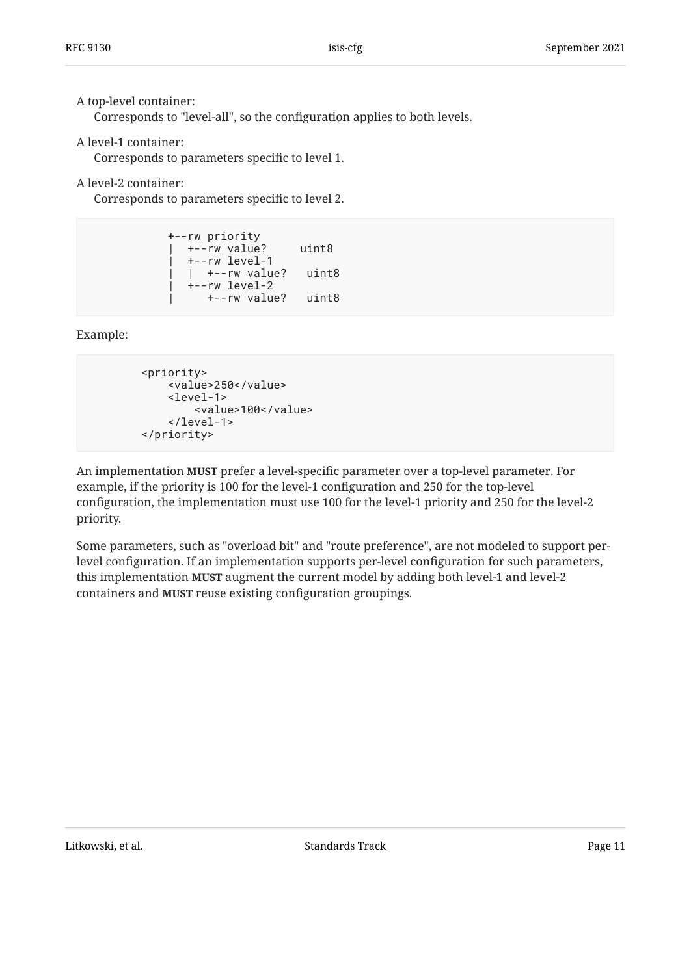### A top-level container:

Corresponds to "level-all", so the configuration applies to both levels.

### A level-1 container:

Corresponds to parameters specific to level 1.

A level-2 container:

Corresponds to parameters specific to level 2.

```
 +--rw priority
   | +--rw value? uint8
   | +--rw level-1
    | | +--rw value? uint8
    | +--rw level-2
       | +--rw value? uint8
```
Example:

```
 <priority>
     <value>250</value>
     <level-1>
         <value>100</value>
     </level-1>
 </priority>
```
An implementation **MUST** prefer a level-specific parameter over a top-level parameter. For example, if the priority is 100 for the level-1 configuration and 250 for the top-level configuration, the implementation must use 100 for the level-1 priority and 250 for the level-2 priority.

Some parameters, such as "overload bit" and "route preference", are not modeled to support perlevel configuration. If an implementation supports per-level configuration for such parameters, this implementation **MUST** augment the current model by adding both level-1 and level-2 containers and **MUST** reuse existing configuration groupings.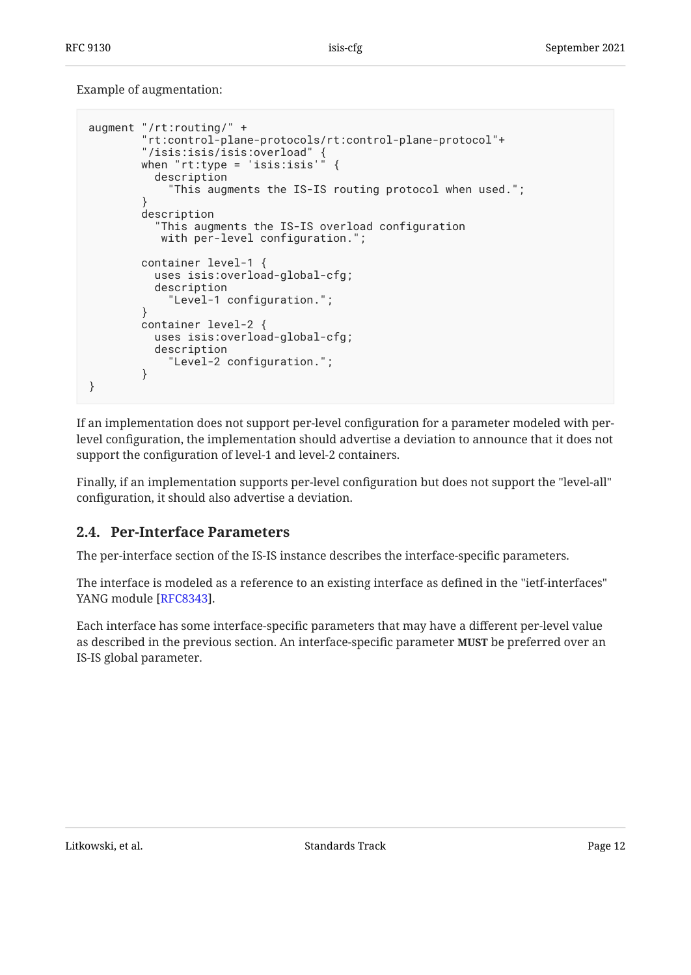Example of augmentation:

```
augment "/rt:routing/" +
         "rt:control-plane-protocols/rt:control-plane-protocol"+
 "/isis:isis/isis:overload" {
 when "rt:type = 'isis:isis'" {
           description
              "This augments the IS-IS routing protocol when used.";
 }
         description
           "This augments the IS-IS overload configuration
            with per-level configuration.";
         container level-1 {
           uses isis:overload-global-cfg;
           description
             "Level-1 configuration.";
         }
         container level-2 {
           uses isis:overload-global-cfg;
           description
             "Level-2 configuration.";
         }
}
```
If an implementation does not support per-level configuration for a parameter modeled with perlevel configuration, the implementation should advertise a deviation to announce that it does not support the configuration of level-1 and level-2 containers.

Finally, if an implementation supports per-level configuration but does not support the "level-all" configuration, it should also advertise a deviation.

## <span id="page-11-0"></span>**[2.4. Per-Interface Parameters](#page-11-0)**

The per-interface section of the IS-IS instance describes the interface-specific parameters.

The interface is modeled as a reference to an existing interface as defined in the "ietf-interfaces" YANG module [\[RFC8343](#page-106-4)].

Each interface has some interface-specific parameters that may have a different per-level value as described in the previous section. An interface-specific parameter **MUST** be preferred over an IS-IS global parameter.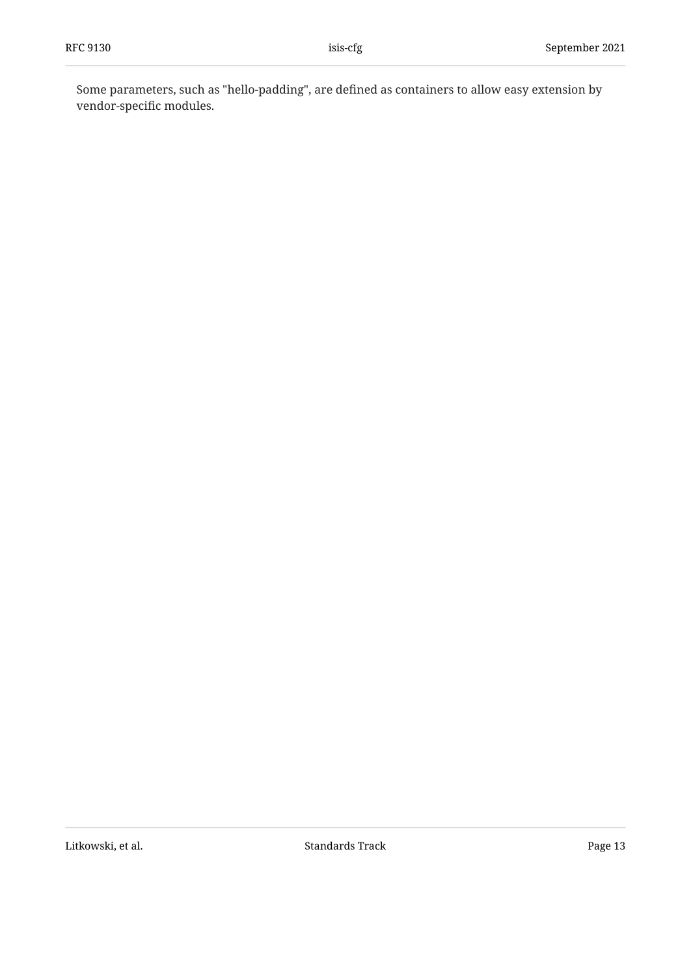Some parameters, such as "hello-padding", are defined as containers to allow easy extension by vendor-specific modules.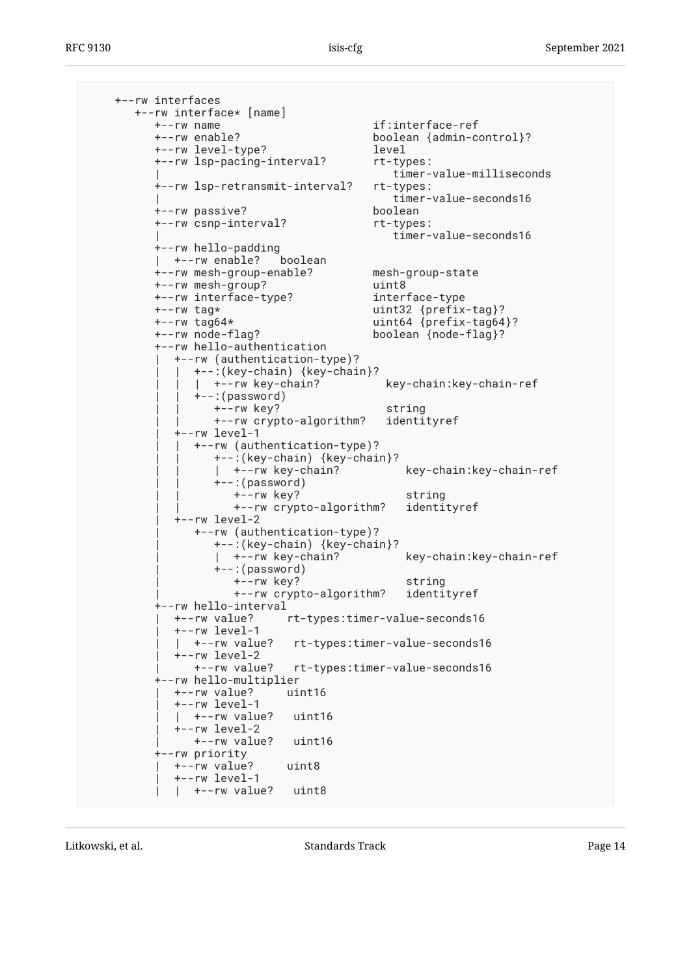+--rw interfaces +--rw interface\* [name] +--rw name if:interface-ref +--rw enable? boolean {admin-control}? +--rw level-type? level +--rw lsp-pacing-interval? rt-types: | timer-value-milliseconds +--rw lsp-retransmit-interval? rt-types: | timer-value-seconds16 +--rw passive? boolean +--rw csnp-interval? The rt-types: | timer-value-seconds16 +--rw hello-padding | +--rw enable? boolean +--rw mesh-group-enable? mesh-group-state +--rw mesh-group? uint8 +--rw interface-type? interface-type +--rw tag\* uint32 {prefix-tag}?  $uint64$  {prefix-tag64}? +--rw node-flag? boolean {node-flag}? +--rw hello-authentication | +--rw (authentication-type)? | | +--:(key-chain) {key-chain}? |  $+--rw$  key-chain? key-chain:key-chain-ref  $+-$ : (password) | | +--rw key? string | | +--rw crypto-algorithm? identityref | +--rw level-1 | | +--rw (authentication-type)? | | +--:(key-chain) {key-chain}? |  $+--rw$  key-chain? key-chain:key-chain-ref  $+-$ : (password) | | +--rw key? string | | +--rw crypto-algorithm? identityref | +--rw level-2 | +--rw (authentication-type)? +--:(key-chain) {key-chain}?<br>| +--rw key-chain? key-chain: key-chain-ref  $+-$ : (password) | +--rw key? string | +--rw crypto-algorithm? identityref +--rw hello-interval rt-types:timer-value-seconds16 | +--rw level-1 | | +--rw value? rt-types:timer-value-seconds16 | +--rw level-2 | +--rw value? rt-types:timer-value-seconds16 +--rw hello-multiplier | +--rw value? uint16 | +--rw level-1  $\vert$  +--rw value? uint16 | +--rw level-2 | +--rw value? uint16 +--rw priority | +--rw value? uint8 | +--rw level-1 | | +--rw value? uint8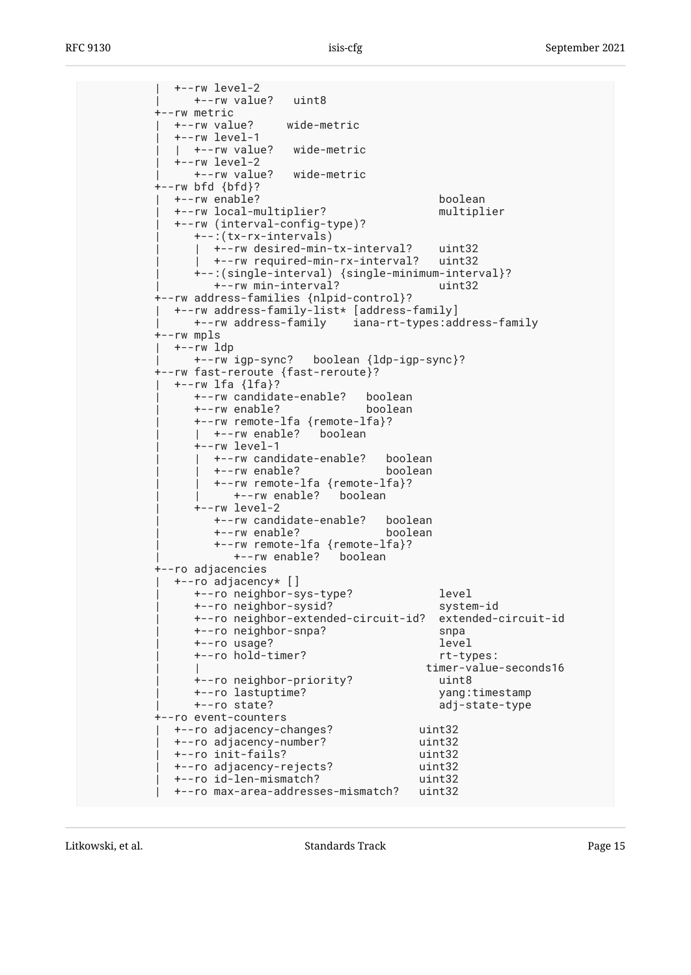| +--rw level-2 | +--rw value? uint8 +--rw metric | +--rw value? wide-metric | +--rw level-1 | | +--rw value? wide-metric | +--rw level-2 | +--rw value? wide-metric  $+--rw$  bfd  ${bf}$ ? | +--rw enable? boolean | +--rw local-multiplier? multiplier | +--rw (interval-config-type)? | +--:(tx-rx-intervals) | | +--rw desired-min-tx-interval? uint32 | | +--rw required-min-rx-interval? uint32 | +--:(single-interval) {single-minimum-interval}? | +--rw min-interval? uint32 +--rw address-families {nlpid-control}? | +--rw address-family-list\* [address-family] | +--rw address-family iana-rt-types:address-family +--rw mpls | +--rw ldp | +--rw igp-sync? boolean {ldp-igp-sync}? +--rw fast-reroute {fast-reroute}? | +--rw lfa {lfa}? | +--rw candidate-enable? boolean | +--rw enable? boolean | +--rw remote-lfa {remote-lfa}? |  $+-rw$  enable? boolean  $+--rw$  level-1 |  $+--rw$  candidate-enable? boolean | | +--rw enable? boolean | | +--rw remote-lfa {remote-lfa}? | | +--rw enable? boolean  $+--rw$  level-2 | +--rw candidate-enable? boolean | +--rw enable? boolean | +--rw remote-lfa {remote-lfa}? | +--rw enable? boolean +--ro adjacencies | +--ro adjacency\* [] | +--ro neighbor-sys-type? level | +--ro neighbor-sysid? system-id | +--ro neighbor-extended-circuit-id? extended-circuit-id | +--ro neighbor-snpa? snpa | +--ro usage? level | +--ro hold-timer? rt-types: timer-value-seconds16<br>uint8 +--ro neighbor-priority? | +--ro lastuptime? yang:timestamp adj-state-type +--ro event-counters | +--ro adjacency-changes? uint32 | +--ro adjacency-number? uint32 | +--ro init-fails? uint32 | +--ro adjacency-rejects? uint32 | +--ro id-len-mismatch? uint32 | +--ro max-area-addresses-mismatch? uint32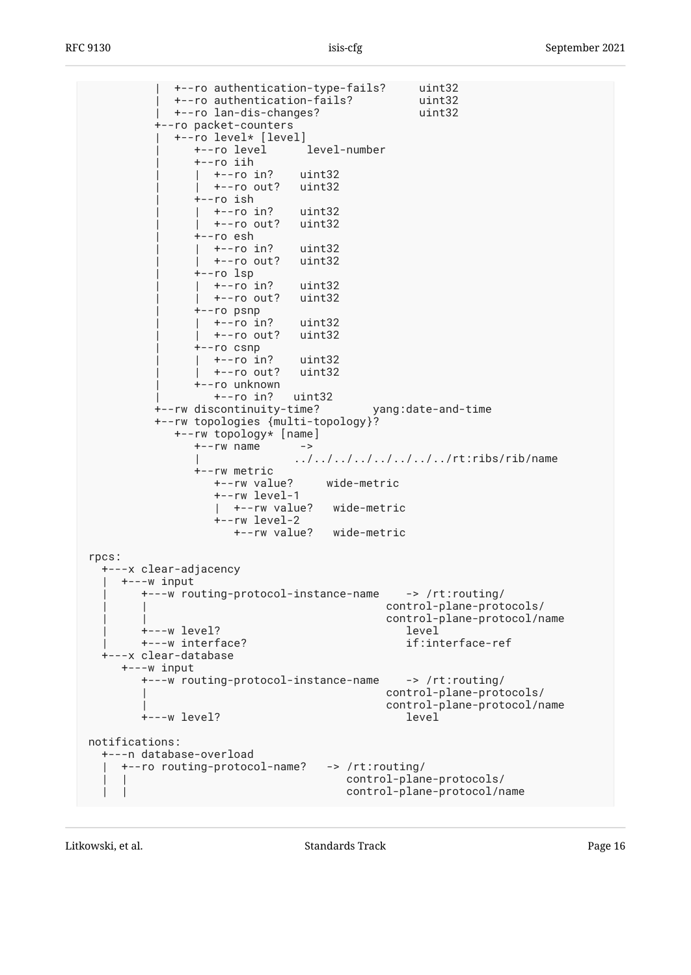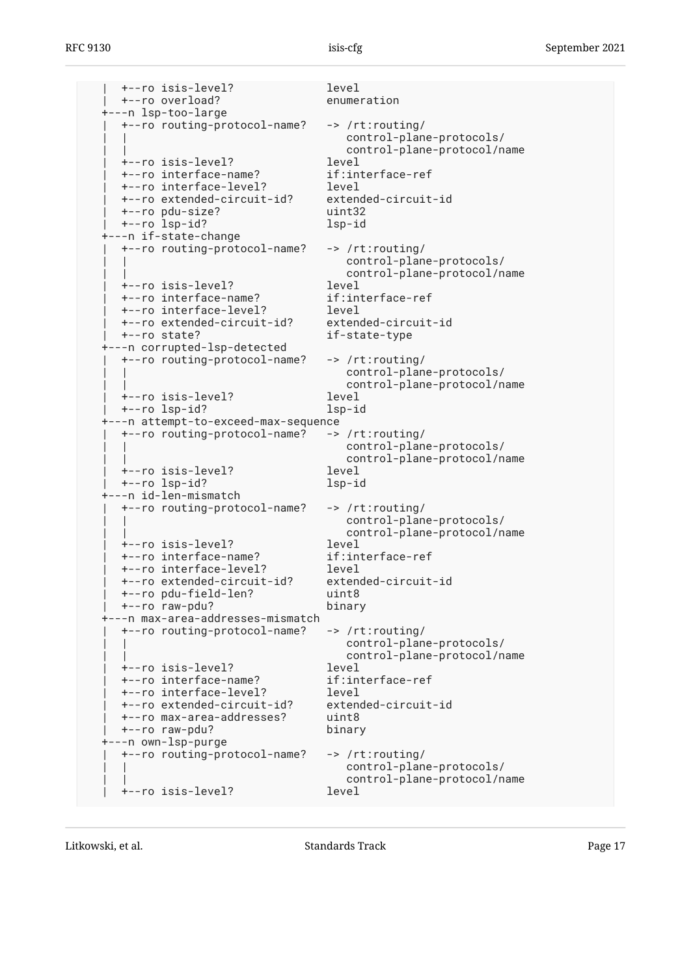| +--ro isis-level? level | +--ro overload? enumeration +---n lsp-too-large | +--ro routing-protocol-name? -> /rt:routing/ control-plane-protocols/ control-plane-protocol/name | +--ro isis-level? level | +--ro interface-name? if:interface-ref | +--ro interface-level? level +--ro extended-circuit-id? | +--ro pdu-size? uint32 | +--ro lsp-id? lsp-id +---n if-state-change | +--ro routing-protocol-name? -> /rt:routing/ control-plane-protocols/ | | control-plane-protocol/name | +--ro isis-level? level +--ro interface-name? | +--ro interface-level? level | +--ro extended-circuit-id? extended-circuit-id | +--ro state? if-state-type +---n corrupted-lsp-detected | +--ro routing-protocol-name? -> /rt:routing/ control-plane-protocols/ control-plane-protocol/name | +--ro isis-level? level | +--ro lsp-id? lsp-id +---n attempt-to-exceed-max-sequence | +--ro routing-protocol-name? -> /rt:routing/ control-plane-protocols/ control-plane-protocol/name | +--ro isis-level? level | +--ro lsp-id? lsp-id +---n id-len-mismatch | +--ro routing-protocol-name? -> /rt:routing/ control-plane-protocols/ control-plane-protocol/name<br>level | +--ro isis-level? level | +--ro interface-name? if:interface-ref | +--ro interface-level? level | +--ro extended-circuit-id? extended-circuit-id | +--ro pdu-field-len? uint8 | +--ro raw-pdu? binary +---n max-area-addresses-mismatch | +--ro routing-protocol-name? -> /rt:routing/ control-plane-protocols/ | | control-plane-protocol/name | +--ro isis-level? level | +--ro interface-name? if:interface-ref | +--ro interface-level? level | +--ro extended-circuit-id? extended-circuit-id | +--ro max-area-addresses? uint8 | +--ro raw-pdu? binary +---n own-lsp-purge | +--ro routing-protocol-name? -> /rt:routing/ control-plane-protocols/ control-plane-protocol/name | +--ro isis-level? level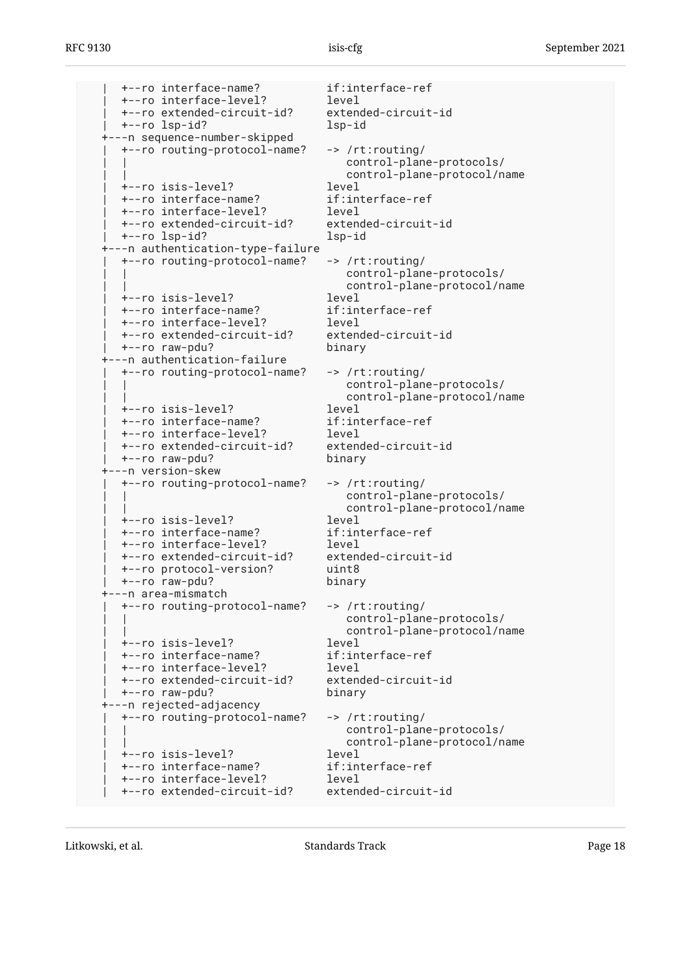| +--ro interface-name? if:interface-ref | +--ro interface-level? level | +--ro extended-circuit-id? extended-circuit-id | +--ro lsp-id? lsp-id +---n sequence-number-skipped | +--ro routing-protocol-name? -> /rt:routing/ control-plane-protocols/ control-plane-protocol/name | +--ro isis-level? level +--ro interface-name? | +--ro interface-level? level | +--ro extended-circuit-id? extended-circuit-id | +--ro lsp-id? lsp-id +---n authentication-type-failure | +--ro routing-protocol-name? -> /rt:routing/ control-plane-protocols/ control-plane-protocol/name | +--ro isis-level? level | +--ro interface-name? if:interface-ref | +--ro interface-level? level +--ro extended-circuit-id? | +--ro raw-pdu? binary +---n authentication-failure | +--ro routing-protocol-name? -> /rt:routing/ control-plane-protocols/ control-plane-protocol/name | +--ro isis-level? level | +--ro interface-name? if:interface-ref | +--ro interface-level? level +--ro extended-circuit-id? | +--ro raw-pdu? binary +---n version-skew | +--ro routing-protocol-name? -> /rt:routing/ control-plane-protocols/ | | control-plane-protocol/name +--ro isis-level? | +--ro interface-name? if:interface-ref | +--ro interface-level? level | +--ro extended-circuit-id? extended-circuit-id | +--ro protocol-version? uint8  $+--ro$  raw-pdu? +---n area-mismatch | +--ro routing-protocol-name? -> /rt:routing/ control-plane-protocols/ control-plane-protocol/name<br>level | +--ro isis-level? level | +--ro interface-name? if:interface-ref | +--ro interface-level? level +--ro extended-circuit-id? | +--ro raw-pdu? binary ---n rejected-adjacency | +--ro routing-protocol-name? -> /rt:routing/ control-plane-protocols/ control-plane-protocol/name | +--ro isis-level? level | +--ro interface-name? if:interface-ref | +--ro interface-level? level | +--ro extended-circuit-id? extended-circuit-id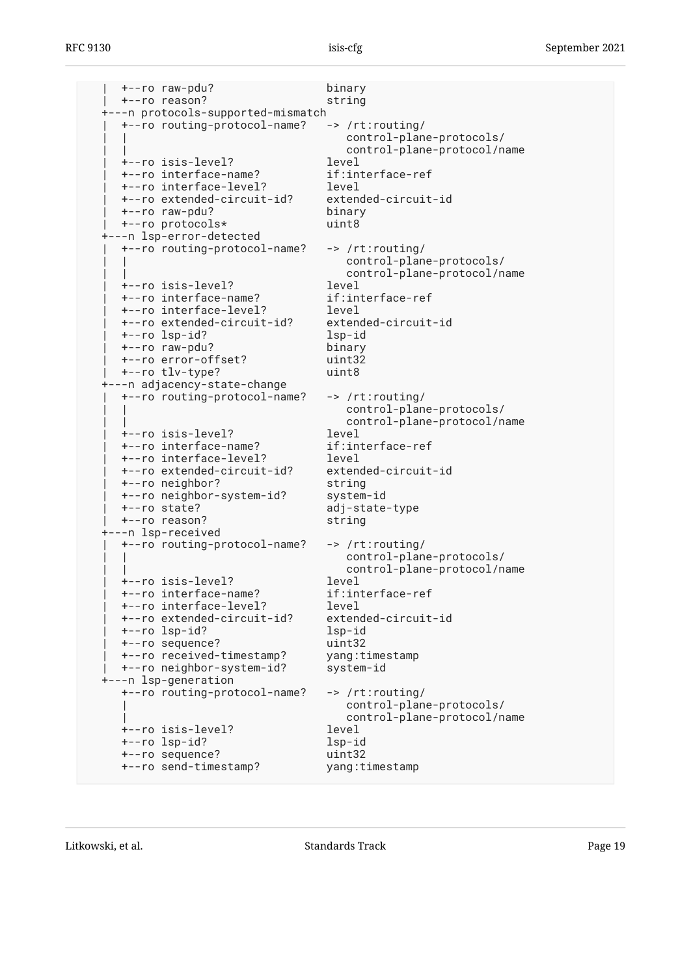| +--ro raw-pdu? binary | +--ro reason? string +---n protocols-supported-mismatch | +--ro routing-protocol-name? -> /rt:routing/ control-plane-protocols/ control-plane-protocol/name | +--ro isis-level? level | +--ro interface-name? if:interface-ref | +--ro interface-level? level +--ro extended-circuit-id? | +--ro raw-pdu? binary | +--ro protocols\* uint8 +---n lsp-error-detected | +--ro routing-protocol-name? -> /rt:routing/ control-plane-protocols/ | | control-plane-protocol/name | +--ro isis-level? level | +--ro interface-name? if:interface-ref | +--ro interface-level? level | +--ro extended-circuit-id? extended-circuit-id | +--ro lsp-id? lsp-id | +--ro raw-pdu? binary | +--ro error-offset? uint32 | +--ro tlv-type? uint8 +---n adjacency-state-change | +--ro routing-protocol-name? -> /rt:routing/ | | control-plane-protocols/ control-plane-protocol/name | +--ro isis-level? level +--ro interface-name? | +--ro interface-level? level | +--ro extended-circuit-id? extended-circuit-id | +--ro neighbor? string | +--ro neighbor-system-id? system-id adj-state-type | +--ro reason? string +---n lsp-received | +--ro routing-protocol-name? -> /rt:routing/ control-plane-protocols/ control-plane-protocol/name<br>level | +--ro isis-level? level +--ro interface-name? | +--ro interface-level? level | +--ro extended-circuit-id? extended-circuit-id +--ro lsp-id? | +--ro sequence? uint32 | +--ro received-timestamp? yang:timestamp | +--ro neighbor-system-id? system-id +---n lsp-generation +--ro routing-protocol-name? -> /rt:routing/ | control-plane-protocols/ | control-plane-protocol/name +--ro isis-level? level +--ro lsp-id? lsp-id +--ro sequence? uint32 +--ro send-timestamp? yang:timestamp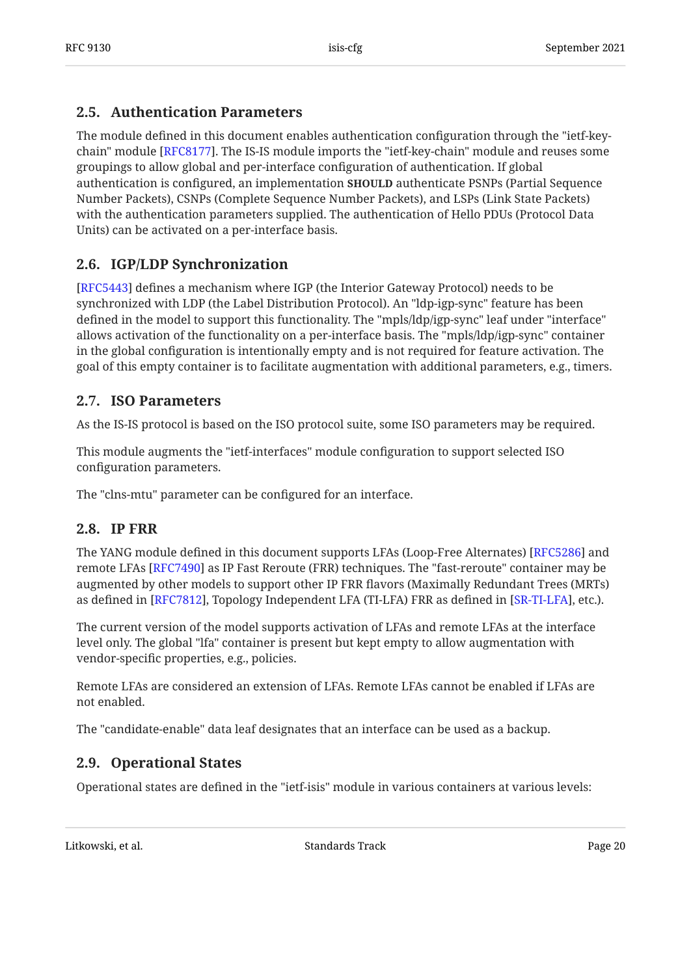## <span id="page-19-0"></span>**[2.5. Authentication Parameters](#page-19-0)**

The module defined in this document enables authentication configuration through the "ietf-keychain" module [RFC8177]. The IS-IS module imports the "ietf-key-chain" module and reuses some groupings to allow global and per-interface configuration of authentication. If global authentication is configured, an implementation **SHOULD** authenticate PSNPs (Partial Sequence Number Packets), CSNPs (Complete Sequence Number Packets), and LSPs (Link State Packets) with the authentication parameters supplied. The authentication of Hello PDUs (Protocol Data Units) can be activated on a per-interface basis.

## <span id="page-19-1"></span>**[2.6. IGP/LDP Synchronization](#page-19-1)**

[[RFC5443\]](#page-104-1) defines a mechanism where IGP (the Interior Gateway Protocol) needs to be synchronized with LDP (the Label Distribution Protocol). An "ldp-igp-sync" feature has been defined in the model to support this functionality. The "mpls/ldp/igp-sync" leaf under "interface" allows activation of the functionality on a per-interface basis. The "mpls/ldp/igp-sync" container in the global configuration is intentionally empty and is not required for feature activation. The goal of this empty container is to facilitate augmentation with additional parameters, e.g., timers.

## <span id="page-19-2"></span>**[2.7. ISO Parameters](#page-19-2)**

As the IS-IS protocol is based on the ISO protocol suite, some ISO parameters may be required.

This module augments the "ietf-interfaces" module configuration to support selected ISO configuration parameters.

<span id="page-19-3"></span>The "clns-mtu" parameter can be configured for an interface.

### **[2.8. IP FRR](#page-19-3)**

The YANG module defined in this document supports LFAs (Loop-Free Alternates) [RFC5286] and remote LFAs [RFC7490] as IP Fast Reroute (FRR) techniques. The "fast-reroute" container may be augmented by other models to support other IP FRR flavors (Maximally Redundant Trees (MRTs) as defined in [RFC7812], Topology Independent LFA (TI-LFA) FRR as defined in [SR-TI-LFA], etc.).

The current version of the model supports activation of LFAs and remote LFAs at the interface level only. The global "lfa" container is present but kept empty to allow augmentation with vendor-specific properties, e.g., policies.

Remote LFAs are considered an extension of LFAs. Remote LFAs cannot be enabled if LFAs are not enabled.

<span id="page-19-4"></span>The "candidate-enable" data leaf designates that an interface can be used as a backup.

## **[2.9. Operational States](#page-19-4)**

Operational states are defined in the "ietf-isis" module in various containers at various levels: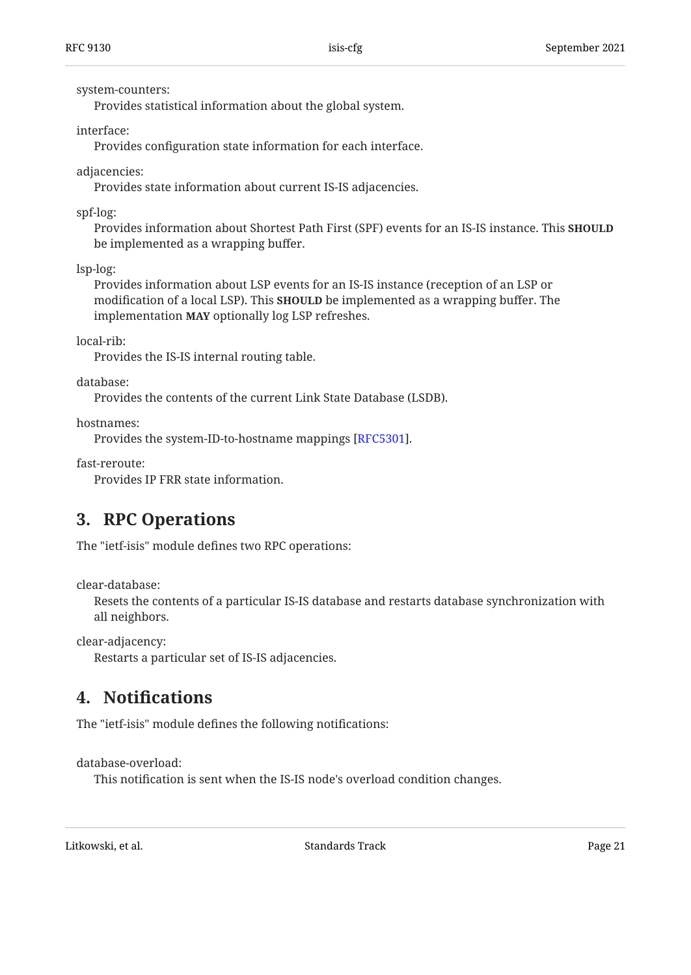system-counters:

Provides statistical information about the global system.

interface:

Provides configuration state information for each interface.

adjacencies:

Provides state information about current IS-IS adjacencies.

spf-log:

Provides information about Shortest Path First (SPF) events for an IS-IS instance. This **SHOULD** be implemented as a wrapping buffer.

lsp-log:

Provides information about LSP events for an IS-IS instance (reception of an LSP or modification of a local LSP). This **SHOULD** be implemented as a wrapping buffer. The implementation **MAY** optionally log LSP refreshes.

local-rib:

Provides the IS-IS internal routing table.

database:

Provides the contents of the current Link State Database (LSDB).

hostnames:

Provides the system-ID-to-hostname mappings [RFC5301].

fast-reroute:

<span id="page-20-0"></span>Provides IP FRR state information.

## **[3. RPC Operations](#page-20-0)**

The "ietf-isis" module defines two RPC operations:

clear-database:

Resets the contents of a particular IS-IS database and restarts database synchronization with all neighbors.

clear-adjacency:

<span id="page-20-1"></span>Restarts a particular set of IS-IS adjacencies.

# **[4.](#page-20-1) Notifi[cations](#page-20-1)**

The "ietf-isis" module defines the following notifications:

database-overload:

This notification is sent when the IS-IS node's overload condition changes.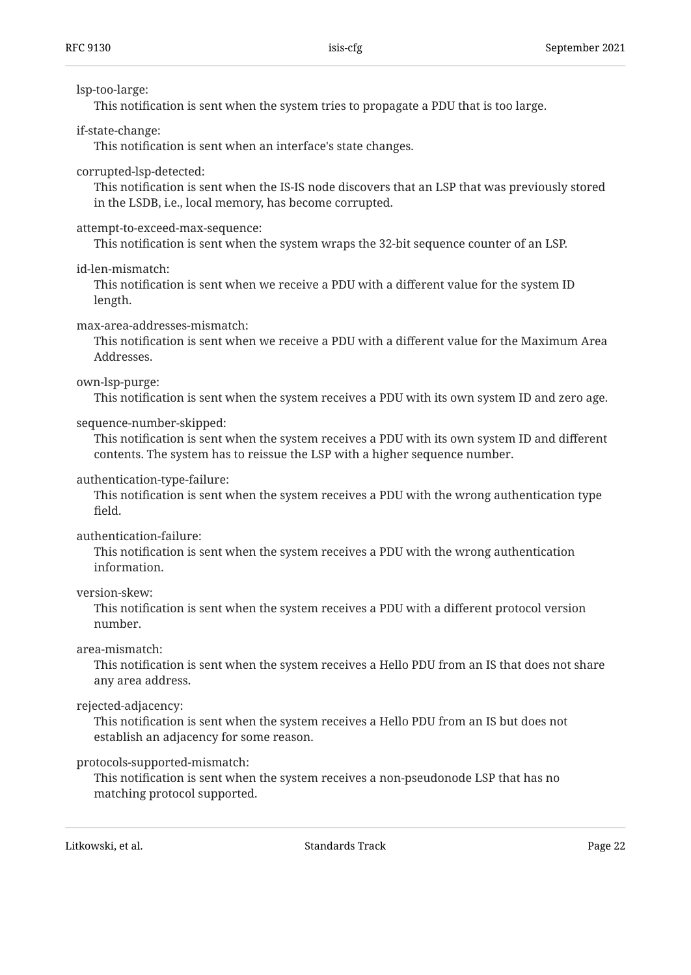#### lsp-too-large:

This notification is sent when the system tries to propagate a PDU that is too large.

### if-state-change:

This notification is sent when an interface's state changes.

### corrupted-lsp-detected:

This notification is sent when the IS-IS node discovers that an LSP that was previously stored in the LSDB, i.e., local memory, has become corrupted.

### attempt-to-exceed-max-sequence:

This notification is sent when the system wraps the 32-bit sequence counter of an LSP.

### id-len-mismatch:

This notification is sent when we receive a PDU with a different value for the system ID length.

### max-area-addresses-mismatch:

This notification is sent when we receive a PDU with a different value for the Maximum Area Addresses.

### own-lsp-purge:

This notification is sent when the system receives a PDU with its own system ID and zero age.

### sequence-number-skipped:

This notification is sent when the system receives a PDU with its own system ID and different contents. The system has to reissue the LSP with a higher sequence number.

### authentication-type-failure:

This notification is sent when the system receives a PDU with the wrong authentication type field.

#### authentication-failure:

This notification is sent when the system receives a PDU with the wrong authentication information.

#### version-skew:

This notification is sent when the system receives a PDU with a different protocol version number.

#### area-mismatch:

This notification is sent when the system receives a Hello PDU from an IS that does not share any area address.

### rejected-adjacency:

This notification is sent when the system receives a Hello PDU from an IS but does not establish an adjacency for some reason.

### protocols-supported-mismatch:

This notification is sent when the system receives a non-pseudonode LSP that has no matching protocol supported.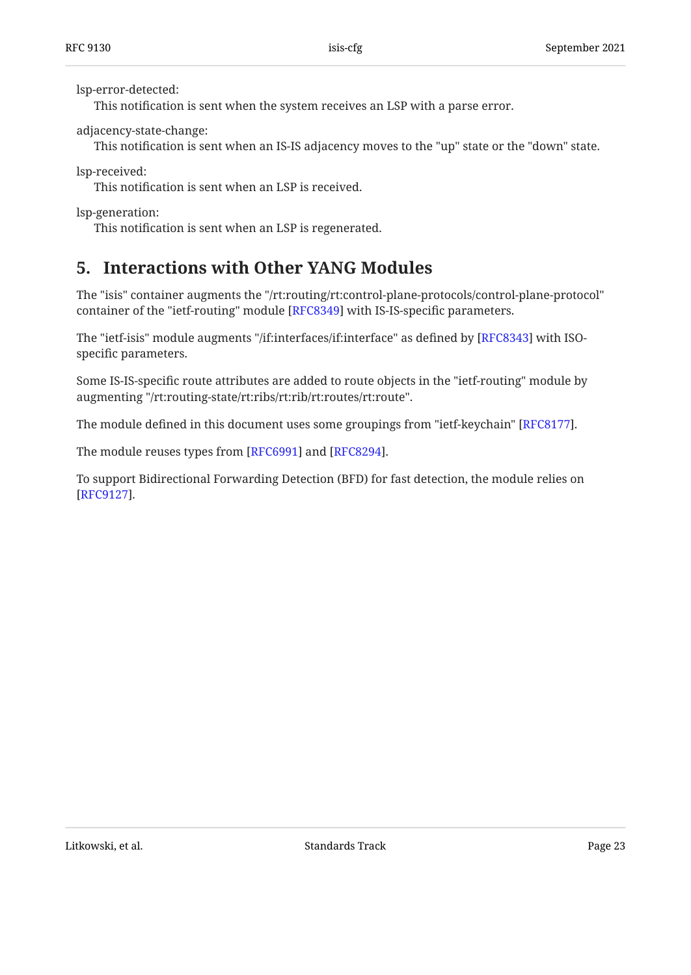lsp-error-detected:

This notification is sent when the system receives an LSP with a parse error.

adjacency-state-change:

This notification is sent when an IS-IS adjacency moves to the "up" state or the "down" state.

lsp-received:

This notification is sent when an LSP is received.

lsp-generation:

<span id="page-22-0"></span>This notification is sent when an LSP is regenerated.

# **[5. Interactions with Other YANG Modules](#page-22-0)**

The "isis" container augments the "/rt:routing/rt:control-plane-protocols/control-plane-protocol" container of the "ietf-routing" module [RFC8349] with IS-IS-specific parameters.

The "ietf-isis" module augments "/if:interfaces/if:interface" as defined by [RFC8343] with ISOspecific parameters.

Some IS-IS-specific route attributes are added to route objects in the "ietf-routing" module by augmenting "/rt:routing-state/rt:ribs/rt:rib/rt:routes/rt:route".

The module defined in this document uses some groupings from "ietf-keychain" [RFC8177].  $\,$ 

The module reuses types from [RFC6991] and [RFC8294].

To support Bidirectional Forwarding Detection (BFD) for fast detection, the module relies on . [[RFC9127\]](#page-106-6)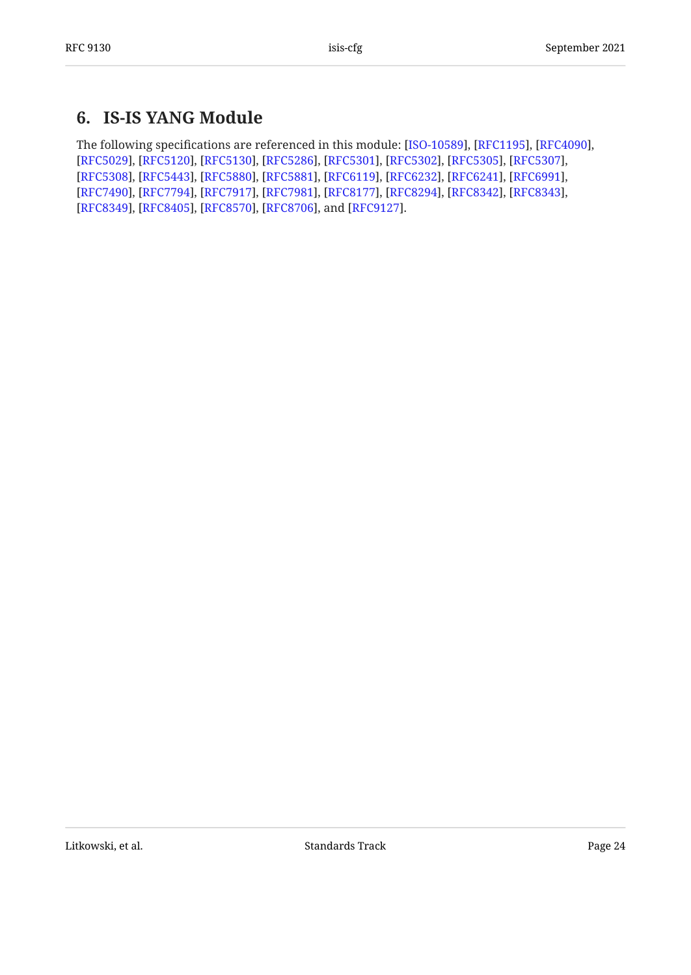# <span id="page-23-0"></span>**[6. IS-IS YANG Module](#page-23-0)**

The following specifications are referenced in this module: [ISO-10589], [RFC1195], [RFC4090], [[RFC5029\]](#page-104-4), [RFC5120], [RFC5130], [RFC5286], [RFC5301], [RFC5302], [RFC5305], [RFC5307], [[RFC5308\]](#page-104-9), [RFC5443], [RFC5880], [RFC5881], [RFC6119], [RFC6232], [RFC6241], [RFC6991], [[RFC7490\]](#page-105-3), [RFC7794], [RFC7917], [RFC7981], [RFC8177], [RFC8294], [RFC8342], [RFC8343], [[RFC8349\]](#page-106-3), [RFC8405], [RFC8570], [RFC8706], and [RFC9127].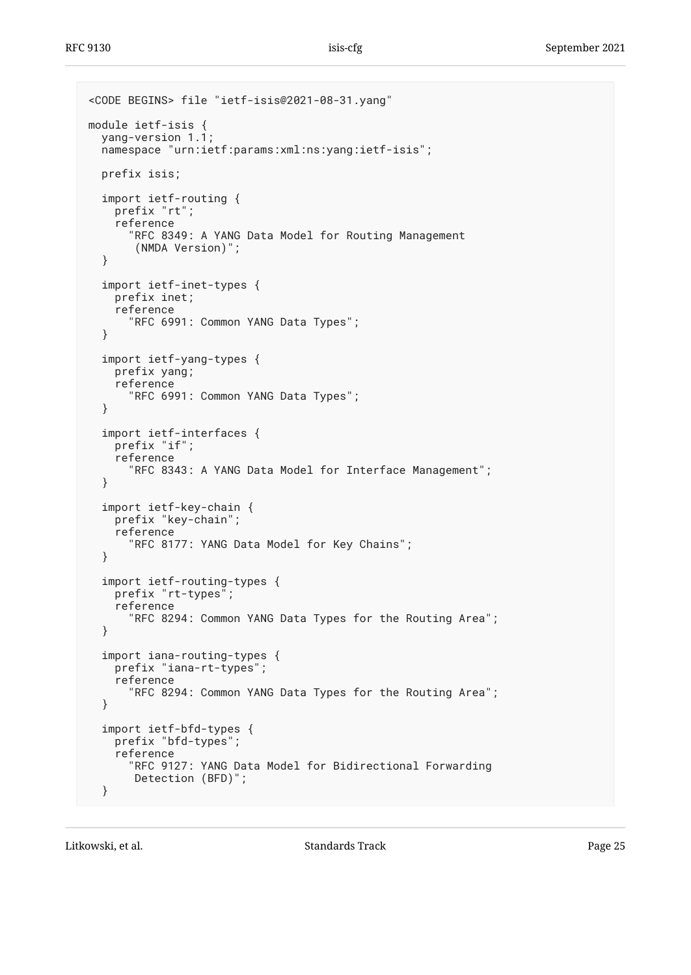```
<CODE BEGINS> file "ietf-isis@2021-08-31.yang"
module ietf-isis {
  yang-version 1.1;
   namespace "urn:ietf:params:xml:ns:yang:ietf-isis";
   prefix isis;
   import ietf-routing {
     prefix "rt";
     reference
       "RFC 8349: A YANG Data Model for Routing Management
        (NMDA Version)";
   }
   import ietf-inet-types {
     prefix inet;
     reference
       "RFC 6991: Common YANG Data Types";
   }
   import ietf-yang-types {
     prefix yang;
     reference
       "RFC 6991: Common YANG Data Types";
   }
   import ietf-interfaces {
     prefix "if";
     reference
       "RFC 8343: A YANG Data Model for Interface Management";
   }
   import ietf-key-chain {
     prefix "key-chain";
     reference
       "RFC 8177: YANG Data Model for Key Chains";
   }
   import ietf-routing-types {
     prefix "rt-types";
     reference
       "RFC 8294: Common YANG Data Types for the Routing Area";
   }
   import iana-routing-types {
     prefix "iana-rt-types";
     reference
       "RFC 8294: Common YANG Data Types for the Routing Area";
   }
   import ietf-bfd-types {
     prefix "bfd-types";
     reference
       "RFC 9127: YANG Data Model for Bidirectional Forwarding
       Detection (BFD)";
   }
```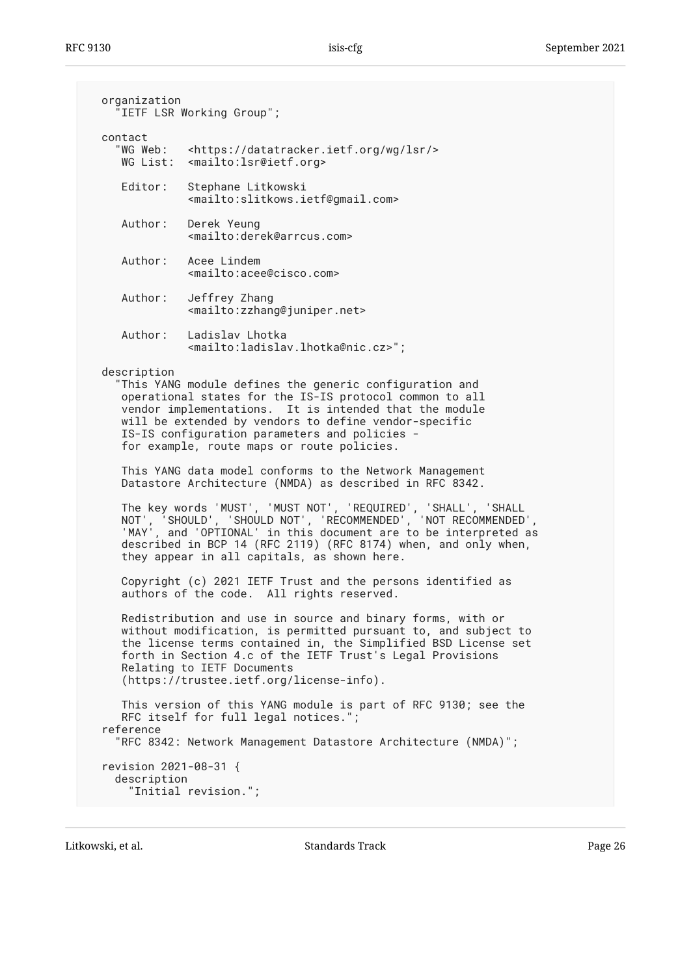| organization<br>"IETF LSR Working Group";                                                                                                                                                                                                                                                                                                           |                                                                                                                                                                                                                                                                                                                                       |  |  |  |  |
|-----------------------------------------------------------------------------------------------------------------------------------------------------------------------------------------------------------------------------------------------------------------------------------------------------------------------------------------------------|---------------------------------------------------------------------------------------------------------------------------------------------------------------------------------------------------------------------------------------------------------------------------------------------------------------------------------------|--|--|--|--|
| contact<br>"WG Web:                                                                                                                                                                                                                                                                                                                                 | <https: datatracker.ietf.org="" lsr="" wg=""></https:><br>WG List: <mailto:lsr@ietf.org></mailto:lsr@ietf.org>                                                                                                                                                                                                                        |  |  |  |  |
| Editor:                                                                                                                                                                                                                                                                                                                                             | Stephane Litkowski<br><mailto:slitkows.ietf@gmail.com></mailto:slitkows.ietf@gmail.com>                                                                                                                                                                                                                                               |  |  |  |  |
|                                                                                                                                                                                                                                                                                                                                                     | Author: Derek Yeung<br><mailto:derek@arrcus.com></mailto:derek@arrcus.com>                                                                                                                                                                                                                                                            |  |  |  |  |
|                                                                                                                                                                                                                                                                                                                                                     | Author: Acee Lindem<br><mailto:acee@cisco.com></mailto:acee@cisco.com>                                                                                                                                                                                                                                                                |  |  |  |  |
| Author:                                                                                                                                                                                                                                                                                                                                             | Jeffrey Zhang<br><mailto:zzhang@juniper.net></mailto:zzhang@juniper.net>                                                                                                                                                                                                                                                              |  |  |  |  |
|                                                                                                                                                                                                                                                                                                                                                     | Author: Ladislav Lhotka<br><mailto:ladislav.lhotka@nic.cz>";</mailto:ladislav.lhotka@nic.cz>                                                                                                                                                                                                                                          |  |  |  |  |
| description<br>"This YANG module defines the generic configuration and<br>operational states for the IS-IS protocol common to all<br>vendor implementations. It is intended that the module<br>will be extended by vendors to define vendor-specific<br>IS-IS configuration parameters and policies -<br>for example, route maps or route policies. |                                                                                                                                                                                                                                                                                                                                       |  |  |  |  |
|                                                                                                                                                                                                                                                                                                                                                     | This YANG data model conforms to the Network Management<br>Datastore Architecture (NMDA) as described in RFC 8342.                                                                                                                                                                                                                    |  |  |  |  |
| The key words 'MUST', 'MUST NOT', 'REQUIRED', 'SHALL', 'SHALL<br>NOT', 'SHOULD', 'SHOULD NOT', 'RECOMMENDED', 'NOT RECOMMENDED',<br>'MAY', and 'OPTIONAL' in this document are to be interpreted as<br>described in BCP 14 (RFC 2119) (RFC 8174) when, and only when,<br>they appear in all capitals, as shown here.                                |                                                                                                                                                                                                                                                                                                                                       |  |  |  |  |
| Copyright (c) 2021 IETF Trust and the persons identified as<br>authors of the code. All rights reserved.                                                                                                                                                                                                                                            |                                                                                                                                                                                                                                                                                                                                       |  |  |  |  |
|                                                                                                                                                                                                                                                                                                                                                     | Redistribution and use in source and binary forms, with or<br>without modification, is permitted pursuant to, and subject to<br>the license terms contained in, the Simplified BSD License set<br>forth in Section 4.c of the IETF Trust's Legal Provisions<br>Relating to IETF Documents<br>(https://trustee.ietf.org/license-info). |  |  |  |  |
| reference                                                                                                                                                                                                                                                                                                                                           | This version of this YANG module is part of RFC 9130; see the<br>RFC itself for full legal notices.";<br>"RFC 8342: Network Management Datastore Architecture (NMDA)";                                                                                                                                                                |  |  |  |  |
| revision 2021-08-31 {<br>description                                                                                                                                                                                                                                                                                                                | "Initial revision.";                                                                                                                                                                                                                                                                                                                  |  |  |  |  |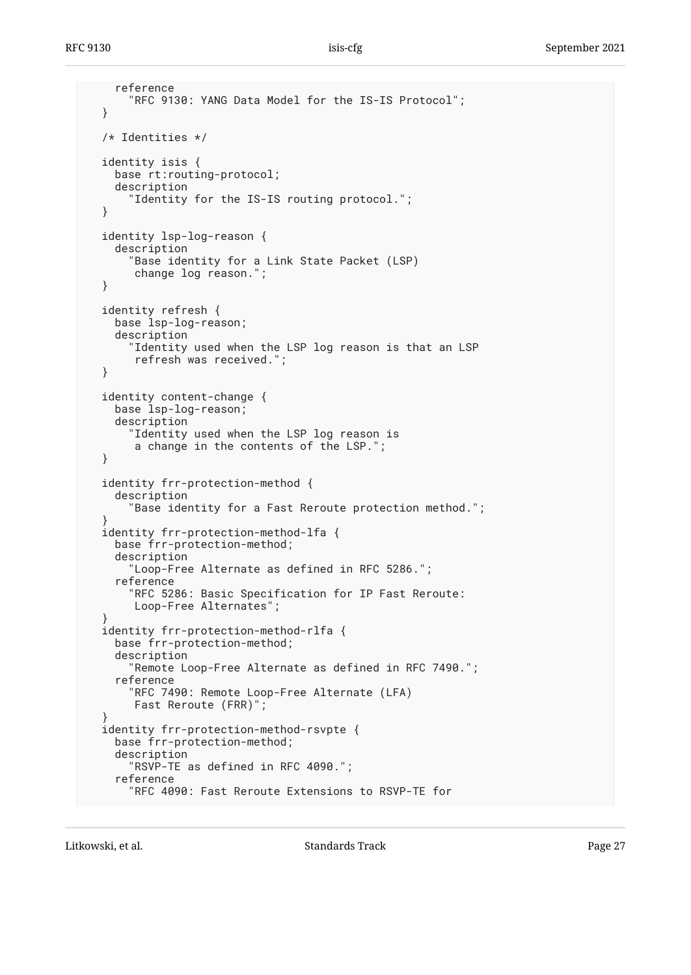```
 reference
       "RFC 9130: YANG Data Model for the IS-IS Protocol";
  }
  /* Identities */
  identity isis {
     base rt:routing-protocol;
     description
       "Identity for the IS-IS routing protocol.";
  }
  identity lsp-log-reason {
     description
       "Base identity for a Link State Packet (LSP)
        change log reason.";
  }
  identity refresh {
    base lsp-log-reason;
     description
       "Identity used when the LSP log reason is that an LSP
        refresh was received.";
  }
  identity content-change {
     base lsp-log-reason;
     description
       "Identity used when the LSP log reason is
        a change in the contents of the LSP.";
  }
  identity frr-protection-method {
    description
       "Base identity for a Fast Reroute protection method.";
 }
  identity frr-protection-method-lfa {
    base frr-protection-method;
    description
       "Loop-Free Alternate as defined in RFC 5286.";
     reference
       "RFC 5286: Basic Specification for IP Fast Reroute:
        Loop-Free Alternates";
 }
  identity frr-protection-method-rlfa {
     base frr-protection-method;
     description
       "Remote Loop-Free Alternate as defined in RFC 7490.";
     reference
       "RFC 7490: Remote Loop-Free Alternate (LFA)
       Fast Reroute (FRR)";
 }
  identity frr-protection-method-rsvpte {
    base frr-protection-method;
    description
       "RSVP-TE as defined in RFC 4090.";
     reference
       "RFC 4090: Fast Reroute Extensions to RSVP-TE for
```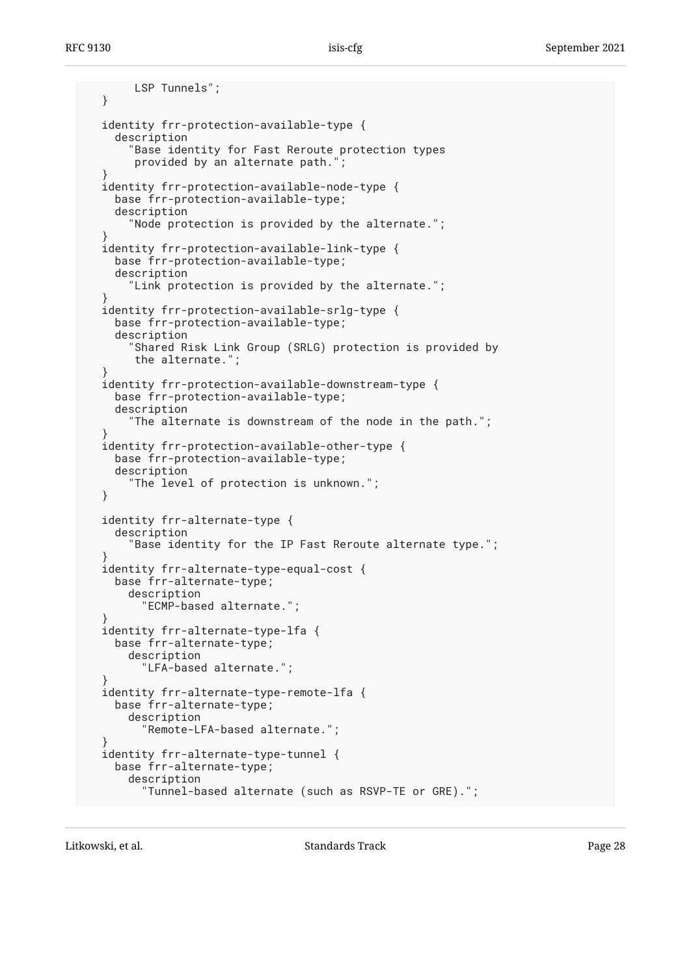LSP Tunnels"; } identity frr-protection-available-type { description "Base identity for Fast Reroute protection types provided by an alternate path."; } identity frr-protection-available-node-type { base frr-protection-available-type; description "Node protection is provided by the alternate."; } identity frr-protection-available-link-type { base frr-protection-available-type; description "Link protection is provided by the alternate."; } identity frr-protection-available-srlg-type { base frr-protection-available-type; description "Shared Risk Link Group (SRLG) protection is provided by the alternate."; } identity frr-protection-available-downstream-type { base frr-protection-available-type; description "The alternate is downstream of the node in the path."; } identity frr-protection-available-other-type { base frr-protection-available-type; description "The level of protection is unknown."; } identity frr-alternate-type { description "Base identity for the IP Fast Reroute alternate type."; } identity frr-alternate-type-equal-cost { base frr-alternate-type; description "ECMP-based alternate."; } identity frr-alternate-type-lfa { base frr-alternate-type; description "LFA-based alternate."; } identity frr-alternate-type-remote-lfa { base frr-alternate-type; description "Remote-LFA-based alternate."; } identity frr-alternate-type-tunnel { base frr-alternate-type; description "Tunnel-based alternate (such as RSVP-TE or GRE).";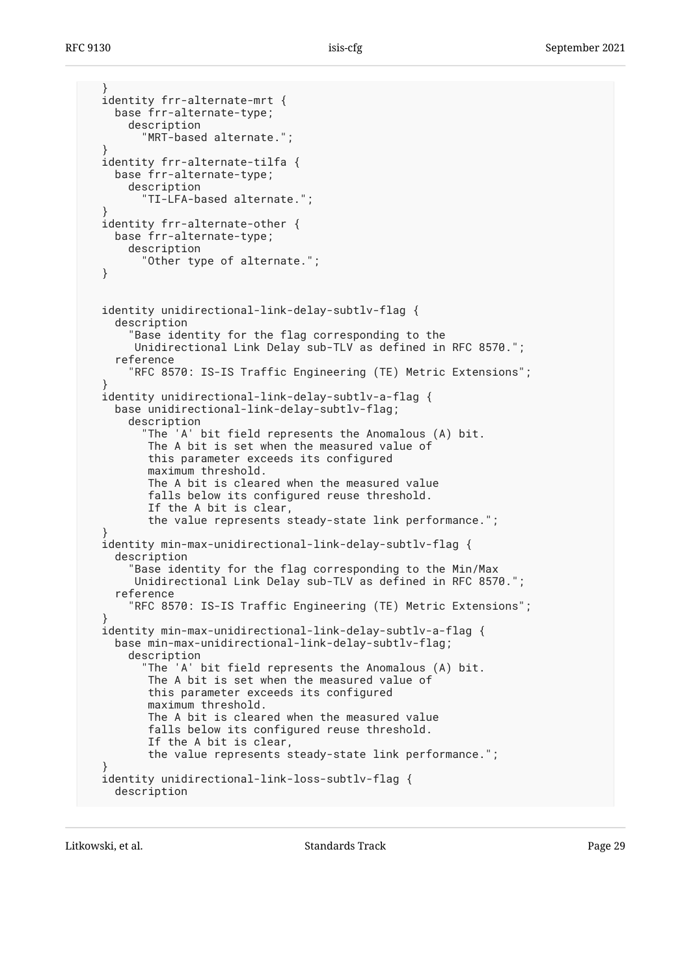```
 }
  identity frr-alternate-mrt {
    base frr-alternate-type;
       description
         "MRT-based alternate.";
 }
  identity frr-alternate-tilfa {
    base frr-alternate-type;
      description
         "TI-LFA-based alternate.";
 }
  identity frr-alternate-other {
    base frr-alternate-type;
      description
         "Other type of alternate.";
  }
  identity unidirectional-link-delay-subtlv-flag {
     description
       "Base identity for the flag corresponding to the
       Unidirectional Link Delay sub-TLV as defined in RFC 8570.";
     reference
       "RFC 8570: IS-IS Traffic Engineering (TE) Metric Extensions";
 }
  identity unidirectional-link-delay-subtlv-a-flag {
     base unidirectional-link-delay-subtlv-flag;
       description
         "The 'A' bit field represents the Anomalous (A) bit.
          The A bit is set when the measured value of
          this parameter exceeds its configured
          maximum threshold.
          The A bit is cleared when the measured value
          falls below its configured reuse threshold.
          If the A bit is clear,
          the value represents steady-state link performance.";
 }
  identity min-max-unidirectional-link-delay-subtlv-flag {
    description
       "Base identity for the flag corresponding to the Min/Max
       Unidirectional Link Delay sub-TLV as defined in RFC 8570.";
     reference
       "RFC 8570: IS-IS Traffic Engineering (TE) Metric Extensions";
 }
  identity min-max-unidirectional-link-delay-subtlv-a-flag {
     base min-max-unidirectional-link-delay-subtlv-flag;
       description
         "The 'A' bit field represents the Anomalous (A) bit.
          The A bit is set when the measured value of
          this parameter exceeds its configured
          maximum threshold.
          The A bit is cleared when the measured value
          falls below its configured reuse threshold.
          If the A bit is clear,
          the value represents steady-state link performance.";
 }
  identity unidirectional-link-loss-subtlv-flag {
     description
```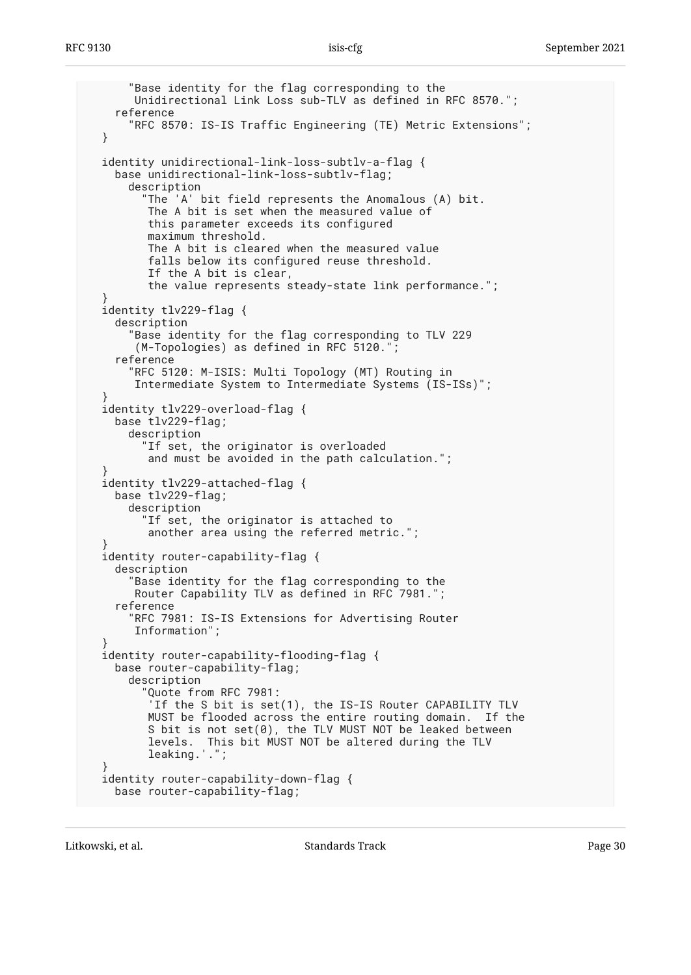```
 "Base identity for the flag corresponding to the
       Unidirectional Link Loss sub-TLV as defined in RFC 8570.";
     reference
       "RFC 8570: IS-IS Traffic Engineering (TE) Metric Extensions";
  }
  identity unidirectional-link-loss-subtlv-a-flag {
     base unidirectional-link-loss-subtlv-flag;
       description
         "The 'A' bit field represents the Anomalous (A) bit.
          The A bit is set when the measured value of
          this parameter exceeds its configured
          maximum threshold.
          The A bit is cleared when the measured value
          falls below its configured reuse threshold.
          If the A bit is clear,
          the value represents steady-state link performance.";
 }
  identity tlv229-flag {
    description
       "Base identity for the flag corresponding to TLV 229
        (M-Topologies) as defined in RFC 5120.";
     reference
       "RFC 5120: M-ISIS: Multi Topology (MT) Routing in
       Intermediate System to Intermediate Systems (IS-ISs)";
 }
  identity tlv229-overload-flag {
     base tlv229-flag;
       description
         "If set, the originator is overloaded
          and must be avoided in the path calculation.";
 }
  identity tlv229-attached-flag {
    base tlv229-flag;
      description
         "If set, the originator is attached to
          another area using the referred metric.";
 }
  identity router-capability-flag {
     description
       "Base identity for the flag corresponding to the
       Router Capability TLV as defined in RFC 7981.";
     reference
       "RFC 7981: IS-IS Extensions for Advertising Router
       Information";
 }
  identity router-capability-flooding-flag {
     base router-capability-flag;
      description
         "Quote from RFC 7981:
          'If the S bit is set(1), the IS-IS Router CAPABILITY TLV
          MUST be flooded across the entire routing domain. If the
          S bit is not set(0), the TLV MUST NOT be leaked between
          levels. This bit MUST NOT be altered during the TLV
          leaking.'.";
 }
  identity router-capability-down-flag {
    base router-capability-flag;
```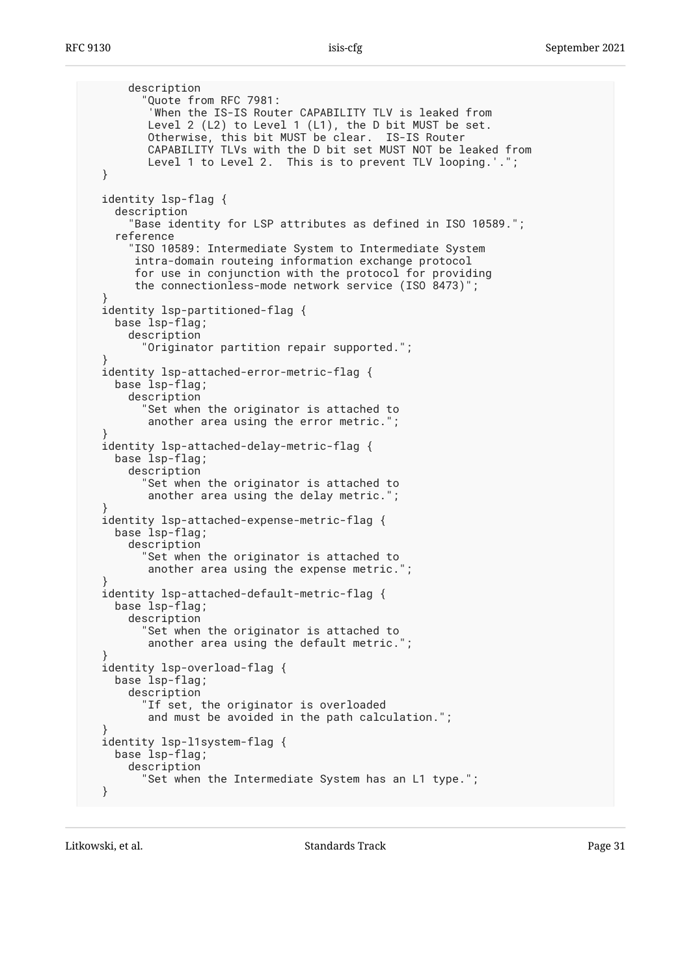```
 description
         Quote from RFC 7981:
          'When the IS-IS Router CAPABILITY TLV is leaked from
          Level 2 (L2) to Level 1 (L1), the D bit MUST be set.
 Otherwise, this bit MUST be clear. IS-IS Router
 CAPABILITY TLVs with the D bit set MUST NOT be leaked from
          Level 1 to Level 2. This is to prevent TLV looping.'.";
  }
  identity lsp-flag {
     description
       "Base identity for LSP attributes as defined in ISO 10589.";
     reference
       "ISO 10589: Intermediate System to Intermediate System
        intra-domain routeing information exchange protocol
        for use in conjunction with the protocol for providing
        the connectionless-mode network service (ISO 8473)";
  }
  identity lsp-partitioned-flag {
    base lsp-flag;
      description
         "Originator partition repair supported.";
 }
  identity lsp-attached-error-metric-flag {
    base lsp-flag;
      description
         "Set when the originator is attached to
         another area using the error metric.'
 }
  identity lsp-attached-delay-metric-flag {
     base lsp-flag;
       description
         "Set when the originator is attached to
          another area using the delay metric.";
 }
  identity lsp-attached-expense-metric-flag {
     base lsp-flag;
      description
         "Set when the originator is attached to
          another area using the expense metric.";
 }
  identity lsp-attached-default-metric-flag {
    base lsp-flag;
      description
        Set when the originator is attached to
          another area using the default metric.";
 }
  identity lsp-overload-flag {
    base lsp-flag;
      description
         "If set, the originator is overloaded
          and must be avoided in the path calculation.";
 }
  identity lsp-l1system-flag {
    base lsp-flag;
      description
         "Set when the Intermediate System has an L1 type.";
  }
```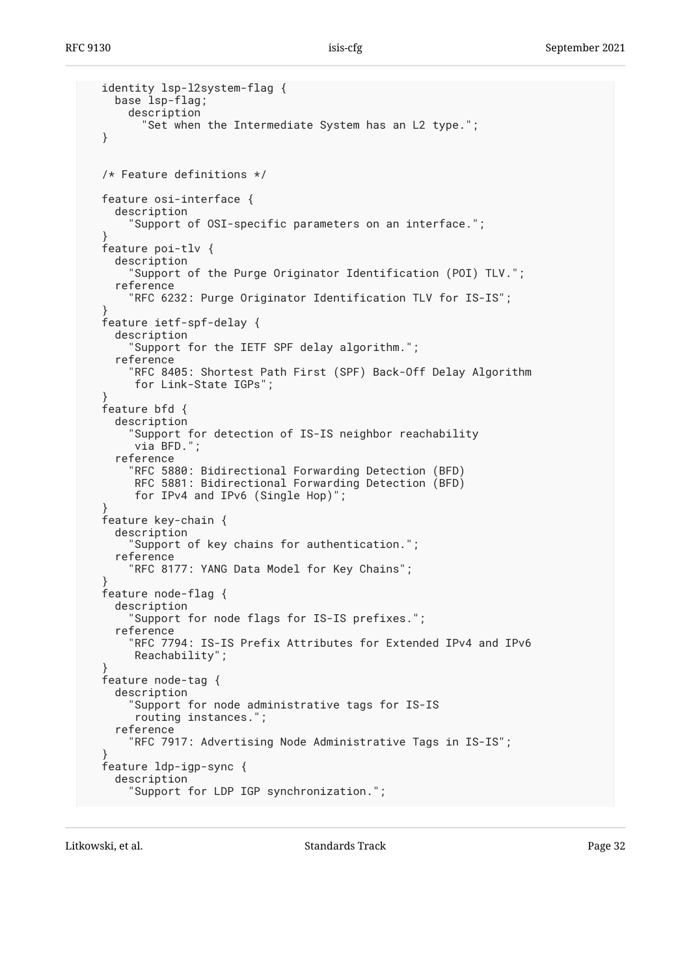```
 identity lsp-l2system-flag {
     base lsp-flag;
       description
         "Set when the Intermediate System has an L2 type.";
  }
  /* Feature definitions */
  feature osi-interface {
     description
       "Support of OSI-specific parameters on an interface.";
 }
  feature poi-tlv {
     description
       "Support of the Purge Originator Identification (POI) TLV.";
     reference
       "RFC 6232: Purge Originator Identification TLV for IS-IS";
 }
  feature ietf-spf-delay {
    description
       "Support for the IETF SPF delay algorithm.";
     reference
       "RFC 8405: Shortest Path First (SPF) Back-Off Delay Algorithm
        for Link-State IGPs";
 }
  feature bfd {
     description
       "Support for detection of IS-IS neighbor reachability
        via BFD.";
     reference
       "RFC 5880: Bidirectional Forwarding Detection (BFD)
        RFC 5881: Bidirectional Forwarding Detection (BFD)
        for IPv4 and IPv6 (Single Hop)";
 }
   feature key-chain {
     description
       "Support of key chains for authentication.";
     reference
       "RFC 8177: YANG Data Model for Key Chains";
 }
   feature node-flag {
     description
       "Support for node flags for IS-IS prefixes.";
     reference
       "RFC 7794: IS-IS Prefix Attributes for Extended IPv4 and IPv6
        Reachability";
 }
  feature node-tag {
     description
       "Support for node administrative tags for IS-IS
        routing instances.";
     reference
       "RFC 7917: Advertising Node Administrative Tags in IS-IS";
 }
  feature ldp-igp-sync {
     description
       "Support for LDP IGP synchronization.";
```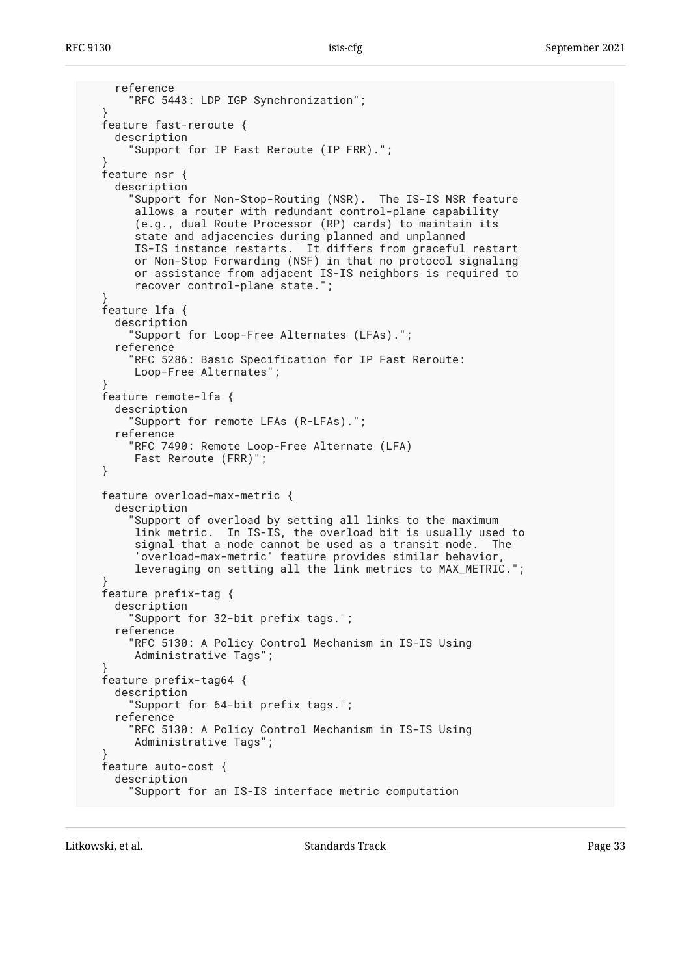```
 reference
       "RFC 5443: LDP IGP Synchronization";
 }
  feature fast-reroute {
    description
       "Support for IP Fast Reroute (IP FRR).";
 }
  feature nsr {
    description
       "Support for Non-Stop-Routing (NSR). The IS-IS NSR feature
       allows a router with redundant control-plane capability
        (e.g., dual Route Processor (RP) cards) to maintain its
       state and adjacencies during planned and unplanned
       IS-IS instance restarts. It differs from graceful restart
       or Non-Stop Forwarding (NSF) in that no protocol signaling
 or assistance from adjacent IS-IS neighbors is required to
 recover control-plane state.";
 }
  feature lfa {
    description
       "Support for Loop-Free Alternates (LFAs).";
    reference
       "RFC 5286: Basic Specification for IP Fast Reroute:
       Loop-Free Alternates";
 }
  feature remote-lfa {
    description
       "Support for remote LFAs (R-LFAs).";
    reference
       "RFC 7490: Remote Loop-Free Alternate (LFA)
       Fast Reroute (FRR)";
  }
  feature overload-max-metric {
    description
 "Support of overload by setting all links to the maximum
 link metric. In IS-IS, the overload bit is usually used to
       signal that a node cannot be used as a transit node. The
        'overload-max-metric' feature provides similar behavior,
       leveraging on setting all the link metrics to MAX_METRIC.";
 }
  feature prefix-tag {
    description
       "Support for 32-bit prefix tags.";
    reference
       "RFC 5130: A Policy Control Mechanism in IS-IS Using
       Administrative Tags";
 }
  feature prefix-tag64 {
    description
       "Support for 64-bit prefix tags.";
     reference
       "RFC 5130: A Policy Control Mechanism in IS-IS Using
       Administrative Tags";
 }
  feature auto-cost {
    description
       "Support for an IS-IS interface metric computation
```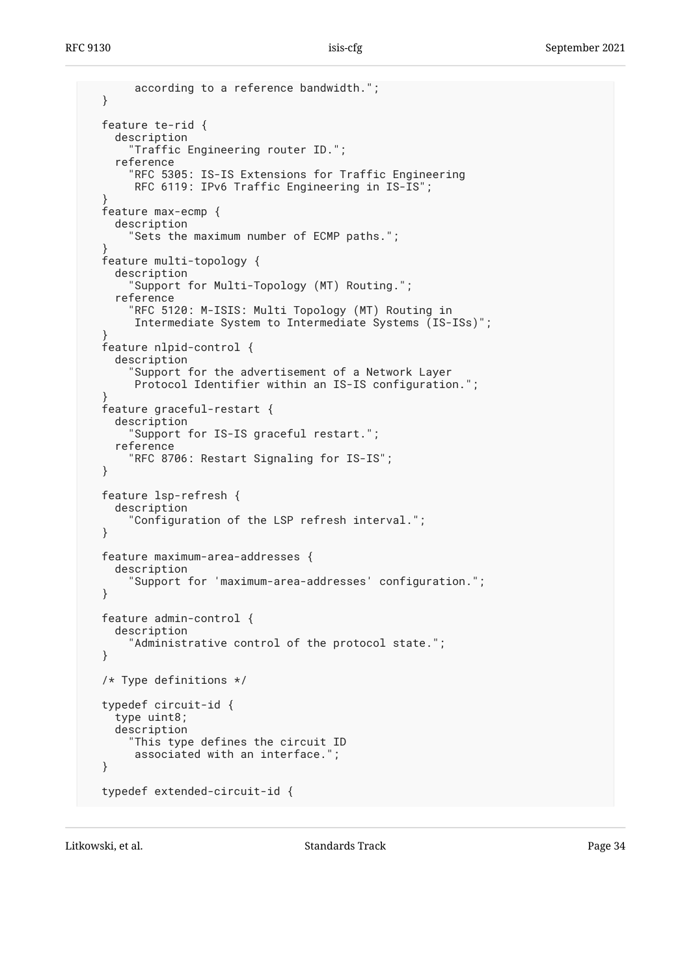```
 according to a reference bandwidth.";
  }
  feature te-rid {
    description
       "Traffic Engineering router ID.";
     reference
       "RFC 5305: IS-IS Extensions for Traffic Engineering
        RFC 6119: IPv6 Traffic Engineering in IS-IS";
 }
  feature max-ecmp {
     description
       "Sets the maximum number of ECMP paths.";
 }
  feature multi-topology {
     description
       "Support for Multi-Topology (MT) Routing.";
     reference
       "RFC 5120: M-ISIS: Multi Topology (MT) Routing in
        Intermediate System to Intermediate Systems (IS-ISs)";
 }
   feature nlpid-control {
     description
       "Support for the advertisement of a Network Layer
        Protocol Identifier within an IS-IS configuration.";
 }
   feature graceful-restart {
     description
       "Support for IS-IS graceful restart.";
     reference
       "RFC 8706: Restart Signaling for IS-IS";
  }
  feature lsp-refresh {
     description
       "Configuration of the LSP refresh interval.";
  }
  feature maximum-area-addresses {
     description
       "Support for 'maximum-area-addresses' configuration.";
  }
  feature admin-control {
     description
       "Administrative control of the protocol state.";
  }
  /* Type definitions */
  typedef circuit-id {
     type uint8;
     description
       "This type defines the circuit ID
        associated with an interface.";
  }
  typedef extended-circuit-id {
```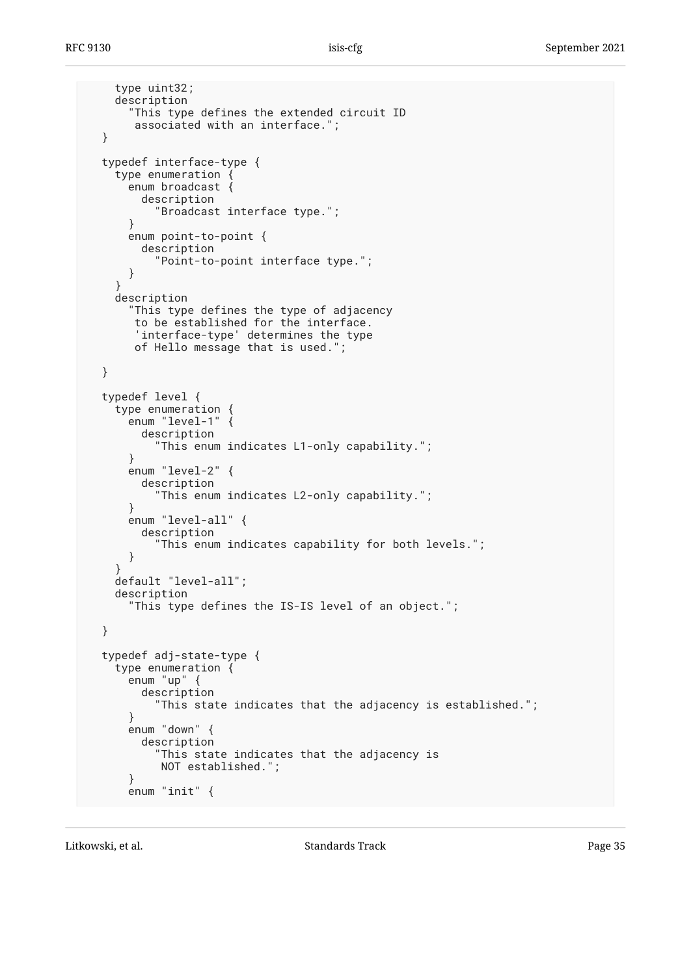```
 type uint32;
   description
     "This type defines the extended circuit ID
      associated with an interface.";
 }
 typedef interface-type {
   type enumeration {
     enum broadcast {
       description
          "Broadcast interface type.";
     }
     enum point-to-point {
       description
         "Point-to-point interface type.";
     }
   }
   description
     "This type defines the type of adjacency
      to be established for the interface.
      'interface-type' determines the type
      of Hello message that is used.";
 }
 typedef level {
   type enumeration {
     enum "level-1" {
       description
          "This enum indicates L1-only capability.";
     }
     enum "level-2" {
       description
         "This enum indicates L2-only capability.";
     }
     enum "level-all" {
       description
         "This enum indicates capability for both levels.";
     }
   }
   default "level-all";
   description
     "This type defines the IS-IS level of an object.";
 }
 typedef adj-state-type {
   type enumeration {
     enum "up" {
       description
          "This state indicates that the adjacency is established.";
     }
     enum "down" {
       description
          "This state indicates that the adjacency is
          NOT established.";
     }
     enum "init" {
```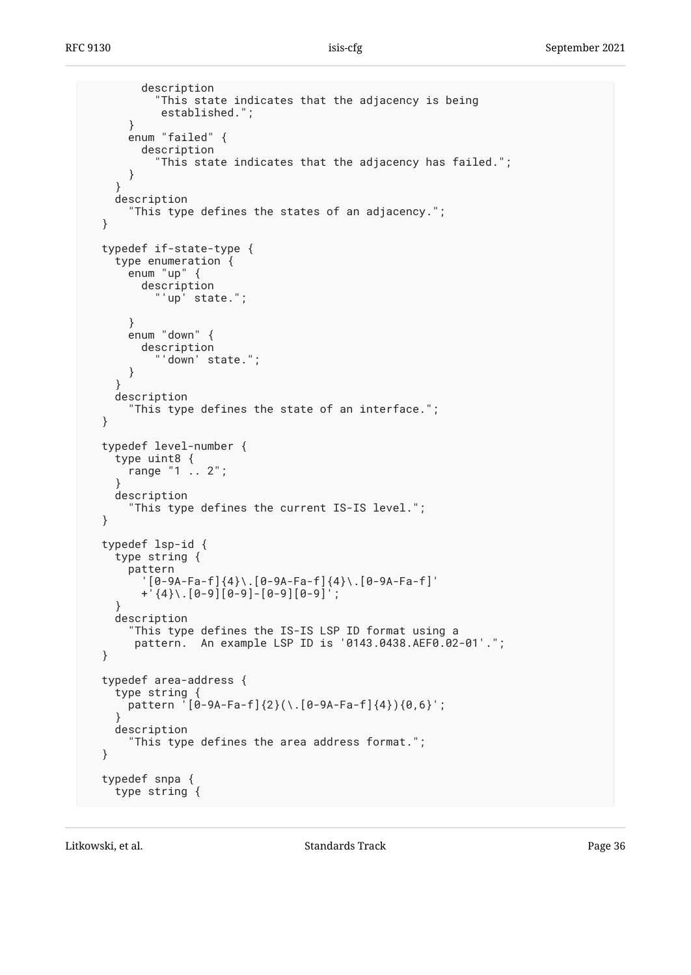```
 description
            "This state indicates that the adjacency is being
            established.";
       }
       enum "failed" {
         description
            "This state indicates that the adjacency has failed.";
       }
     }
     description
       "This type defines the states of an adjacency.";
  }
  typedef if-state-type {
     type enumeration {
       enum "up" {
         description
           "'up' state.";
       }
       enum "down" {
         description
            "'down' state.";
       }
     }
     description
       "This type defines the state of an interface.";
  }
  typedef level-number {
     type uint8 {
       range "1 .. 2";
     }
     description
       "This type defines the current IS-IS level.";
  }
  typedef lsp-id {
     type string {
       pattern
         '[0-9A-Fa-f]{4}\.[0-9A-Fa-f]{4}\.[0-9A-Fa-f]'
         +'{4}\.[0-9][0-9]-[0-9][0-9]';
 }
     description
       "This type defines the IS-IS LSP ID format using a
        pattern. An example LSP ID is '0143.0438.AEF0.02-01'.";
  }
  typedef area-address {
     type string {
      pattern [0-9A-Fa-f]\{2\}(\ldots[0-9A-Fa-f]\{4\})\{0,6\};
 }
    description
       "This type defines the area address format.";
  }
  typedef snpa {
     type string {
```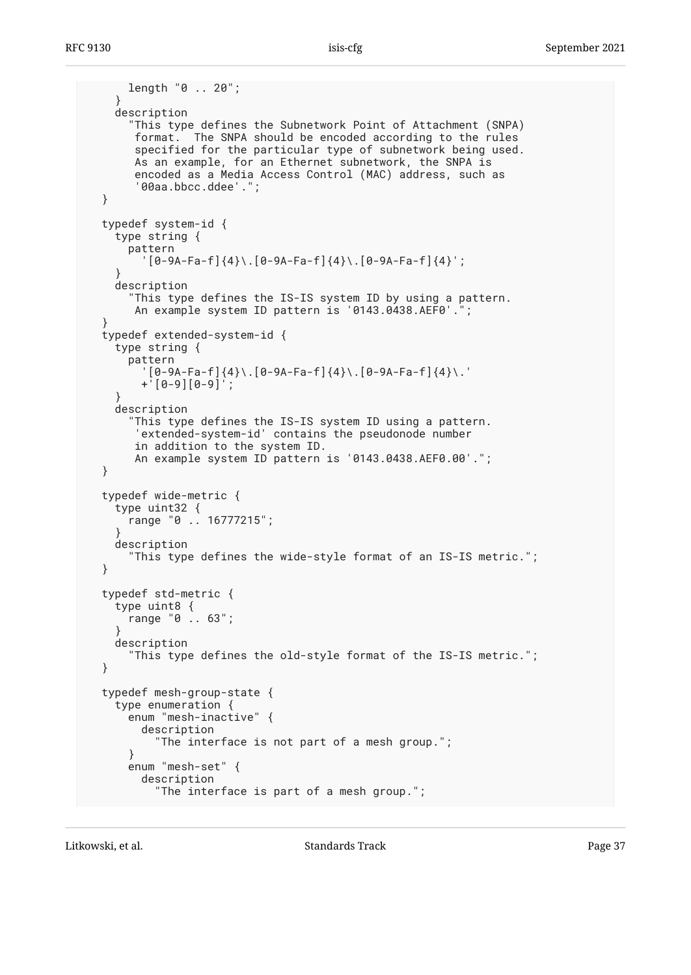```
 length "0 .. 20";
    }
    description
      "This type defines the Subnetwork Point of Attachment (SNPA)
       format. The SNPA should be encoded according to the rules
       specified for the particular type of subnetwork being used.
       As an example, for an Ethernet subnetwork, the SNPA is
       encoded as a Media Access Control (MAC) address, such as
       '00aa.bbcc.ddee'.";
 }
 typedef system-id {
    type string {
      pattern
        [0-9A-Fa-f]\{4\}.[0-9A-Fa-f]\{4\}.[0-9A-Fa-f]\{4\}';
}
    description
      "This type defines the IS-IS system ID by using a pattern.
      An example system ID pattern is '0143.0438.AEF0'.
}
 typedef extended-system-id {
   type string {
      pattern
        '[0-9A-Fa-f]{4}\.[0-9A-Fa-f]{4}\.[0-9A-Fa-f]{4}\.'
        +'[0-9][0-9]';
}
    description
      "This type defines the IS-IS system ID using a pattern.
       'extended-system-id' contains the pseudonode number
       in addition to the system ID.
       An example system ID pattern is '0143.0438.AEF0.00'.";
 }
 typedef wide-metric {
    type uint32 {
      range "0 .. 16777215";
}
    description
      "This type defines the wide-style format of an IS-IS metric.";
 }
 typedef std-metric {
    type uint8 {
      range "0 .. 63";
}
    description
      "This type defines the old-style format of the IS-IS metric.";
 }
 typedef mesh-group-state {
    type enumeration {
      enum "mesh-inactive" {
        description
          "The interface is not part of a mesh group.";
      }
      enum "mesh-set" {
        description
          "The interface is part of a mesh group.";
```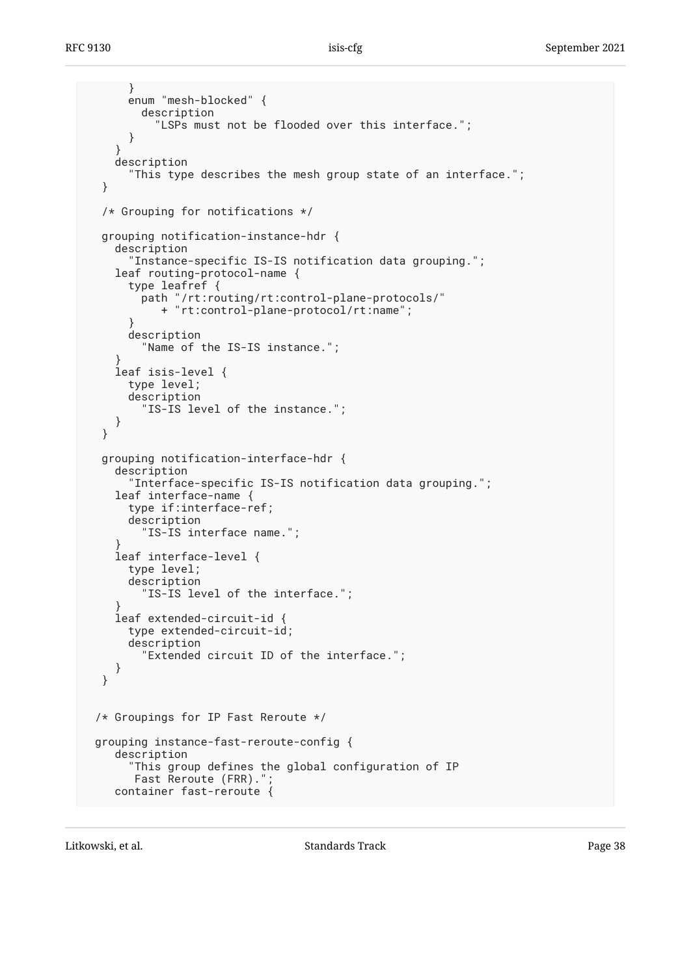```
 }
     enum "mesh-blocked" {
        description
          "LSPs must not be flooded over this interface.";
      }
}
    description
      "This type describes the mesh group state of an interface.";
 }
 /* Grouping for notifications */
 grouping notification-instance-hdr {
    description
      "Instance-specific IS-IS notification data grouping.";
   leaf routing-protocol-name {
     type leafref {
        path "/rt:routing/rt:control-plane-protocols/"
           + "rt:control-plane-protocol/rt:name";
}
     description
        "Name of the IS-IS instance.";
}
    leaf isis-level {
     type level;
     description
        "IS-IS level of the instance.";
    }
 }
 grouping notification-interface-hdr {
    description
      "Interface-specific IS-IS notification data grouping.";
    leaf interface-name {
     type if:interface-ref;
     description
        "IS-IS interface name.";
}
   leaf interface-level {
     type level;
     description
        "IS-IS level of the interface.";
}
    leaf extended-circuit-id {
     type extended-circuit-id;
     description
        "Extended circuit ID of the interface.";
    }
 }
/* Groupings for IP Fast Reroute */
grouping instance-fast-reroute-config {
   description
"This group defines the global configuration of IP
Fast Reroute (FRR).";
    container fast-reroute {
```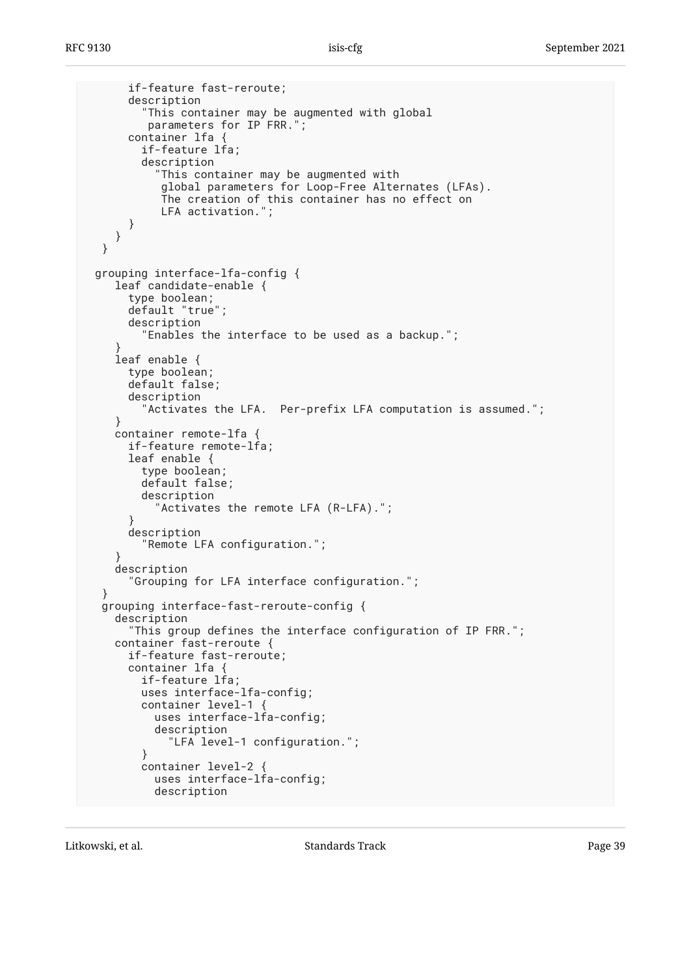```
 if-feature fast-reroute;
      description
        "This container may be augmented with global
         parameters for IP FRR.";
      container lfa {
        if-feature lfa;
        description
          "This container may be augmented with
           global parameters for Loop-Free Alternates (LFAs).
           The creation of this container has no effect on
           LFA activation.";
     }
    }
 }
grouping interface-lfa-config {
    leaf candidate-enable {
      type boolean;
      default "true";
      description
        "Enables the interface to be used as a backup.";
}
    leaf enable {
      type boolean;
      default false;
      description
        'Activates the LFA. Per-prefix LFA computation is assumed.";
    }
    container remote-lfa {
      if-feature remote-lfa;
      leaf enable {
        type boolean;
        default false;
        description
          "Activates the remote LFA (R-LFA).";
      }
      description
        "Remote LFA configuration.";
    }
    description
      "Grouping for LFA interface configuration.";
 }
 grouping interface-fast-reroute-config {
    description
      "This group defines the interface configuration of IP FRR.";
    container fast-reroute {
      if-feature fast-reroute;
      container lfa {
        if-feature lfa;
        uses interface-lfa-config;
        container level-1 {
          uses interface-lfa-config;
          description
            "LFA level-1 configuration.";
        }
        container level-2 {
          uses interface-lfa-config;
          description
```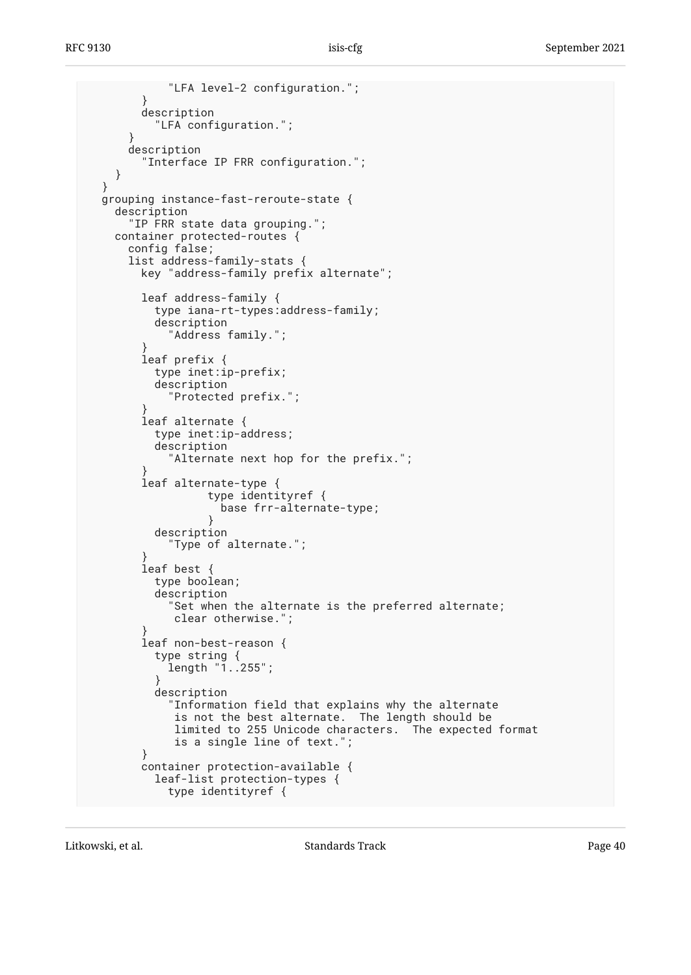"LFA level-2 configuration."; } description "LFA configuration."; } description "Interface IP FRR configuration."; } } grouping instance-fast-reroute-state { description "IP FRR state data grouping."; container protected-routes { config false; list address-family-stats { key "address-family prefix alternate"; leaf address-family { type iana-rt-types:address-family; description "Address family."; } leaf prefix { type inet:ip-prefix; description "Protected prefix."; } leaf alternate { type inet:ip-address; description "Alternate next hop for the prefix."; } leaf alternate-type { type identityref { base frr-alternate-type; } description "Type of alternate."; } leaf best { type boolean; description "Set when the alternate is the preferred alternate; clear otherwise."; } leaf non-best-reason { type string { length "1..255"; } description "Information field that explains why the alternate is not the best alternate. The length should be limited to 255 Unicode characters. The expected format is a single line of text."; } container protection-available { leaf-list protection-types { type identityref {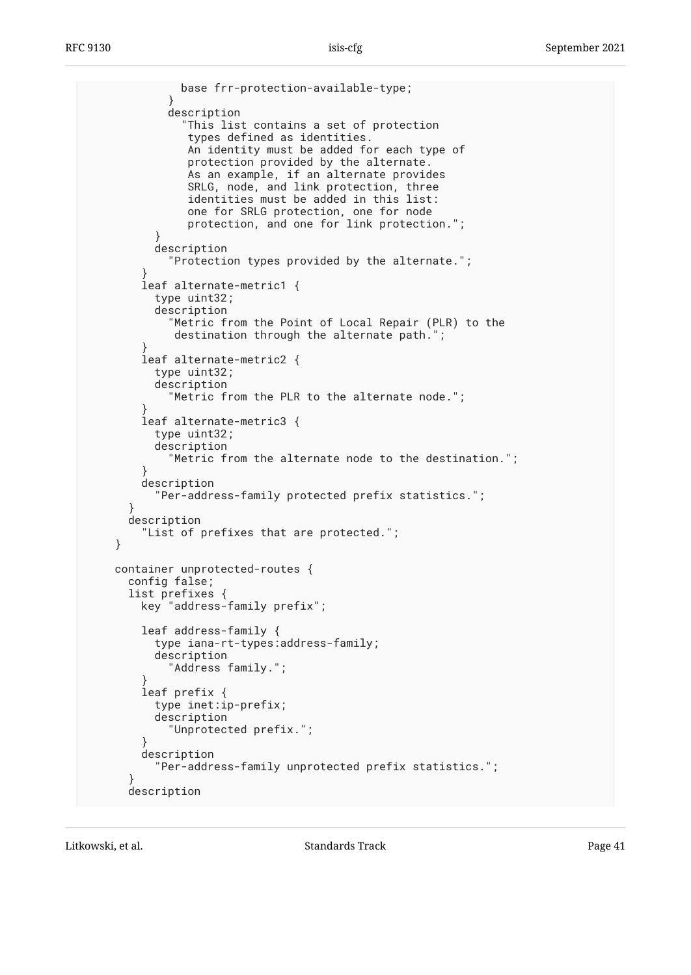```
 base frr-protection-available-type;
}
           description
             "This list contains a set of protection
              types defined as identities.
              An identity must be added for each type of
              protection provided by the alternate.
              As an example, if an alternate provides
SRLG, node, and link protection, three
identities must be added in this list:
              one for SRLG protection, one for node
              protection, and one for link protection.";
}
         description
           "Protection types provided by the alternate.";
}
       leaf alternate-metric1 {
         type uint32;
         description
           "Metric from the Point of Local Repair (PLR) to the
            destination through the alternate path.";
}
       leaf alternate-metric2 {
         type uint32;
         description
            "Metric from the PLR to the alternate node.";
}
       leaf alternate-metric3 {
         type uint32;
         description
           "Metric from the alternate node to the destination.";
}
       description
         "Per-address-family protected prefix statistics.";
}
     description
        "List of prefixes that are protected.";
   }
   container unprotected-routes {
     config false;
     list prefixes {
       key "address-family prefix";
       leaf address-family {
         type iana-rt-types:address-family;
         description
           "Address family.";
}
       leaf prefix {
         type inet:ip-prefix;
         description
           "Unprotected prefix.";
}
       description
          "Per-address-family unprotected prefix statistics.";
}
     description
```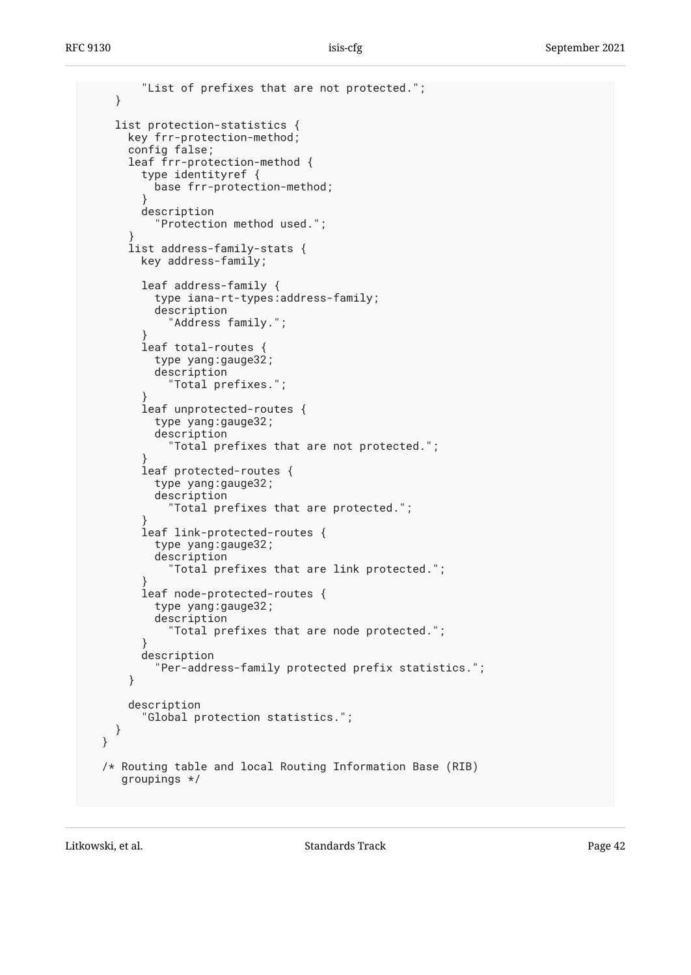```
 "List of prefixes that are not protected.";
   }
   list protection-statistics {
     key frr-protection-method;
      config false;
      leaf frr-protection-method {
        type identityref {
          base frr-protection-method;
}
       description
          "Protection method used.";
}
     list address-family-stats {
       key address-family;
       leaf address-family {
          type iana-rt-types:address-family;
          description
            "Address family.";
}
        leaf total-routes {
         type yang:gauge32;
          description
            "Total prefixes.";
}
        leaf unprotected-routes {
          type yang:gauge32;
          description
            "Total prefixes that are not protected.";
}
       leaf protected-routes {
          type yang:gauge32;
          description
            "Total prefixes that are protected.";
}
        leaf link-protected-routes {
          type yang:gauge32;
          description
            "Total prefixes that are link protected.";
}
       leaf node-protected-routes {
          type yang:gauge32;
          description
            "Total prefixes that are node protected.";
}
       description
          "Per-address-family protected prefix statistics.";
      }
     description
        "Global protection statistics.";
   }
 }
 /* Routing table and local Routing Information Base (RIB)
    groupings */
```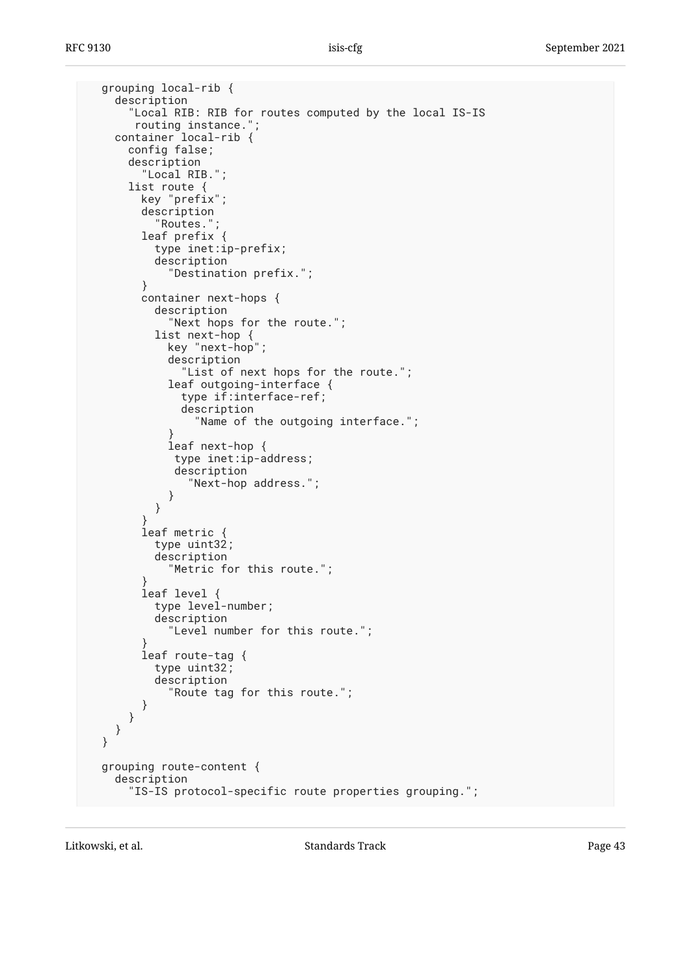```
 grouping local-rib {
    description
      "Local RIB: RIB for routes computed by the local IS-IS
      routing instance.";
    container local-rib {
      config false;
      description
        "Local RIB.";
      list route {
        key "prefix";
        description
          "Routes.";
        leaf prefix {
          type inet:ip-prefix;
          description
            "Destination prefix.";
        }
        container next-hops {
          description
            "Next hops for the route.";
          list next-hop {
            key "next-hop";
            description
              "List of next hops for the route.";
            leaf outgoing-interface {
              type if:interface-ref;
              description
                "Name of the outgoing interface.";
}
            leaf next-hop {
             type inet:ip-address;
             description
               "Next-hop address.";
}
          }
}
        leaf metric {
          type uint32;
          description
            "Metric for this route.";
}
        leaf level {
          type level-number;
          description
            "Level number for this route.";
}
        leaf route-tag {
          type uint32;
          description
            "Route tag for this route.";
       }
     }
   }
 }
 grouping route-content {
    description
      "IS-IS protocol-specific route properties grouping.";
```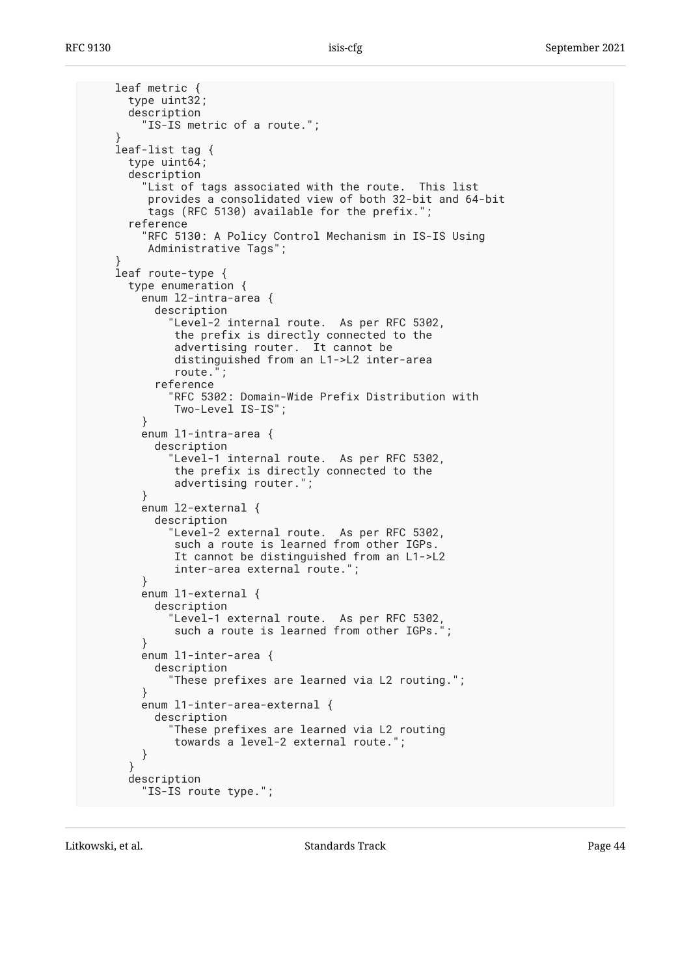```
 leaf metric {
      type uint32;
      description
        "IS-IS metric of a route.";
}
    leaf-list tag {
     type uint64;
      description
        "List of tags associated with the route. This list
         provides a consolidated view of both 32-bit and 64-bit
         tags (RFC 5130) available for the prefix.";
      reference
        "RFC 5130: A Policy Control Mechanism in IS-IS Using
         Administrative Tags";
}
    leaf route-type {
     type enumeration {
        enum l2-intra-area {
          description
            "Level-2 internal route. As per RFC 5302,
             the prefix is directly connected to the
             advertising router. It cannot be
             distinguished from an L1->L2 inter-area
             route.";
          reference
             "RFC 5302: Domain-Wide Prefix Distribution with
             Two-Level IS-IS";
}
        enum l1-intra-area {
          description
            "Level-1 internal route. As per RFC 5302,
             the prefix is directly connected to the
             advertising router.";
        }
        enum l2-external {
          description
            "Level-2 external route. As per RFC 5302,
            such a route is learned from other IGPs.
             It cannot be distinguished from an L1->L2
             inter-area external route.";
        }
        enum l1-external {
          description
            "Level-1 external route. As per RFC 5302,
             such a route is learned from other IGPs.";
}
        enum l1-inter-area {
          description
            "These prefixes are learned via L2 routing.";
}
        enum l1-inter-area-external {
          description
            "These prefixes are learned via L2 routing
             towards a level-2 external route.";
        }
      }
     description
        "IS-IS route type.";
```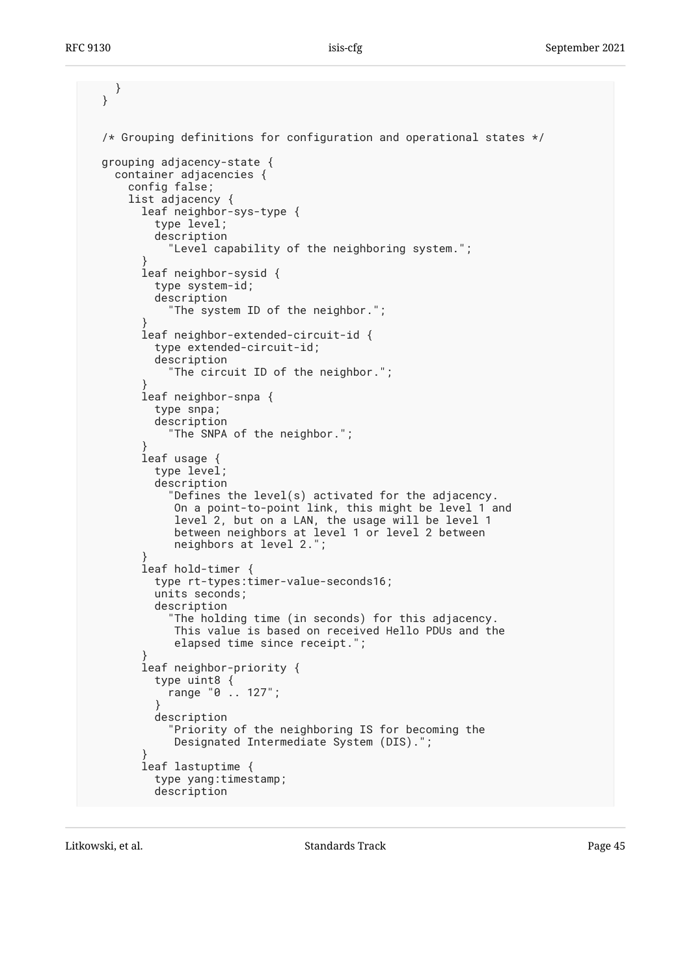```
 }
 }
 /* Grouping definitions for configuration and operational states */
 grouping adjacency-state {
   container adjacencies {
     config false;
     list adjacency {
       leaf neighbor-sys-type {
         type level;
         description
           "Level capability of the neighboring system.";
}
       leaf neighbor-sysid {
         type system-id;
         description
           "The system ID of the neighbor.";
}
       leaf neighbor-extended-circuit-id {
         type extended-circuit-id;
         description
            "The circuit ID of the neighbor.";
}
       leaf neighbor-snpa {
         type snpa;
         description
            "The SNPA of the neighbor.";
}
       leaf usage {
         type level;
         description
            "Defines the level(s) activated for the adjacency.
             On a point-to-point link, this might be level 1 and
             level 2, but on a LAN, the usage will be level 1
             between neighbors at level 1 or level 2 between
       neighbors at level 2.";
}
       leaf hold-timer {
         type rt-types:timer-value-seconds16;
         units seconds;
         description
            "The holding time (in seconds) for this adjacency.
            This value is based on received Hello PDUs and the
            elapsed time since receipt.";
}
       leaf neighbor-priority {
         type uint8 {
           range "0 .. 127";
}
         description
            "Priority of the neighboring IS for becoming the
            Designated Intermediate System (DIS).";
}
       leaf lastuptime {
         type yang:timestamp;
         description
```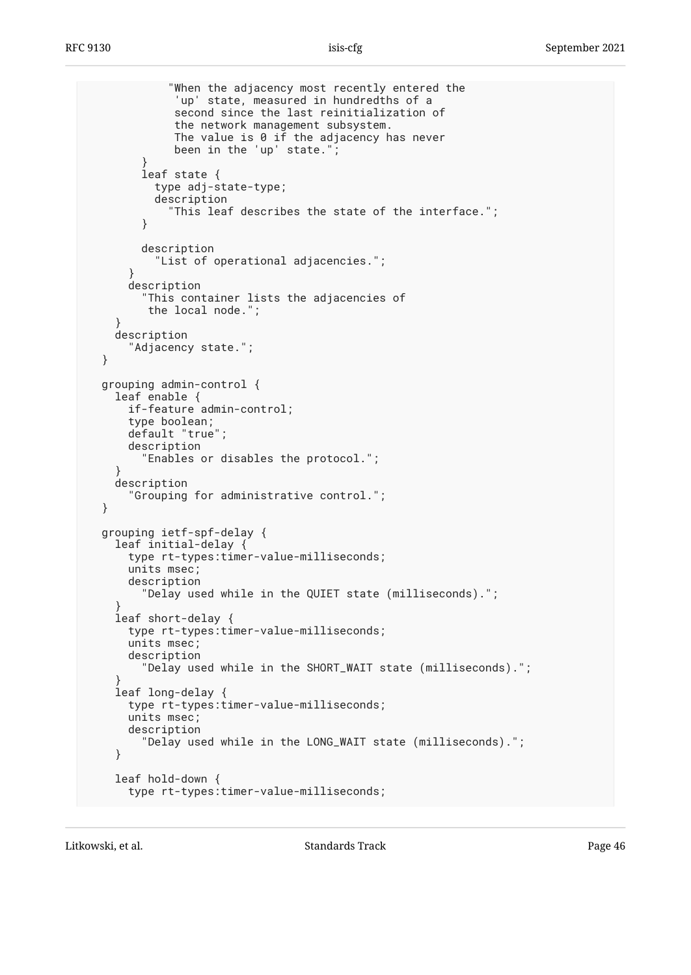```
 "When the adjacency most recently entered the
             'up' state, measured in hundredths of a
             second since the last reinitialization of
             the network management subsystem.
            The value is 0 if the adjacency has never
             been in the 'up' state.";
}
        leaf state {
          type adj-state-type;
          description
            "This leaf describes the state of the interface.";
}
        description
          "List of operational adjacencies.";
}
     description
        "This container lists the adjacencies of
         the local node.";
    }
    description
      "Adjacency state.";
 }
 grouping admin-control {
   leaf enable {
      if-feature admin-control;
     type boolean;
     default "true";
     description
        "Enables or disables the protocol.";
}
    description
      "Grouping for administrative control.";
 }
 grouping ietf-spf-delay {
   leaf initial-delay {
     type rt-types:timer-value-milliseconds;
     units msec;
     description
        "Delay used while in the QUIET state (milliseconds).";
}
    leaf short-delay {
     type rt-types:timer-value-milliseconds;
     units msec;
     description
        "Delay used while in the SHORT_WAIT state (milliseconds).";
}
   leaf long-delay {
     type rt-types:timer-value-milliseconds;
     units msec;
     description
        "Delay used while in the LONG_WAIT state (milliseconds).";
    }
    leaf hold-down {
     type rt-types:timer-value-milliseconds;
```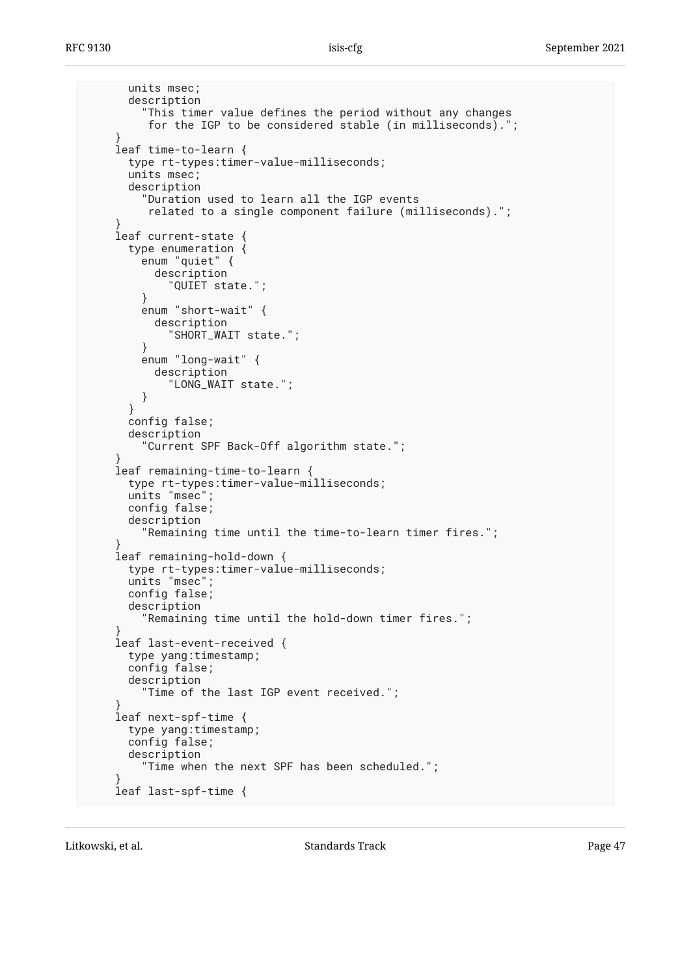```
 units msec;
      description
        "This timer value defines the period without any changes
         for the IGP to be considered stable (in milliseconds).";
}
    leaf time-to-learn {
      type rt-types:timer-value-milliseconds;
      units msec;
      description
        "Duration used to learn all the IGP events
         related to a single component failure (milliseconds).";
}
    leaf current-state {
      type enumeration {
        enum "quiet" {
          description
            "QUIET state.";
        }
        enum "short-wait" {
          description
            "SHORT_WAIT state.";
        }
        enum "long-wait" {
          description
            "LONG_WAIT state.";
        }
      }
      config false;
      description
        "Current SPF Back-Off algorithm state.";
}
    leaf remaining-time-to-learn {
      type rt-types:timer-value-milliseconds;
      units "msec";
      config false;
      description
        "Remaining time until the time-to-learn timer fires.";
}
    leaf remaining-hold-down {
     type rt-types:timer-value-milliseconds;
      units "msec";
      config false;
      description
        "Remaining time until the hold-down timer fires.";
}
    leaf last-event-received {
      type yang:timestamp;
      config false;
     description
        "Time of the last IGP event received.";
}
    leaf next-spf-time {
     type yang:timestamp;
      config false;
      description
         "Time when the next SPF has been scheduled.";
}
    leaf last-spf-time {
```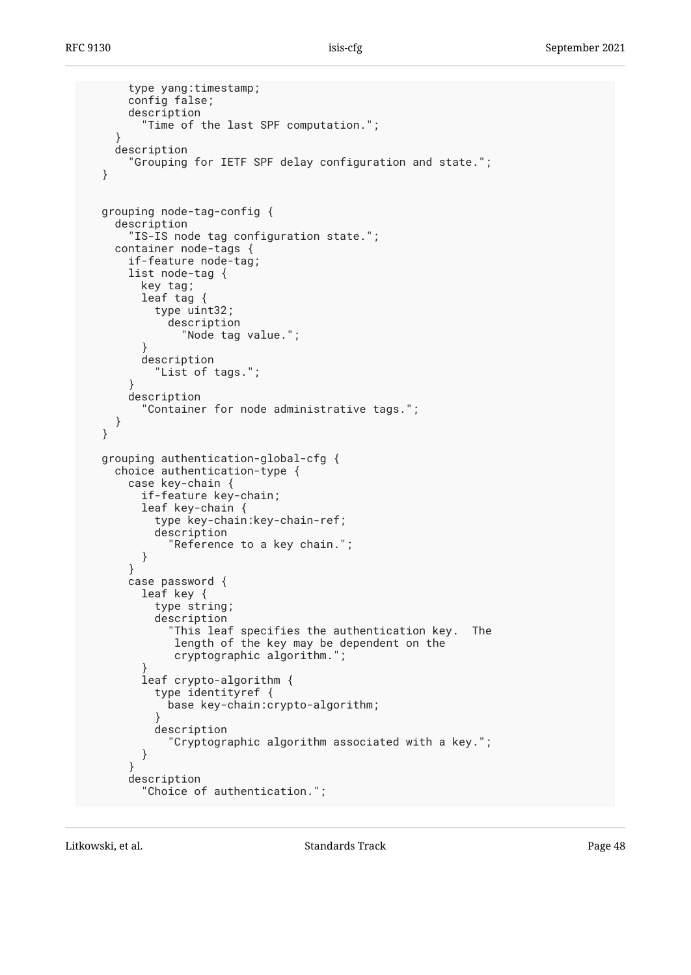```
 type yang:timestamp;
      config false;
      description
        "Time of the last SPF computation.";
    }
   description
      "Grouping for IETF SPF delay configuration and state.";
 }
 grouping node-tag-config {
    description
      "IS-IS node tag configuration state.";
    container node-tags {
      if-feature node-tag;
      list node-tag {
key tag;
leaf tag {
          type uint32;
            description
              "Node tag value.";
        }
        description
          "List of tags.";
}
      description
        "Container for node administrative tags.";
    }
 }
 grouping authentication-global-cfg {
    choice authentication-type {
      case key-chain {
        if-feature key-chain;
        leaf key-chain {
          type key-chain:key-chain-ref;
          description
            "Reference to a key chain.";
        }
      }
      case password {
        leaf key {
          type string;
          description
             "This leaf specifies the authentication key. The
             length of the key may be dependent on the
             cryptographic algorithm.";
}
        leaf crypto-algorithm {
          type identityref {
            base key-chain:crypto-algorithm;
}
          description
            "Cryptographic algorithm associated with a key.";
        }
      }
      description
        "Choice of authentication.";
```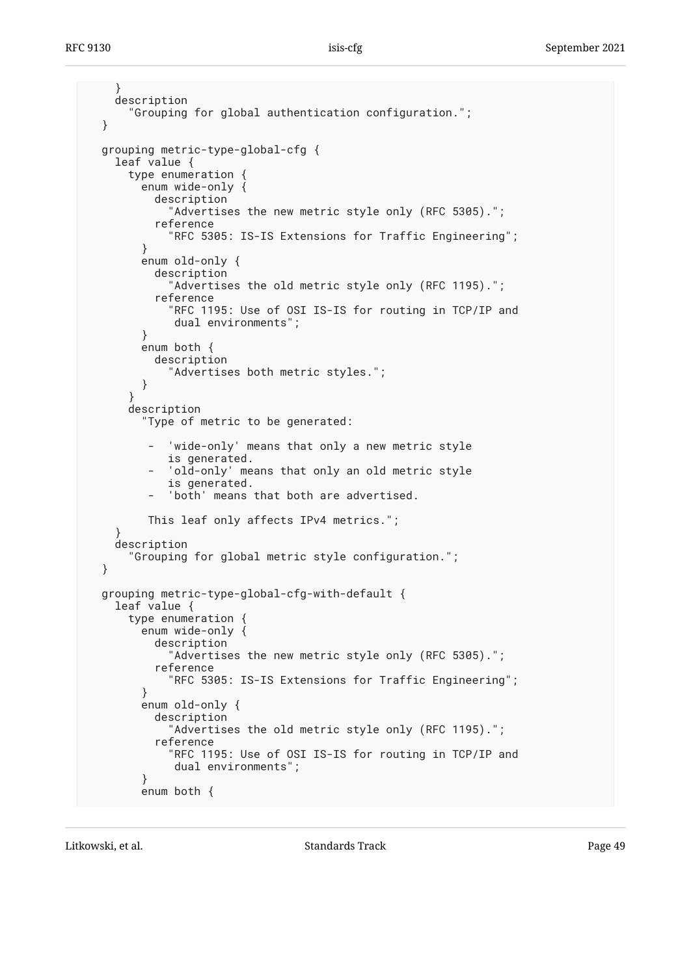```
 }
    description
      "Grouping for global authentication configuration.";
 }
 grouping metric-type-global-cfg {
    leaf value {
      type enumeration {
        enum wide-only {
          description
            "Advertises the new metric style only (RFC 5305).";
          reference
            "RFC 5305: IS-IS Extensions for Traffic Engineering";
        }
        enum old-only {
          description
             "Advertises the old metric style only (RFC 1195).";
          reference
            "RFC 1195: Use of OSI IS-IS for routing in TCP/IP and
             dual environments";
        }
        enum both {
          description
            "Advertises both metric styles.";
        }
}
      description
        "Type of metric to be generated:
          'wide-only' means that only a new metric style
            is generated.
           'old-only' means that only an old metric style
            is generated.
           'both' means that both are advertised.
         This leaf only affects IPv4 metrics.";
}
    description
      "Grouping for global metric style configuration.";
 }
 grouping metric-type-global-cfg-with-default {
    leaf value {
      type enumeration {
        enum wide-only {
          description
            "Advertises the new metric style only (RFC 5305).";
          reference
            "RFC 5305: IS-IS Extensions for Traffic Engineering";
        }
        enum old-only {
          description
            "Advertises the old metric style only (RFC 1195).";
          reference
             "RFC 1195: Use of OSI IS-IS for routing in TCP/IP and
             dual environments";
        }
        enum both {
```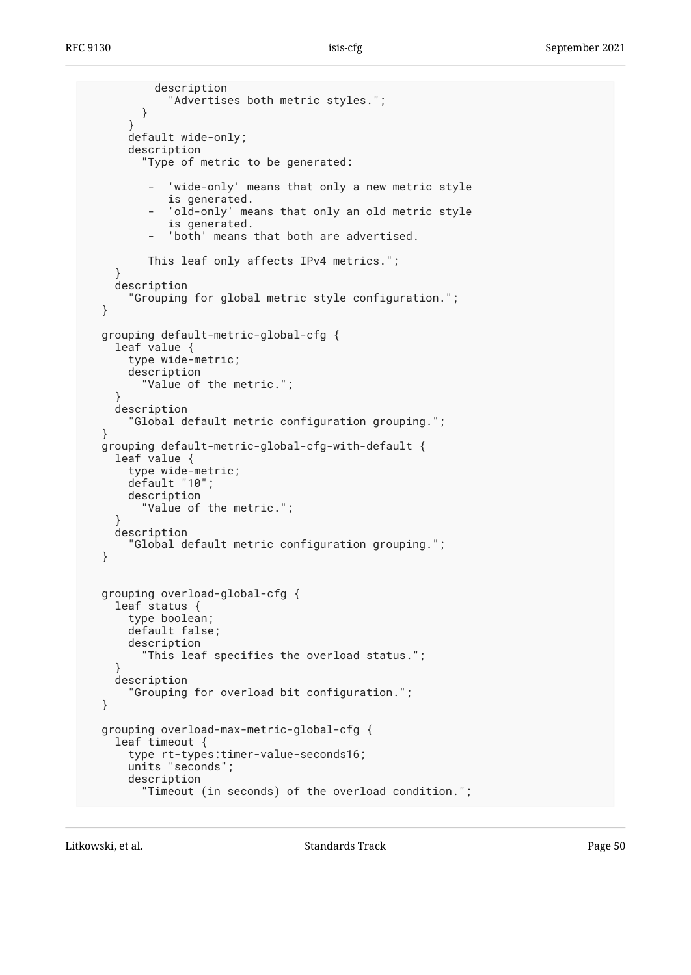```
 description
            "Advertises both metric styles.";
        }
      }
      default wide-only;
      description
        "Type of metric to be generated:
           'wide-only' means that only a new metric style
            is generated.
           'old-only' means that only an old metric style
            is generated.
          'both' means that both are advertised.
         This leaf only affects IPv4 metrics.";
}
   description
      "Grouping for global metric style configuration.";
 }
 grouping default-metric-global-cfg {
    leaf value {
      type wide-metric;
      description
        "Value of the metric.";
}
    description
      "Global default metric configuration grouping.";
}
 grouping default-metric-global-cfg-with-default {
    leaf value {
      type wide-metric;
      default "10";
      description
        "Value of the metric.";
}
   description
      "Global default metric configuration grouping.";
 }
 grouping overload-global-cfg {
   leaf status {
      type boolean;
      default false;
      description
         "This leaf specifies the overload status.";
}
   description
      "Grouping for overload bit configuration.";
 }
 grouping overload-max-metric-global-cfg {
   leaf timeout {
      type rt-types:timer-value-seconds16;
      units "seconds";
      description
        "Timeout (in seconds) of the overload condition.";
```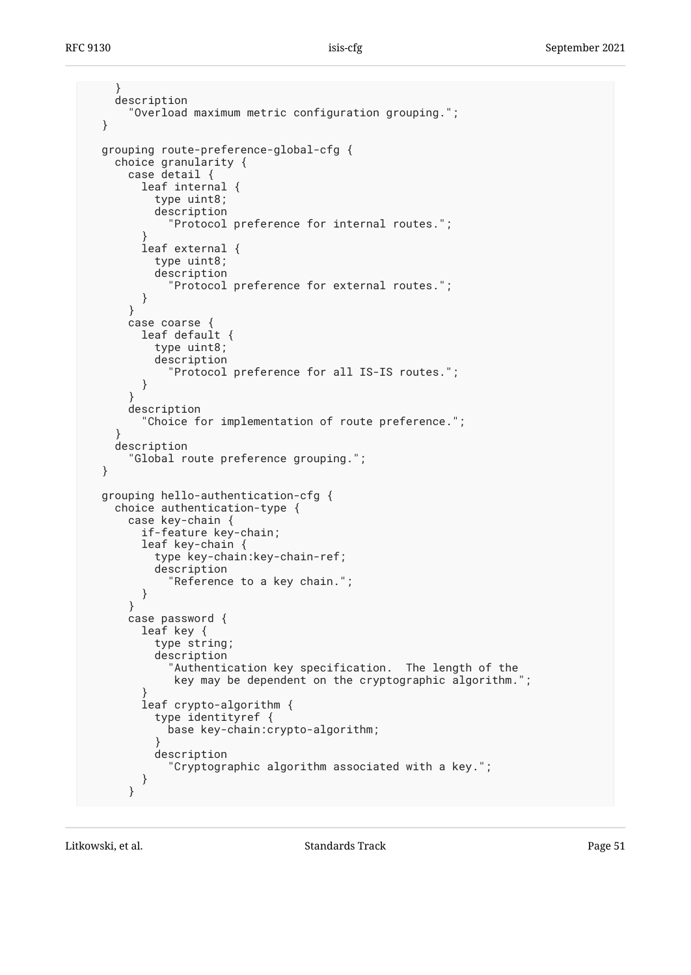```
 }
    description
      "Overload maximum metric configuration grouping.";
 }
 grouping route-preference-global-cfg {
    choice granularity {
      case detail {
        leaf internal {
          type uint8;
          description
            "Protocol preference for internal routes.";
}
        leaf external {
          type uint8;
          description
            "Protocol preference for external routes.";
        }
      }
     case coarse {
        leaf default {
          type uint8;
          description
            "Protocol preference for all IS-IS routes.";
        }
}
      description
        "Choice for implementation of route preference.";
}
   description
      "Global route preference grouping.";
 }
 grouping hello-authentication-cfg {
   choice authentication-type {
      case key-chain {
        if-feature key-chain;
        leaf key-chain {
          type key-chain:key-chain-ref;
          description
            "Reference to a key chain.";
        }
      }
      case password {
        leaf key {
          type string;
          description
            "Authentication key specification. The length of the
             key may be dependent on the cryptographic algorithm.";
}
        leaf crypto-algorithm {
          type identityref {
            base key-chain:crypto-algorithm;
}
          description
            "Cryptographic algorithm associated with a key.";
        }
      }
```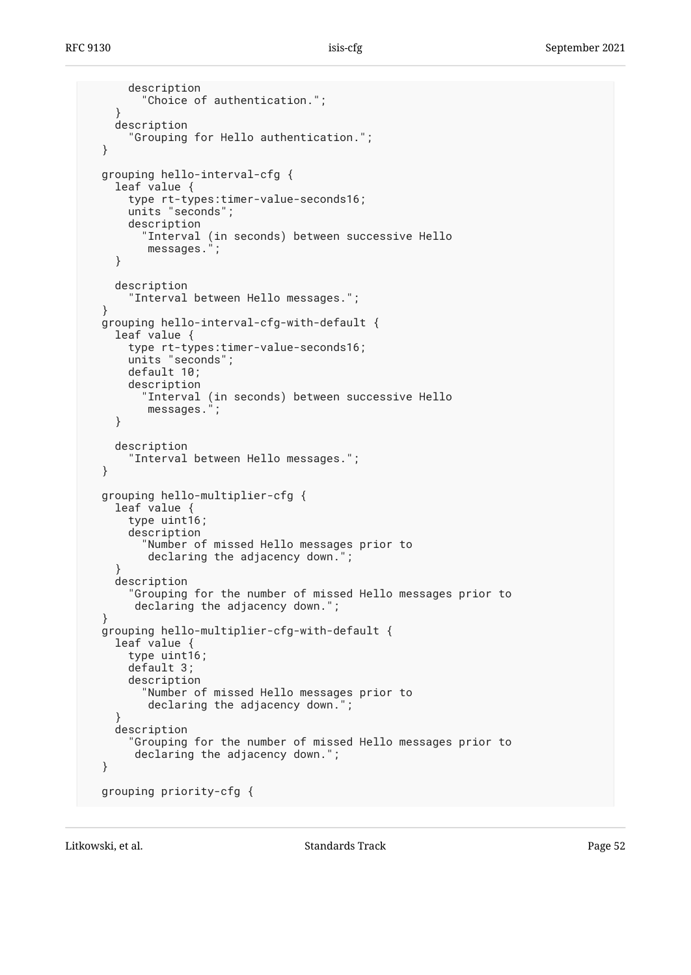```
 description
        "Choice of authentication.";
    }
    description
      "Grouping for Hello authentication.";
 }
 grouping hello-interval-cfg {
    leaf value {
      type rt-types:timer-value-seconds16;
      units "seconds";
      description
        "Interval (in seconds) between successive Hello
         messages.";
    }
    description
      "Interval between Hello messages.";
}
 grouping hello-interval-cfg-with-default {
   leaf value {
      type rt-types:timer-value-seconds16;
      units "seconds";
      default 10;
      description
         "Interval (in seconds) between successive Hello
         messages.";
    }
    description
      "Interval between Hello messages.";
 }
 grouping hello-multiplier-cfg {
    leaf value {
      type uint16;
      description
        "Number of missed Hello messages prior to
         declaring the adjacency down.";
    }
    description
      "Grouping for the number of missed Hello messages prior to
       declaring the adjacency down.";
 }
 grouping hello-multiplier-cfg-with-default {
    leaf value {
      type uint16;
      default 3;
      description
        "Number of missed Hello messages prior to
         declaring the adjacency down.";
}
    description
      "Grouping for the number of missed Hello messages prior to
       declaring the adjacency down.";
 }
 grouping priority-cfg {
```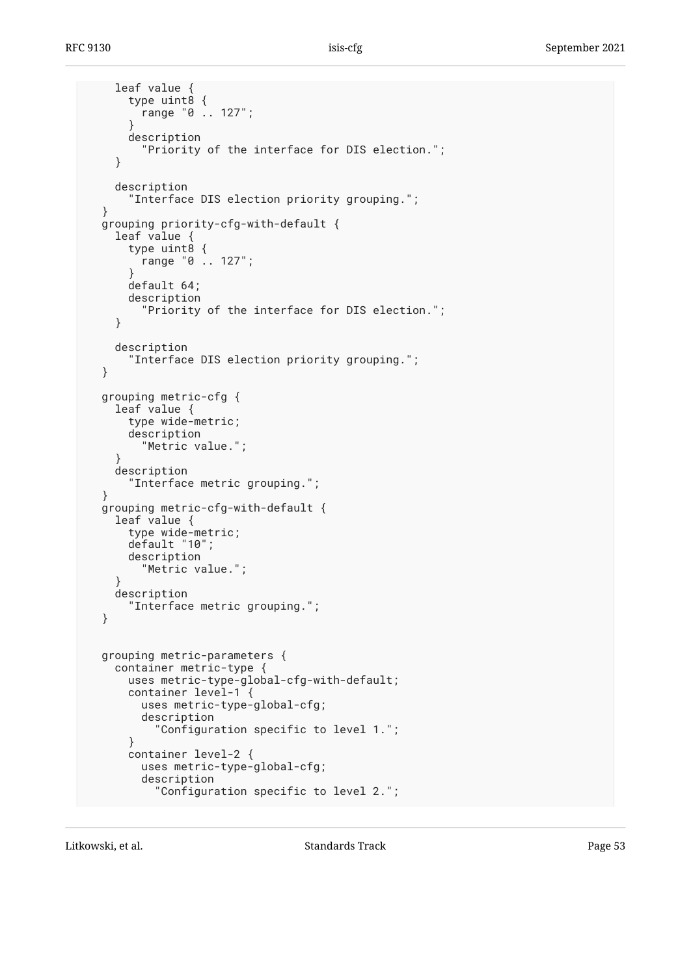```
 leaf value {
      type uint8 {
        range "0 .. 127";
}
      description
        "Priority of the interface for DIS election.";
    }
    description
      "Interface DIS election priority grouping.";
 }
 grouping priority-cfg-with-default {
   leaf value {
      type uint8 {
        range "0 .. 127";
}
      default 64;
      description
        "Priority of the interface for DIS election.";
    }
    description
      "Interface DIS election priority grouping.";
 }
 grouping metric-cfg {
    leaf value {
      type wide-metric;
      description
        "Metric value.";
    }
    description
      "Interface metric grouping.";
 }
 grouping metric-cfg-with-default {
    leaf value {
      type wide-metric;
      default "10";
      description
        "Metric value.";
    }
   description
      "Interface metric grouping.";
 }
 grouping metric-parameters {
    container metric-type {
      uses metric-type-global-cfg-with-default;
      container level-1 {
        uses metric-type-global-cfg;
        description
          "Configuration specific to level 1.";
      }
      container level-2 {
        uses metric-type-global-cfg;
        description
          "Configuration specific to level 2.";
```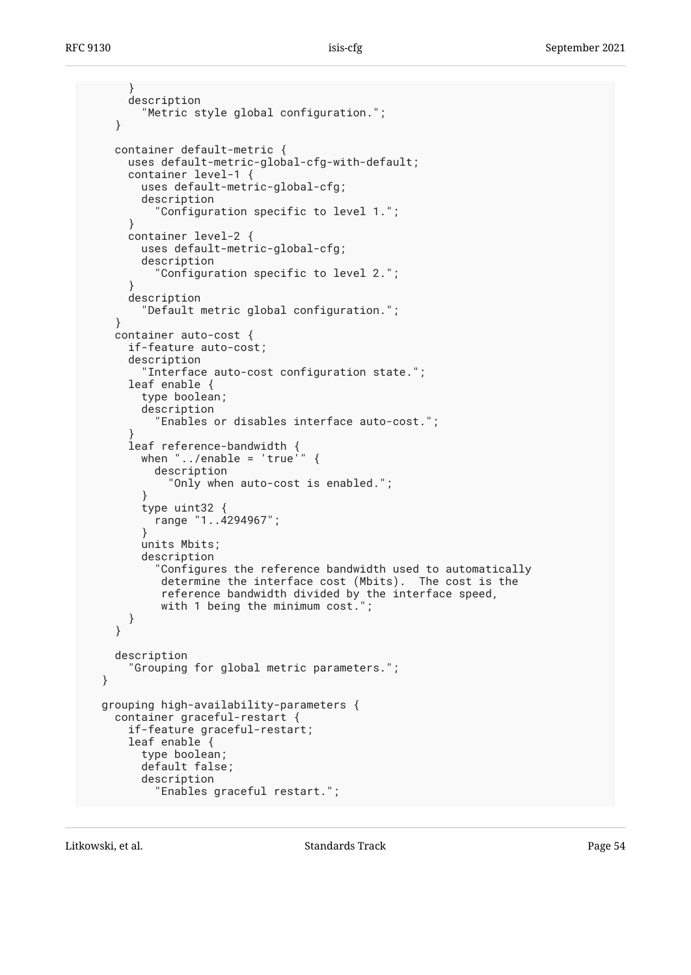```
 }
      description
        "Metric style global configuration.";
    }
    container default-metric {
      uses default-metric-global-cfg-with-default;
      container level-1 {
        uses default-metric-global-cfg;
        description
          "Configuration specific to level 1.";
      }
      container level-2 {
        uses default-metric-global-cfg;
        description
          "Configuration specific to level 2.";
}
      description
        "Default metric global configuration.";
    }
    container auto-cost {
      if-feature auto-cost;
      description
        "Interface auto-cost configuration state.";
      leaf enable {
        type boolean;
        description
          "Enables or disables interface auto-cost.";
}
leaf reference-bandwidth {
when "../enable = 'true'" {
          description
            "Only when auto-cost is enabled.";
}
        type uint32 {
          range "1..4294967";
        }
        units Mbits;
        description
          "Configures the reference bandwidth used to automatically
           determine the interface cost (Mbits). The cost is the
           reference bandwidth divided by the interface speed,
          with 1 being the minimum cost.";
     }
    }
    description
      "Grouping for global metric parameters.";
 }
 grouping high-availability-parameters {
    container graceful-restart {
      if-feature graceful-restart;
      leaf enable {
        type boolean;
        default false;
        description
          "Enables graceful restart.";
```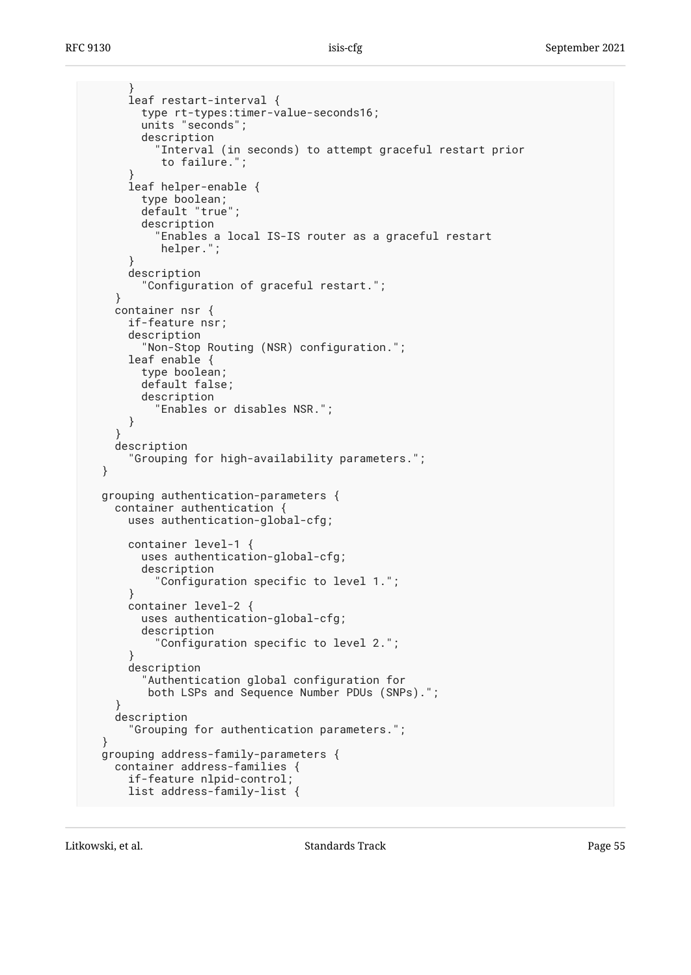```
 }
      leaf restart-interval {
        type rt-types:timer-value-seconds16;
        units "seconds";
        description
           "Interval (in seconds) to attempt graceful restart prior
           to failure.";
}
      leaf helper-enable {
        type boolean;
        default "true";
        description
          "Enables a local IS-IS router as a graceful restart
           helper.";
}
      description
        "Configuration of graceful restart.";
    }
    container nsr {
     if-feature nsr;
      description
        "Non-Stop Routing (NSR) configuration.";
      leaf enable {
        type boolean;
        default false;
        description
          "Enables or disables NSR.";
      }
    }
   description
      "Grouping for high-availability parameters.";
 }
 grouping authentication-parameters {
   container authentication {
     uses authentication-global-cfg;
      container level-1 {
        uses authentication-global-cfg;
        description
          "Configuration specific to level 1.";
      }
     container level-2 {
        uses authentication-global-cfg;
        description
          "Configuration specific to level 2.";
}
      description
        "Authentication global configuration for
         both LSPs and Sequence Number PDUs (SNPs).";
}
    description
      "Grouping for authentication parameters.";
 }
 grouping address-family-parameters {
   container address-families {
      if-feature nlpid-control;
      list address-family-list {
```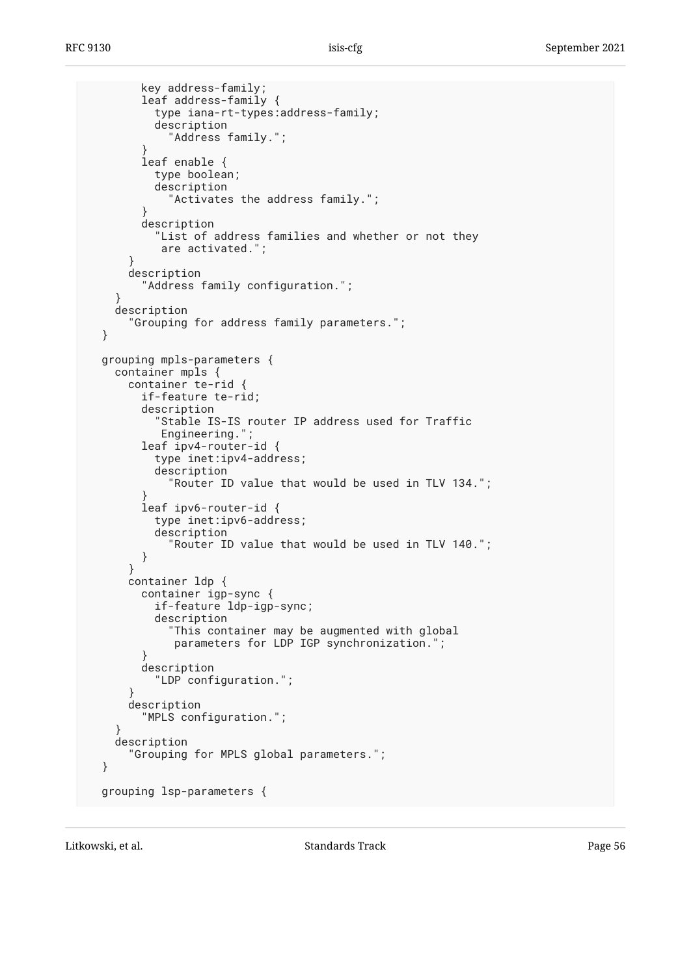```
 key address-family;
        leaf address-family {
          type iana-rt-types:address-family;
          description
            "Address family.";
}
        leaf enable {
          type boolean;
          description
            "Activates the address family.";
}
        description
          "List of address families and whether or not they
          are activated.";
}
     description
        "Address family configuration.";
    }
    description
      "Grouping for address family parameters.";
 }
 grouping mpls-parameters {
    container mpls {
     container te-rid {
        if-feature te-rid;
        description
          "Stable IS-IS router IP address used for Traffic
          Engineering.
        leaf ipv4-router-id {
          type inet:ipv4-address;
          description
            "Router ID value that would be used in TLV 134.";
}
        leaf ipv6-router-id {
          type inet:ipv6-address;
          description
            "Router ID value that would be used in TLV 140.";
        }
      }
     container ldp {
        container igp-sync {
          if-feature ldp-igp-sync;
          description
            "This container may be augmented with global
             parameters for LDP IGP synchronization.";
}
        description
          "LDP configuration.";
}
     description
        "MPLS configuration.";
}
    description
      "Grouping for MPLS global parameters.";
 }
 grouping lsp-parameters {
```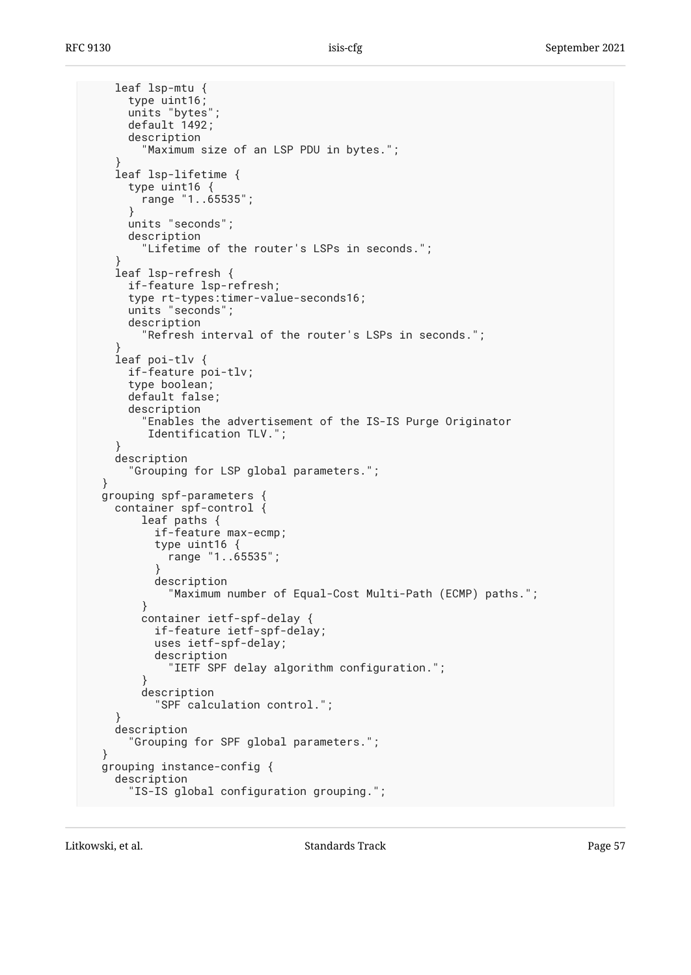leaf lsp-mtu { type uint16; units "bytes"; default 1492; description "Maximum size of an LSP PDU in bytes."; } leaf lsp-lifetime { type uint16 { range "1..65535"; } units "seconds"; description "Lifetime of the router's LSPs in seconds."; } leaf lsp-refresh { if-feature lsp-refresh; type rt-types:timer-value-seconds16; units "seconds"; description "Refresh interval of the router's LSPs in seconds."; } leaf poi-tlv { if-feature poi-tlv; type boolean; default false; description "Enables the advertisement of the IS-IS Purge Originator Identification TLV."; } description "Grouping for LSP global parameters."; } grouping spf-parameters { container spf-control { leaf paths { if-feature max-ecmp; type uint16 { range "1..65535"; } description "Maximum number of Equal-Cost Multi-Path (ECMP) paths."; } container ietf-spf-delay { if-feature ietf-spf-delay; uses ietf-spf-delay; description "IETF SPF delay algorithm configuration."; } description "SPF calculation control."; } description "Grouping for SPF global parameters."; } grouping instance-config { description "IS-IS global configuration grouping.";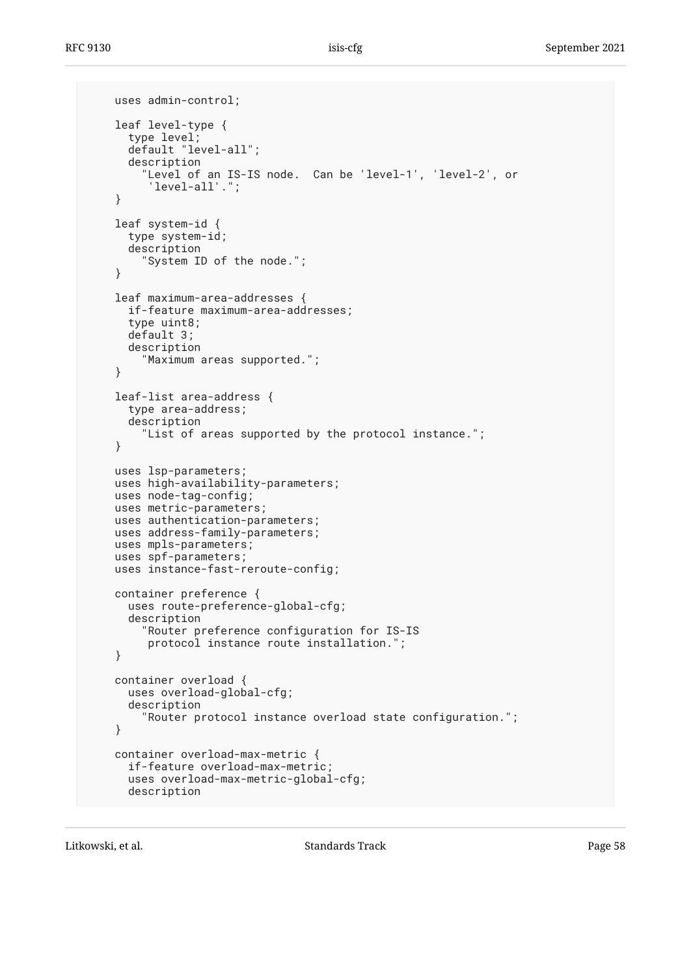```
 uses admin-control;
   leaf level-type {
type level;
default "level-all";
      description
        "Level of an IS-IS node. Can be 'level-1', 'level-2', or
         'level-all'.";
    }
    leaf system-id {
      type system-id;
     description
        "System ID of the node.";
}
    leaf maximum-area-addresses {
     if-feature maximum-area-addresses;
     type uint8;
     default 3;
      description
        "Maximum areas supported.";
    }
    leaf-list area-address {
      type area-address;
      description
        "List of areas supported by the protocol instance.";
    }
   uses lsp-parameters;
   uses high-availability-parameters;
   uses node-tag-config;
   uses metric-parameters;
   uses authentication-parameters;
   uses address-family-parameters;
   uses mpls-parameters;
   uses spf-parameters;
   uses instance-fast-reroute-config;
   container preference {
     uses route-preference-global-cfg;
      description
        "Router preference configuration for IS-IS
         protocol instance route installation.";
    }
   container overload {
     uses overload-global-cfg;
      description
        "Router protocol instance overload state configuration.";
    }
   container overload-max-metric {
     if-feature overload-max-metric;
      uses overload-max-metric-global-cfg;
     description
```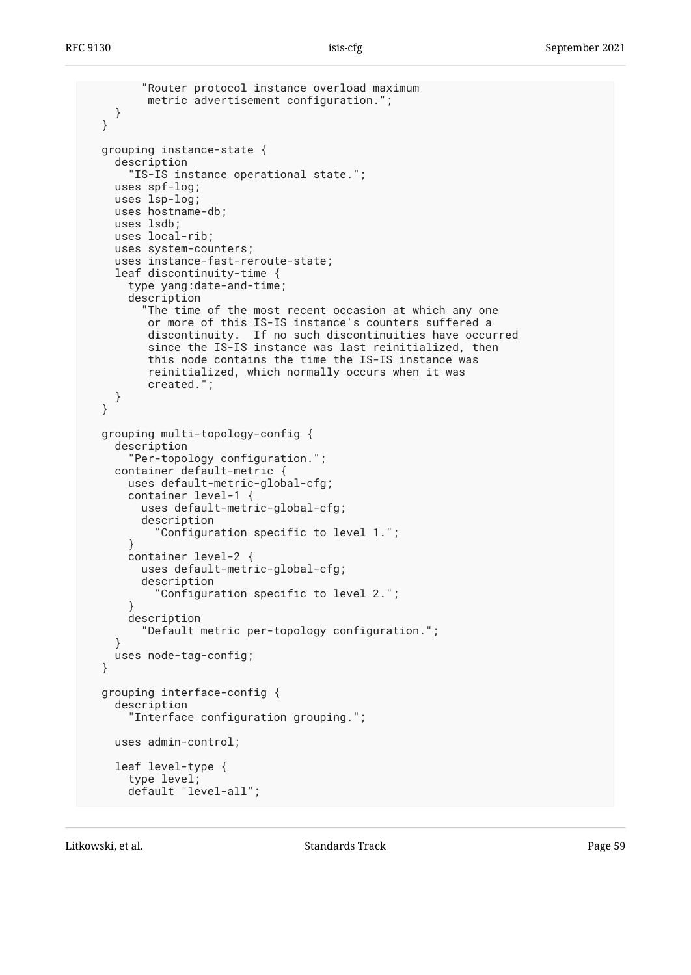```
 "Router protocol instance overload maximum
       metric advertisement configuration.";
  }
}
grouping instance-state {
  description
    "IS-IS instance operational state.";
  uses spf-log;
  uses lsp-log;
  uses hostname-db;
  uses lsdb;
  uses local-rib;
  uses system-counters;
  uses instance-fast-reroute-state;
  leaf discontinuity-time {
    type yang:date-and-time;
    description
      "The time of the most recent occasion at which any one
       or more of this IS-IS instance's counters suffered a
       discontinuity. If no such discontinuities have occurred
       since the IS-IS instance was last reinitialized, then
       this node contains the time the IS-IS instance was
       reinitialized, which normally occurs when it was
       created.";
  }
}
grouping multi-topology-config {
  description
    "Per-topology configuration.";
  container default-metric {
    uses default-metric-global-cfg;
    container level-1 {
      uses default-metric-global-cfg;
      description
        "Configuration specific to level 1.";
    }
    container level-2 {
      uses default-metric-global-cfg;
      description
        "Configuration specific to level 2.";
    }
    description
      "Default metric per-topology configuration.";
  }
  uses node-tag-config;
}
grouping interface-config {
  description
    "Interface configuration grouping.";
  uses admin-control;
  leaf level-type {
    type level;
    default "level-all";
```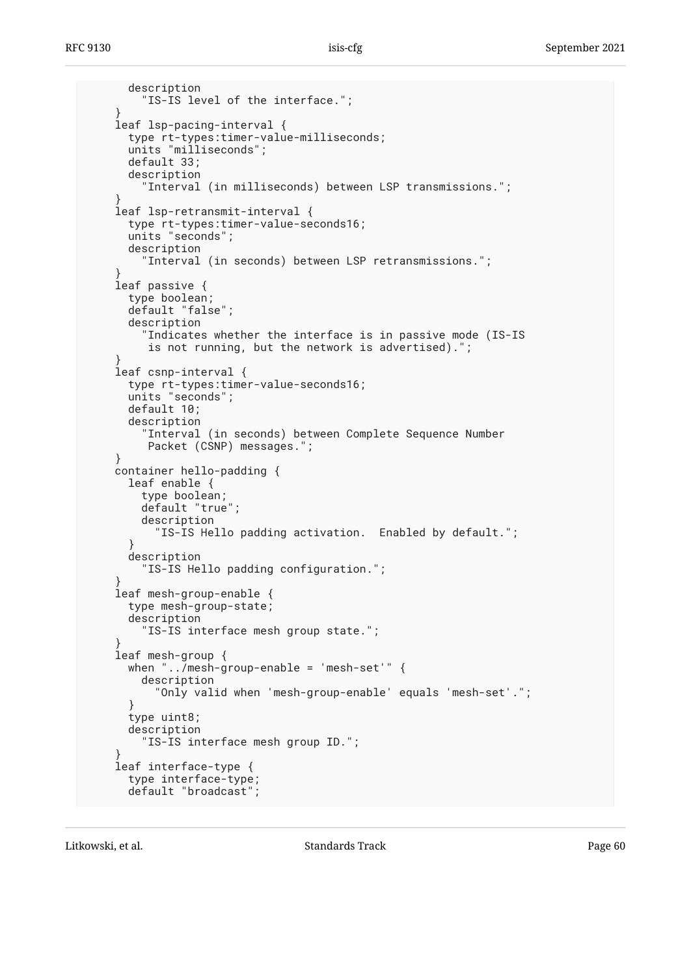```
 description
        "IS-IS level of the interface.";
    }
   leaf lsp-pacing-interval {
     type rt-types:timer-value-milliseconds;
      units "milliseconds";
     default 33;
      description
        "Interval (in milliseconds) between LSP transmissions.";
}
    leaf lsp-retransmit-interval {
      type rt-types:timer-value-seconds16;
      units "seconds";
      description
        "Interval (in seconds) between LSP retransmissions.";
}
    leaf passive {
      type boolean;
      default "false";
     description
        "Indicates whether the interface is in passive mode (IS-IS
         is not running, but the network is advertised).";
}
    leaf csnp-interval {
     type rt-types:timer-value-seconds16;
      units "seconds";
     default 10;
      description
        "Interval (in seconds) between Complete Sequence Number
         Packet (CSNP) messages.";
    }
    container hello-padding {
     leaf enable {
        type boolean;
        default "true";
        description
           "IS-IS Hello padding activation. Enabled by default.";
      }
     description
        "IS-IS Hello padding configuration.";
}
    leaf mesh-group-enable {
     type mesh-group-state;
      description
        "IS-IS interface mesh group state.";
}
    leaf mesh-group {
     when "../mesh-group-enable = 'mesh-set'" {
        description
          "Only valid when 'mesh-group-enable' equals 'mesh-set'.";
      }
      type uint8;
      description
        "IS-IS interface mesh group ID.";
}
    leaf interface-type {
      type interface-type;
     default "broadcast"
```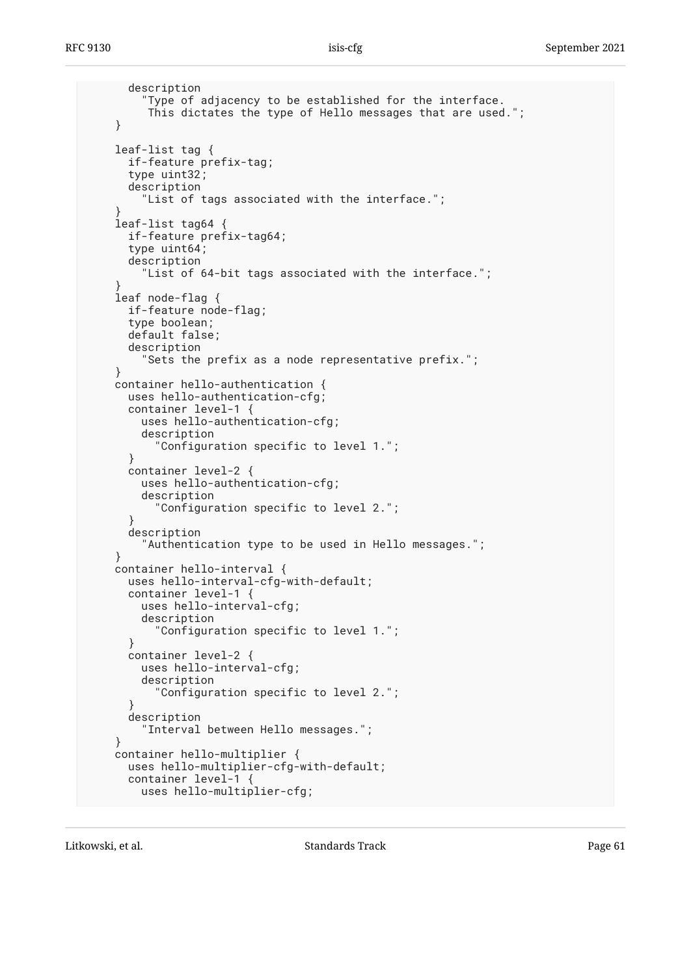```
 description
         "Type of adjacency to be established for the interface.
         This dictates the type of Hello messages that are used.";
    }
    leaf-list tag {
      if-feature prefix-tag;
      type uint32;
      description
        "List of tags associated with the interface.";
}
    leaf-list tag64 {
      if-feature prefix-tag64;
      type uint64;
      description
        "List of 64-bit tags associated with the interface.";
}
   leaf node-flag {
     if-feature node-flag;
     type boolean;
     default false;
      description
        "Sets the prefix as a node representative prefix.";
    }
    container hello-authentication {
      uses hello-authentication-cfg;
      container level-1 {
        uses hello-authentication-cfg;
        description
          "Configuration specific to level 1.";
      }
      container level-2 {
        uses hello-authentication-cfg;
        description
          "Configuration specific to level 2.";
}
      description
        "Authentication type to be used in Hello messages.";
    }
   container hello-interval {
     uses hello-interval-cfg-with-default;
      container level-1 {
        uses hello-interval-cfg;
        description
          "Configuration specific to level 1.";
      }
      container level-2 {
        uses hello-interval-cfg;
        description
          "Configuration specific to level 2.";
      }
      description
        "Interval between Hello messages.";
    }
    container hello-multiplier {
     uses hello-multiplier-cfg-with-default;
      container level-1 {
        uses hello-multiplier-cfg;
```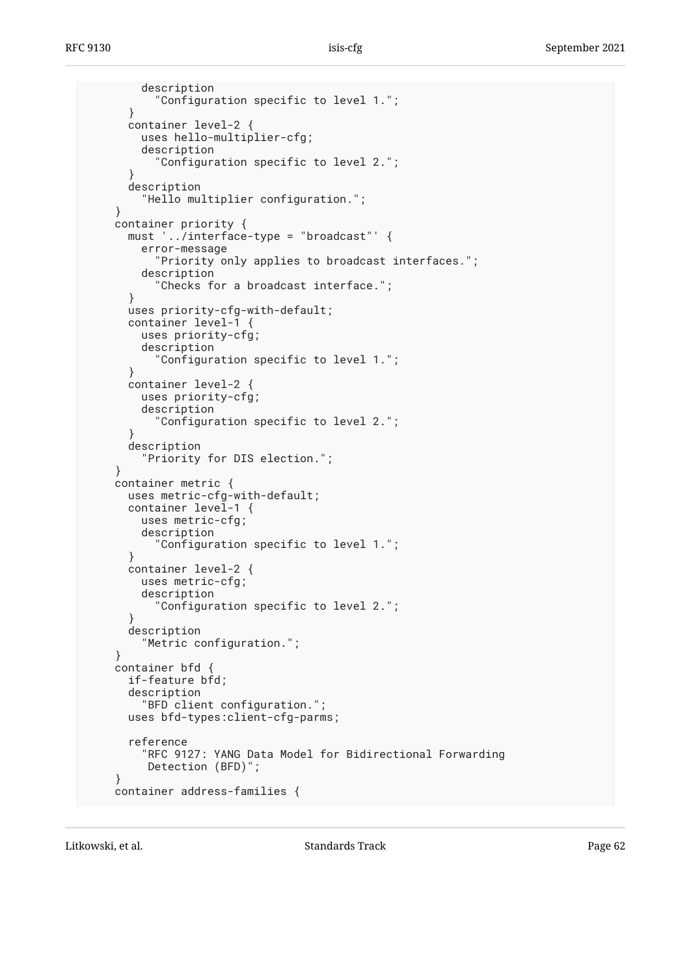```
 description
          "Configuration specific to level 1.";
      }
      container level-2 {
        uses hello-multiplier-cfg;
        description
          "Configuration specific to level 2.";
}
      description
        "Hello multiplier configuration.";
    }
    container priority {
     must '../interface-type = "broadcast"' {
        error-message
          "Priority only applies to broadcast interfaces.";
        description
          "Checks for a broadcast interface.";
      }
      uses priority-cfg-with-default;
     container level-1 {
        uses priority-cfg;
        description
          "Configuration specific to level 1.";
      }
     container level-2 {
        uses priority-cfg;
        description
          "Configuration specific to level 2.";
}
      description
        "Priority for DIS election.";
    }
    container metric {
     uses metric-cfg-with-default;
     container level-1 {
        uses metric-cfg;
        description
          "Configuration specific to level 1.";
      }
     container level-2 {
        uses metric-cfg;
        description
          "Configuration specific to level 2.";
      }
      description
        "Metric configuration.";
}
    container bfd {
     if-feature bfd;
      description
        "BFD client configuration.";
      uses bfd-types:client-cfg-parms;
      reference
        "RFC 9127: YANG Data Model for Bidirectional Forwarding
         Detection (BFD)";
}
    container address-families {
```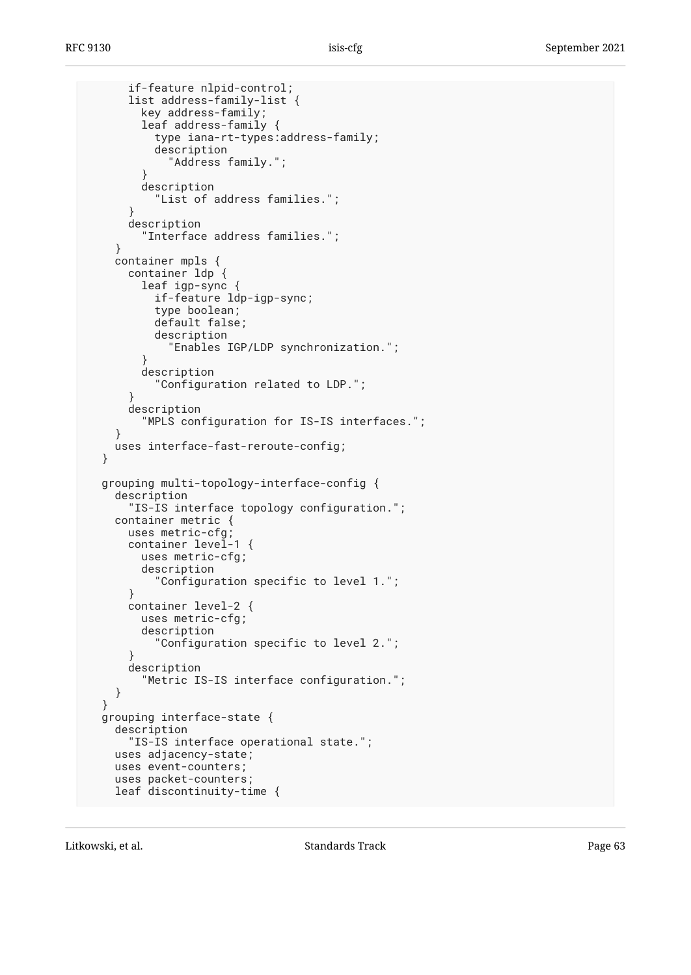```
 if-feature nlpid-control;
      list address-family-list {
        key address-family;
        leaf address-family {
          type iana-rt-types:address-family;
          description
            "Address family.";
}
        description
          "List of address families.";
}
      description
        "Interface address families.";
}
    container mpls {
      container ldp {
        leaf igp-sync {
          if-feature ldp-igp-sync;
          type boolean;
          default false;
          description
            "Enables IGP/LDP synchronization.";
}
        description
          "Configuration related to LDP.";
}
      description
        "MPLS configuration for IS-IS interfaces.";
}
   uses interface-fast-reroute-config;
 }
 grouping multi-topology-interface-config {
   description
      "IS-IS interface topology configuration.";
    container metric {
      uses metric-cfg;
     container level-1 {
        uses metric-cfg;
        description
          "Configuration specific to level 1.";
      }
     container level-2 {
        uses metric-cfg;
        description
          "Configuration specific to level 2.";
}
      description
        "Metric IS-IS interface configuration.";
   }
 }
 grouping interface-state {
   description
      "IS-IS interface operational state.";
    uses adjacency-state;
    uses event-counters;
    uses packet-counters;
   leaf discontinuity-time {
```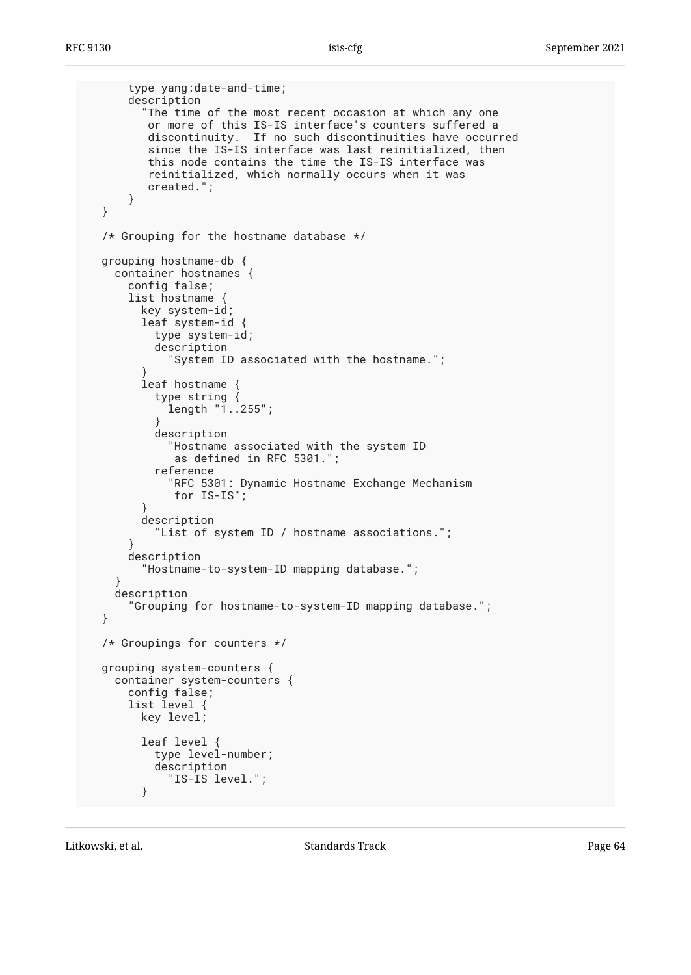```
 type yang:date-and-time;
      description
        "The time of the most recent occasion at which any one
         or more of this IS-IS interface's counters suffered a
discontinuity. If no such discontinuities have occurred
since the IS-IS interface was last reinitialized, then
         this node contains the time the IS-IS interface was
         reinitialized, which normally occurs when it was
         created.";
      }
 }
 /* Grouping for the hostname database */
 grouping hostname-db {
    container hostnames {
      config false;
      list hostname {
        key system-id;
      leaf system-id ·
          type system-id;
          description
            "System ID associated with the hostname.";
}
        leaf hostname {
          type string {
            length "1..255";
}
          description
            "Hostname associated with the system ID
            as defined in RFC 5301.";
          reference
            "RFC 5301: Dynamic Hostname Exchange Mechanism
            for IS-IS";
}
       description
          "List of system ID / hostname associations.";
}
     description
        "Hostname-to-system-ID mapping database.";
    }
   description
      "Grouping for hostname-to-system-ID mapping database.";
 }
 /* Groupings for counters */
 grouping system-counters {
    container system-counters {
      config false;
      list level {
       key level;
       leaf level {
          type level-number;
          description
            "IS-IS level.";
        }
```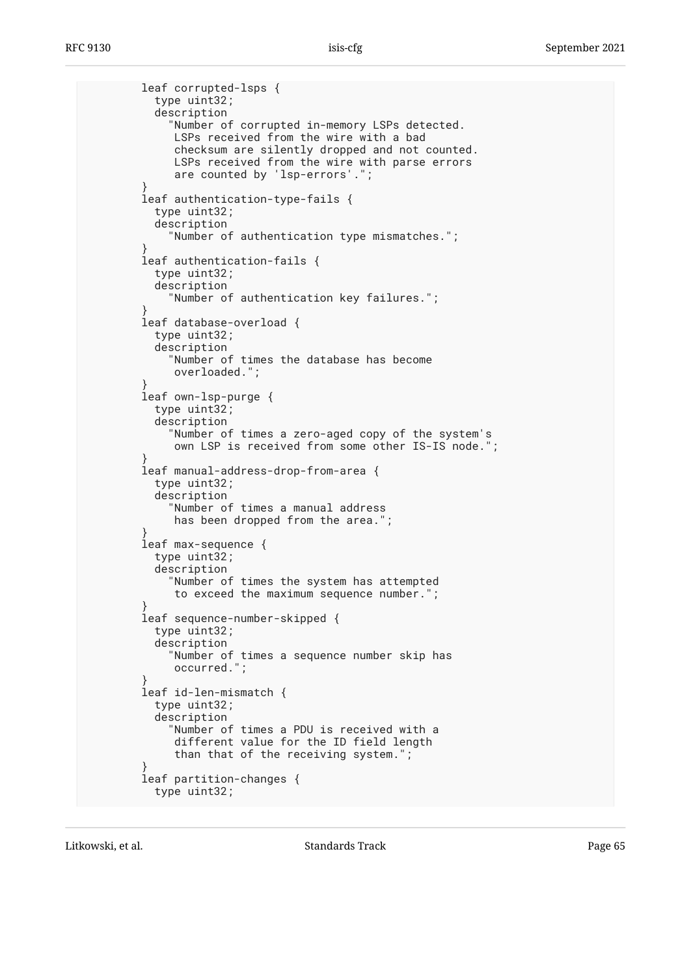leaf corrupted-lsps { type uint32; description "Number of corrupted in-memory LSPs detected. LSPs received from the wire with a bad checksum are silently dropped and not counted. LSPs received from the wire with parse errors are counted by 'lsp-errors'."; } leaf authentication-type-fails { type uint32; description "Number of authentication type mismatches."; } leaf authentication-fails { type uint32; description "Number of authentication key failures."; } leaf database-overload { type uint32; description "Number of times the database has become overloaded."; } leaf own-lsp-purge { type uint32; description "Number of times a zero-aged copy of the system's own LSP is received from some other IS-IS node."; } leaf manual-address-drop-from-area { type uint32; description "Number of times a manual address has been dropped from the area."; } leaf max-sequence { type uint32; description "Number of times the system has attempted to exceed the maximum sequence number."; } leaf sequence-number-skipped { type uint32; description "Number of times a sequence number skip has occurred."; } leaf id-len-mismatch { type uint32; description "Number of times a PDU is received with a different value for the ID field length than that of the receiving system."; } leaf partition-changes { type uint32;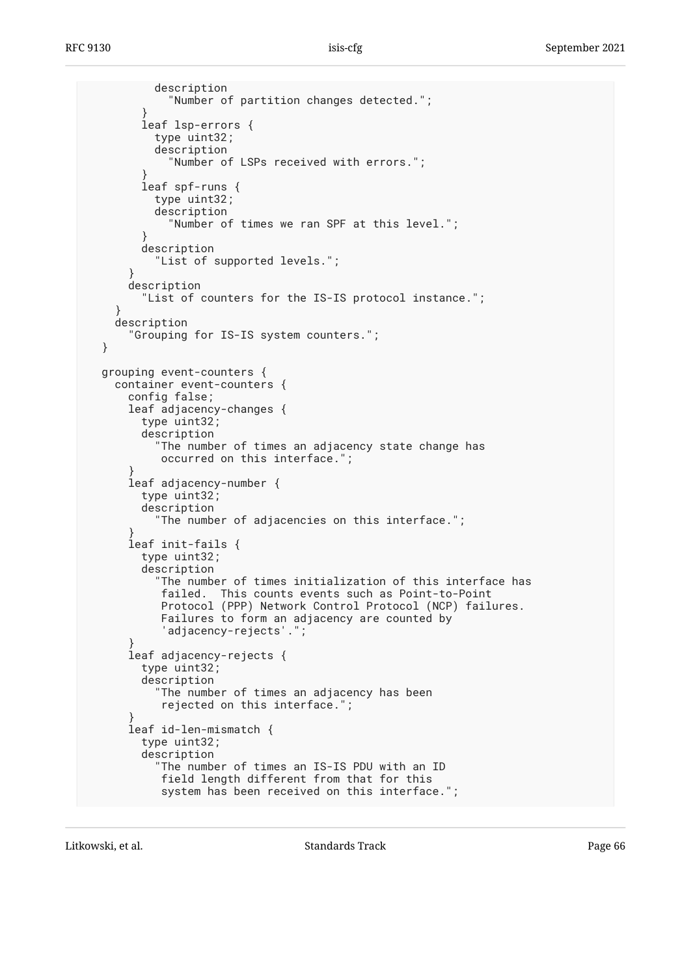```
 description
            "Number of partition changes detected.";
}
       leaf lsp-errors {
          type uint32;
          description
            "Number of LSPs received with errors.";
}
       leaf spf-runs {
          type uint32;
          description
            "Number of times we ran SPF at this level.";
}
       description
          "List of supported levels.";
}
     description
        "List of counters for the IS-IS protocol instance.";
}
   description
      "Grouping for IS-IS system counters.";
 }
 grouping event-counters {
   container event-counters {
      config false;
      leaf adjacency-changes {
       type uint32;
       description
          "The number of times an adjacency state change has
           occurred on this interface.";
}
      leaf adjacency-number {
       type uint32;
       description
          "The number of adjacencies on this interface.";
}
      leaf init-fails {
       type uint32;
       description
          "The number of times initialization of this interface has
          failed. This counts events such as Point-to-Point
           Protocol (PPP) Network Control Protocol (NCP) failures.
           Failures to form an adjacency are counted by
           'adjacency-rejects'.";
}
      leaf adjacency-rejects {
       type uint32;
       description
          "The number of times an adjacency has been
           rejected on this interface.";
}
      leaf id-len-mismatch {
       type uint32;
       description
          "The number of times an IS-IS PDU with an ID
           field length different from that for this
           system has been received on this interface.";
```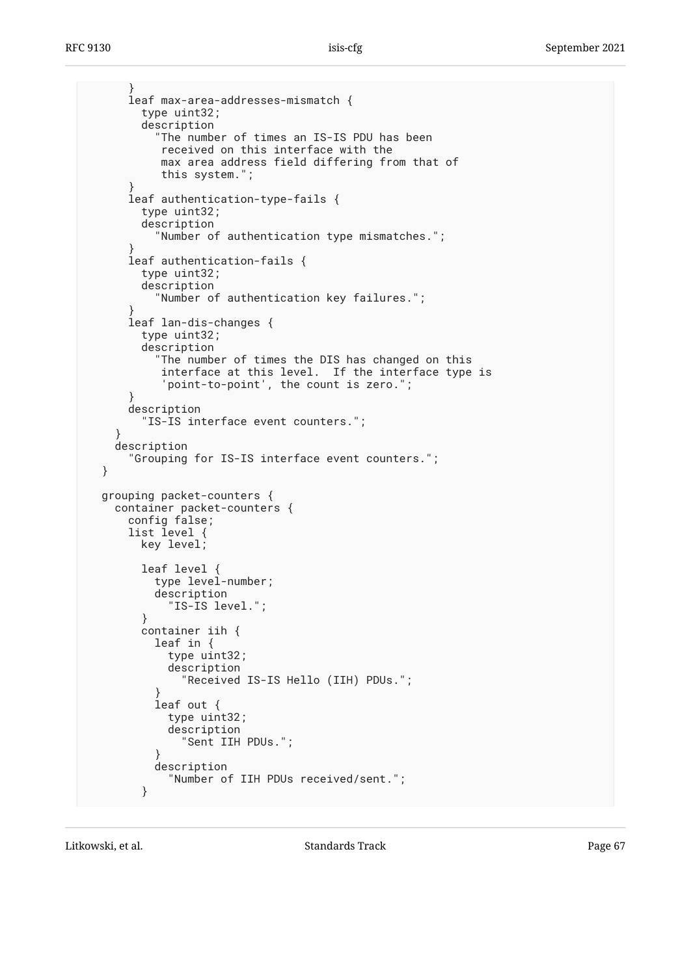```
 }
      leaf max-area-addresses-mismatch {
       type uint32;
        description
          "The number of times an IS-IS PDU has been
           received on this interface with the
           max area address field differing from that of
           this system.";
}
      leaf authentication-type-fails {
       type uint32;
       description
          "Number of authentication type mismatches.";
}
      leaf authentication-fails {
       type uint32;
        description
          "Number of authentication key failures.";
}
     leaf lan-dis-changes {
       type uint32;
        description
          "The number of times the DIS has changed on this
           interface at this level. If the interface type is
           'point-to-point', the count is zero.";
}
     description
        "IS-IS interface event counters.";
}
   description
      "Grouping for IS-IS interface event counters.";
 }
 grouping packet-counters {
   container packet-counters {
     config false;
      list level {
       key level;
       leaf level {
          type level-number;
          description
            "IS-IS level.";
        }
       container iih {
          leaf in {
            type uint32;
            description
              "Received IS-IS Hello (IIH) PDUs.";
}
          leaf out {
            type uint32;
            description
              "Sent IIH PDUs.";
}
          description
            "Number of IIH PDUs received/sent.";
        }
```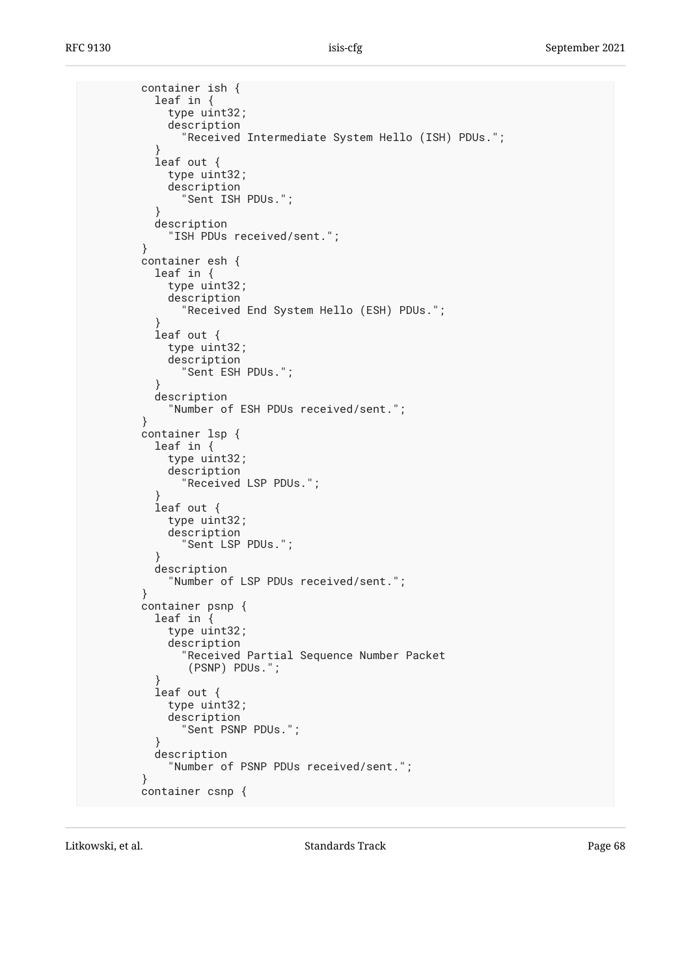container ish { leaf in { type uint32; description "Received Intermediate System Hello (ISH) PDUs."; } leaf out { type uint32; description "Sent ISH PDUs."; } description "ISH PDUs received/sent."; } container esh { leaf in { type uint32; description "Received End System Hello (ESH) PDUs."; } leaf out { type uint32; description "Sent ESH PDUs."; } description "Number of ESH PDUs received/sent."; } container lsp { leaf in { type uint32; description "Received LSP PDUs."; } leaf out { type uint32; description "Sent LSP PDUs."; } description "Number of LSP PDUs received/sent."; } container psnp { leaf in { type uint32; description "Received Partial Sequence Number Packet (PSNP) PDUs."; } leaf out { type uint32; description "Sent PSNP PDUs."; } description "Number of PSNP PDUs received/sent."; } container csnp {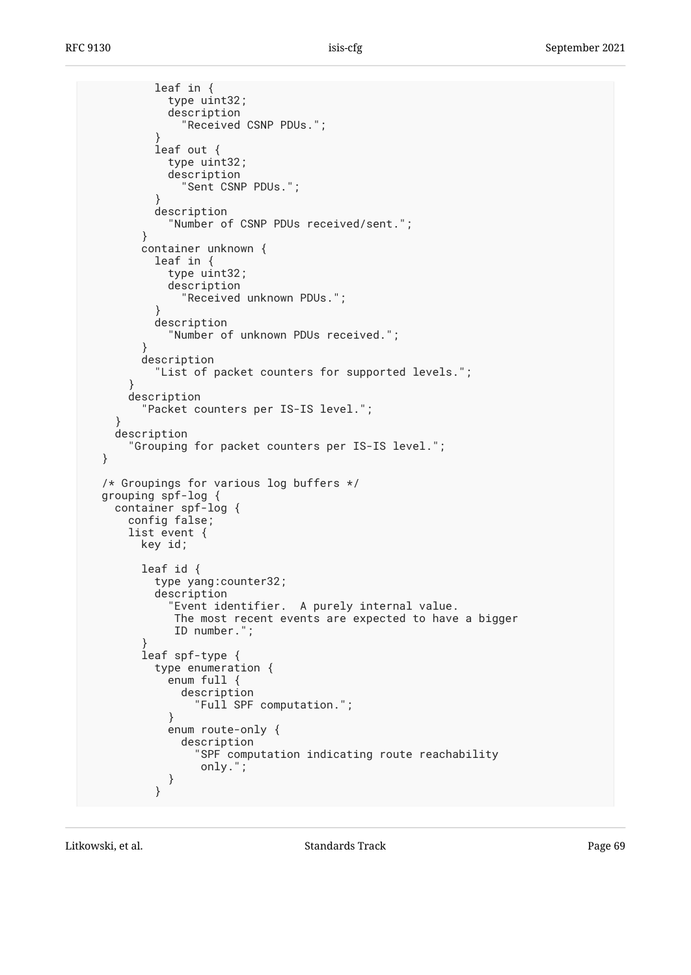```
 leaf in {
           type uint32;
           description
              "Received CSNP PDUs.";
}
         leaf out {
           type uint32;
           description
              "Sent CSNP PDUs.";
}
         description
            "Number of CSNP PDUs received/sent.";
       }
       container unknown {
         leaf in {
           type uint32;
           description
              "Received unknown PDUs.";
}
         description
           "Number of unknown PDUs received.";
}
       description
         "List of packet counters for supported levels.";
}
     description
        "Packet counters per IS-IS level.";
   }
   description
      "Grouping for packet counters per IS-IS level.";
 }
 /* Groupings for various log buffers */
 grouping spf-log {
   container spf-log {
     config false;
     list event {
       key id;
       leaf id {
         type yang:counter32;
         description
            "Event identifier. A purely internal value.
            The most recent events are expected to have a bigger
            ID number.";
}
       leaf spf-type {
         type enumeration {
           enum full {
             description
                "Full SPF computation.";
}
           enum route-only {
             description
                "SPF computation indicating route reachability
                only.";
}
}
```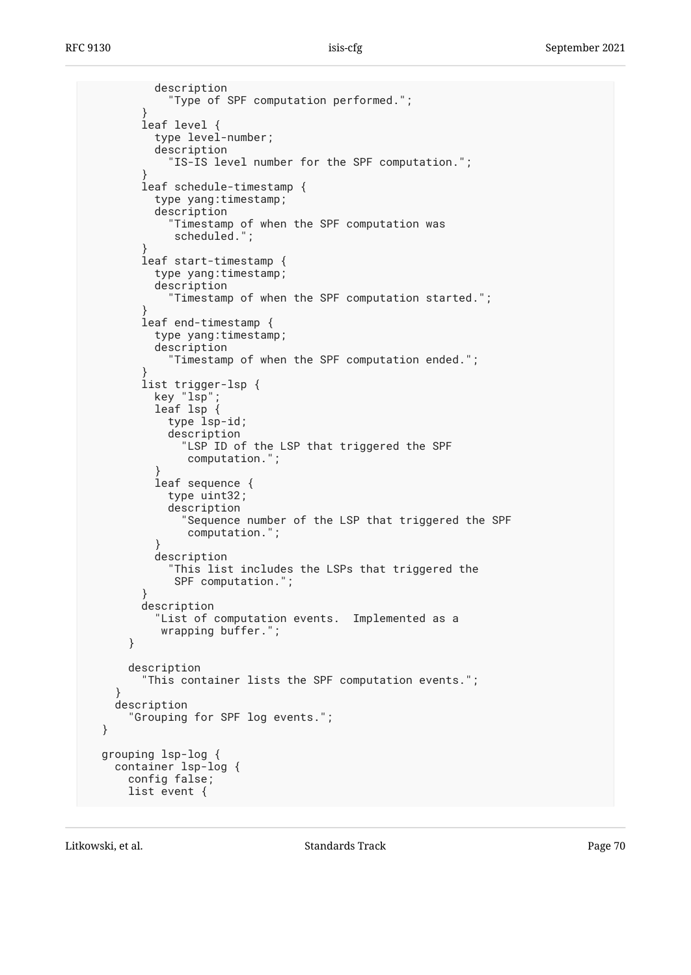```
 description
            "Type of SPF computation performed.";
}
       leaf level {
         type level-number;
         description
            "IS-IS level number for the SPF computation.";
}
       leaf schedule-timestamp {
         type yang:timestamp;
         description
            "Timestamp of when the SPF computation was
            scheduled.";
}
       leaf start-timestamp {
         type yang:timestamp;
         description
           "Timestamp of when the SPF computation started.";
}
       leaf end-timestamp {
         type yang:timestamp;
         description
            "Timestamp of when the SPF computation ended.";
}
list trigger-lsp {
key "lsp";
leaf lsp {
           type lsp-id;
           description
             "LSP ID of the LSP that triggered the SPF
              computation.";
}
         leaf sequence {
           type uint32;
           description
              "Sequence number of the LSP that triggered the SPF
              computation.";
}
         description
           "This list includes the LSPs that triggered the
            SPF computation.";
       }
       description
          "List of computation events. Implemented as a
          wrapping buffer.";
     }
     description
        "This container lists the SPF computation events.";
}
   description
     "Grouping for SPF log events.";
grouping lsp-log {
container lsp-log {
     config false;
     list event {
```
}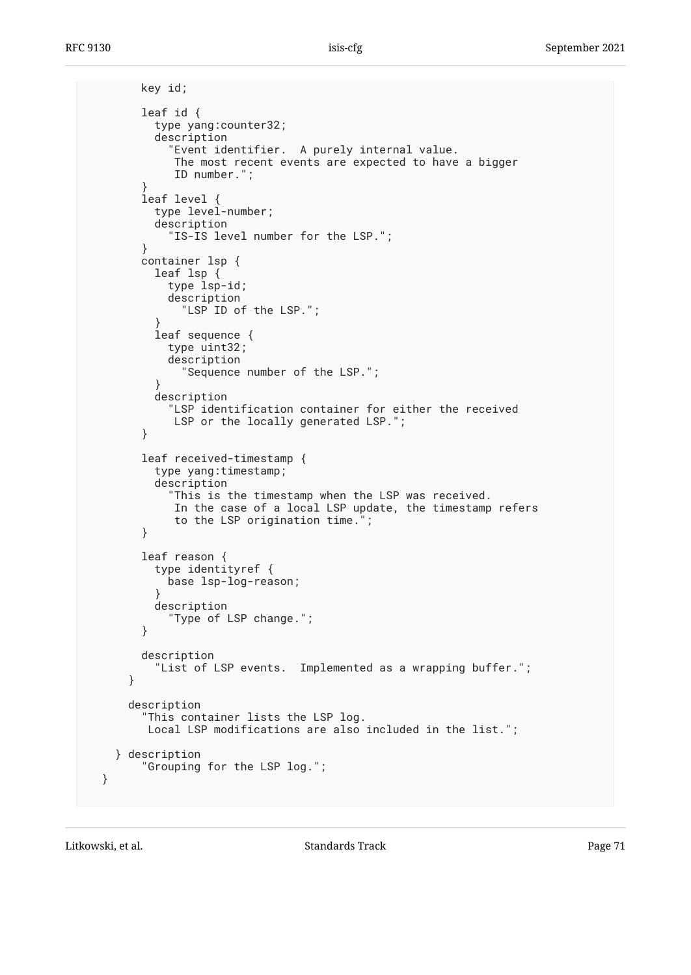```
 key id;
        leaf id {
          type yang:counter32;
          description
            Event identifier. A purely internal value.
             The most recent events are expected to have a bigger
             ID number.";
}
        leaf level {
          type level-number;
          description
            "IS-IS level number for the LSP.";
        }
        container lsp {
          leaf lsp {
            type lsp-id;
            description
              "LSP ID of the LSP.";
}
          leaf sequence {
            type uint32;
            description
              "Sequence number of the LSP.";
}
          description
           "LSP identification container for either the received
             LSP or the locally generated LSP.";
        }
        leaf received-timestamp {
          type yang:timestamp;
          description
            "This is the timestamp when the LSP was received.
             In the case of a local LSP update, the timestamp refers
             to the LSP origination time.";
        }
        leaf reason {
          type identityref {
            base lsp-log-reason;
}
          description
            "Type of LSP change.";
        }
        description
          "List of LSP events. Implemented as a wrapping buffer.";
      }
      description
        "This container lists the LSP log.
         Local LSP modifications are also included in the list.";
    } description
        "Grouping for the LSP log.";
```
}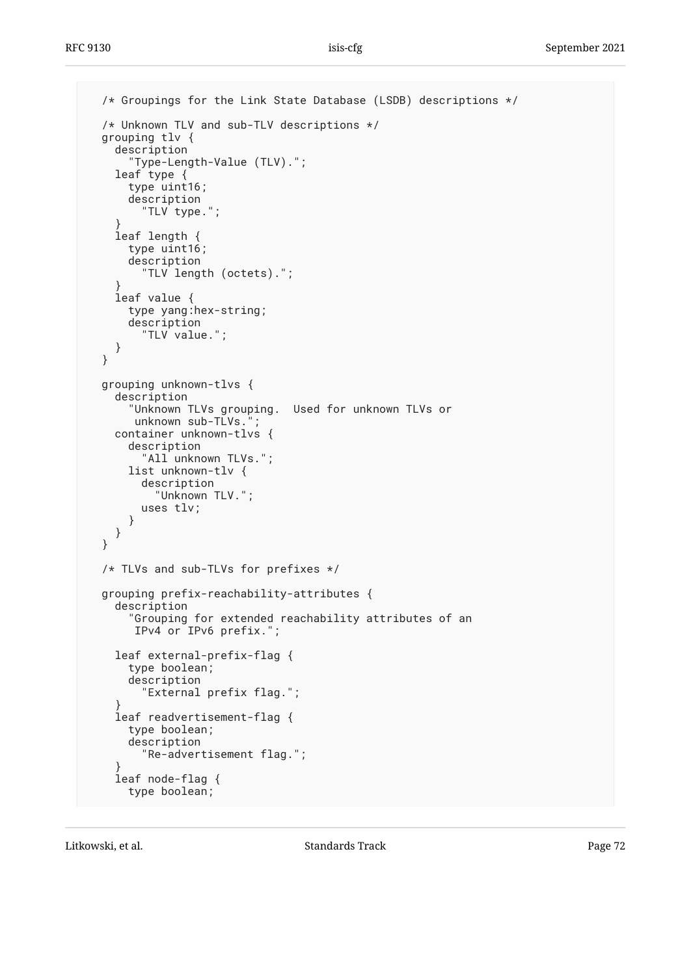```
 /* Groupings for the Link State Database (LSDB) descriptions */
 /* Unknown TLV and sub-TLV descriptions */
 grouping tlv {
description
"Type-Length-Value (TLV).";
    leaf type {
      type uint16;
      description
        "TLV type.";
}
    leaf length {
      type uint16;
      description
        "TLV length (octets).";
}
    leaf value {
      type yang:hex-string;
      description
        "TLV value.";
    }
 }
 grouping unknown-tlvs {
   description<br>"Unknown TLVs grouping.
                                Used for unknown TLVs or
      unknown sub-TLVs.
    container unknown-tlvs {
      description
        "All unknown TLVs.";
      list unknown-tlv {
        description
          "Unknown TLV.";
        uses tlv;
      }
    }
 }
 /* TLVs and sub-TLVs for prefixes */
 grouping prefix-reachability-attributes {
    description
      "Grouping for extended reachability attributes of an
       IPv4 or IPv6 prefix.";
    leaf external-prefix-flag {
      type boolean;
      description
        "External prefix flag.";
}
    leaf readvertisement-flag {
      type boolean;
      description
        "Re-advertisement flag.";
}
    leaf node-flag {
      type boolean;
```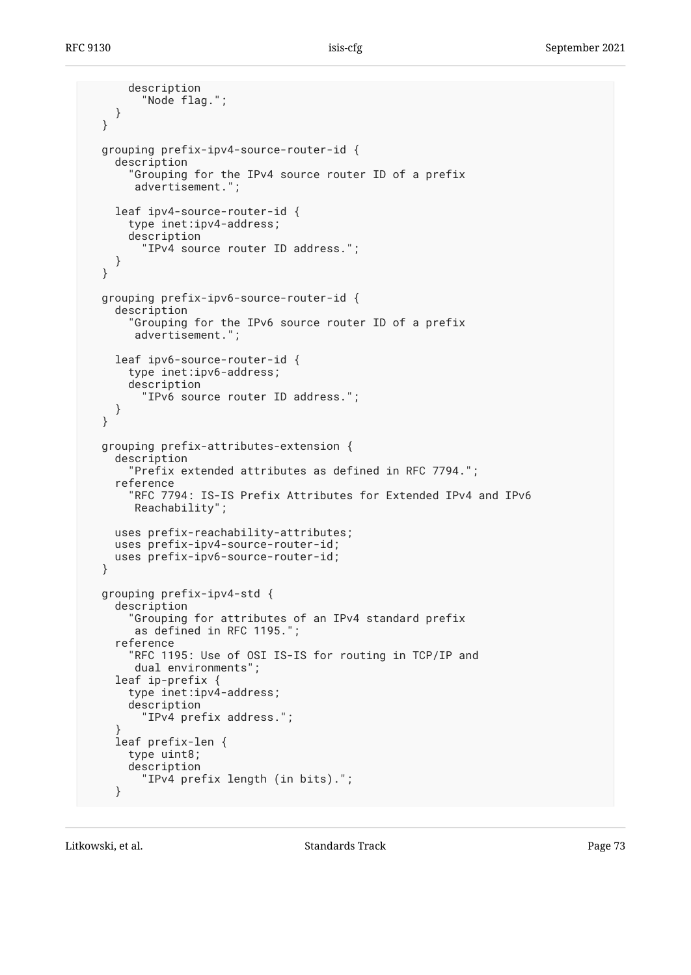```
 description
         "Node flag.";
     }
  }
  grouping prefix-ipv4-source-router-id {
     description
       "Grouping for the IPv4 source router ID of a prefix
        advertisement.";
     leaf ipv4-source-router-id {
       type inet:ipv4-address;
       description
         "IPv4 source router ID address.";
     }
  }
  grouping prefix-ipv6-source-router-id {
     description
       "Grouping for the IPv6 source router ID of a prefix
        advertisement.";
     leaf ipv6-source-router-id {
       type inet:ipv6-address;
       description
          "IPv6 source router ID address.";
     }
  }
  grouping prefix-attributes-extension {
     description
       "Prefix extended attributes as defined in RFC 7794.";
     reference
       "RFC 7794: IS-IS Prefix Attributes for Extended IPv4 and IPv6
        Reachability";
     uses prefix-reachability-attributes;
    uses prefix-ipv4-source-router-id;
    uses prefix-ipv6-source-router-id;
  }
  grouping prefix-ipv4-std {
     description
       "Grouping for attributes of an IPv4 standard prefix
        as defined in RFC 1195.";
     reference
       "RFC 1195: Use of OSI IS-IS for routing in TCP/IP and
        dual environments";
     leaf ip-prefix {
       type inet:ipv4-address;
       description
         "IPv4 prefix address.";
 }
     leaf prefix-len {
       type uint8;
       description
         "IPv4 prefix length (in bits).";
     }
```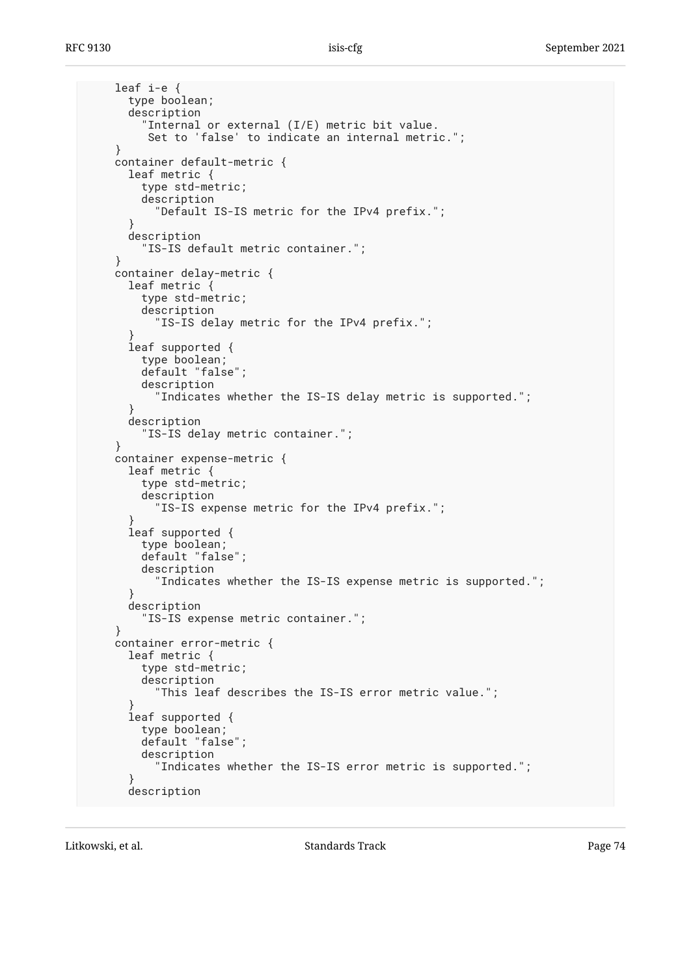```
 leaf i-e {
       type boolean;
       description
         "Internal or external (I/E) metric bit value.
          Set to 'false' to indicate an internal metric.";
 }
     container default-metric {
       leaf metric {
         type std-metric;
         description
           "Default IS-IS metric for the IPv4 prefix.";
 }
       description
         "IS-IS default metric container.";
     }
     container delay-metric {
       leaf metric {
         type std-metric;
         description
           "IS-IS delay metric for the IPv4 prefix.";
 }
       leaf supported {
         type boolean;
         default "false";
         description
            "Indicates whether the IS-IS delay metric is supported.";
 }
       description
         "IS-IS delay metric container.";
     }
     container expense-metric {
       leaf metric {
         type std-metric;
         description
           "IS-IS expense metric for the IPv4 prefix.";
 }
       leaf supported {
        type boolean;
        default "false";
         description
           "Indicates whether the IS-IS expense metric is supported.";
       }
       description
         "IS-IS expense metric container.";
     }
    container error-metric {
       leaf metric {
         type std-metric;
         description
           "This leaf describes the IS-IS error metric value.";
 }
       leaf supported {
         type boolean;
         default "false";
         description
            "Indicates whether the IS-IS error metric is supported.";
 }
       description
```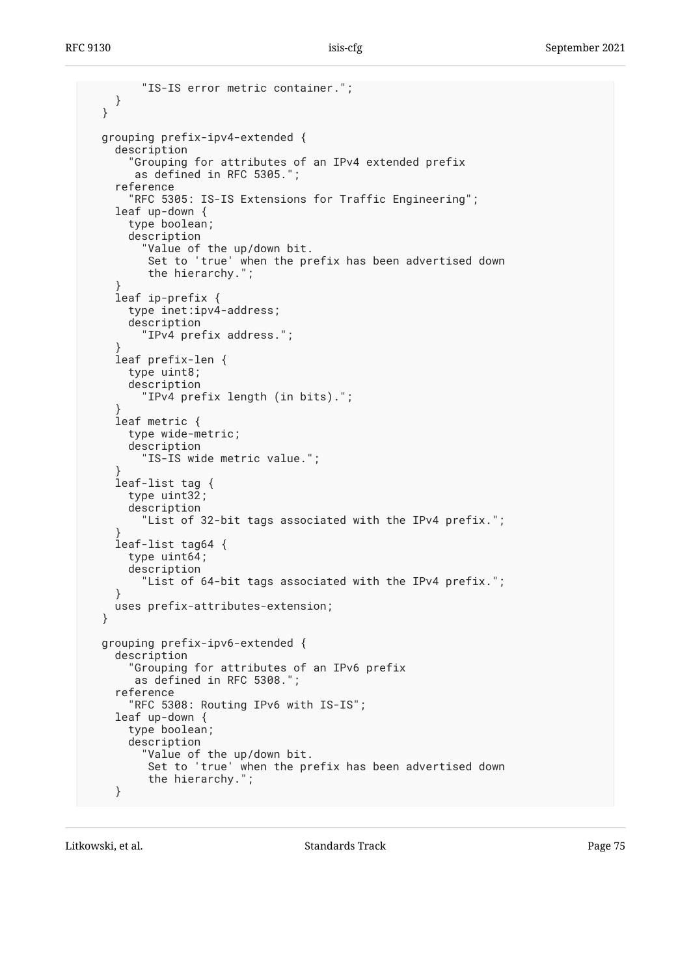```
 "IS-IS error metric container.";
    }
  }
  grouping prefix-ipv4-extended {
     description
       "Grouping for attributes of an IPv4 extended prefix
        as defined in RFC 5305.";
     reference
       "RFC 5305: IS-IS Extensions for Traffic Engineering";
     leaf up-down {
       type boolean;
       description
         "Value of the up/down bit.
          Set to 'true' when the prefix has been advertised down
          the hierarchy.";
 }
     leaf ip-prefix {
      type inet:ipv4-address;
       description
         "IPv4 prefix address.";
 }
     leaf prefix-len {
      type uint8;
       description
          "IPv4 prefix length (in bits).";
 }
     leaf metric {
       type wide-metric;
       description
         "IS-IS wide metric value.";
 }
     leaf-list tag {
      type uint32;
       description
         "List of 32-bit tags associated with the IPv4 prefix.";
 }
     leaf-list tag64 {
      type uint64;
       description
         "List of 64-bit tags associated with the IPv4 prefix.";
     }
    uses prefix-attributes-extension;
  }
  grouping prefix-ipv6-extended {
     description
       "Grouping for attributes of an IPv6 prefix
        as defined in RFC 5308.";
     reference
       "RFC 5308: Routing IPv6 with IS-IS";
     leaf up-down {
       type boolean;
       description
         "Value of the up/down bit.
          Set to 'true' when the prefix has been advertised down
          the hierarchy.";
     }
```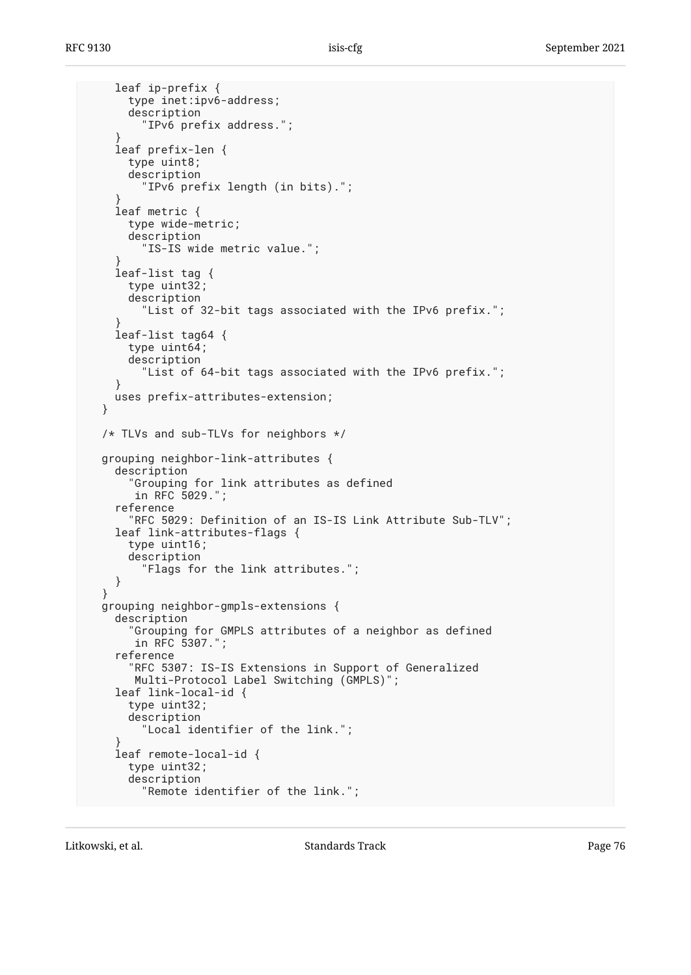```
 leaf ip-prefix {
       type inet:ipv6-address;
       description
         "IPv6 prefix address.";
 }
     leaf prefix-len {
       type uint8;
       description
         "IPv6 prefix length (in bits).";
 }
     leaf metric {
       type wide-metric;
       description
         "IS-IS wide metric value.";
 }
     leaf-list tag {
       type uint32;
       description
         "List of 32-bit tags associated with the IPv6 prefix.";
 }
     leaf-list tag64 {
       type uint64;
       description
         "List of 64-bit tags associated with the IPv6 prefix.";
 }
    uses prefix-attributes-extension;
  }
  /* TLVs and sub-TLVs for neighbors */
  grouping neighbor-link-attributes {
     description
       "Grouping for link attributes as defined
        in RFC 5029.";
     reference
       "RFC 5029: Definition of an IS-IS Link Attribute Sub-TLV";
     leaf link-attributes-flags {
       type uint16;
      description
         "Flags for the link attributes.";
    }
  }
  grouping neighbor-gmpls-extensions {
    description
       "Grouping for GMPLS attributes of a neighbor as defined
        in RFC 5307.";
     reference
       "RFC 5307: IS-IS Extensions in Support of Generalized
        Multi-Protocol Label Switching (GMPLS)";
     leaf link-local-id {
       type uint32;
       description
         "Local identifier of the link.";
 }
     leaf remote-local-id {
      type uint32;
       description
         "Remote identifier of the link.";
```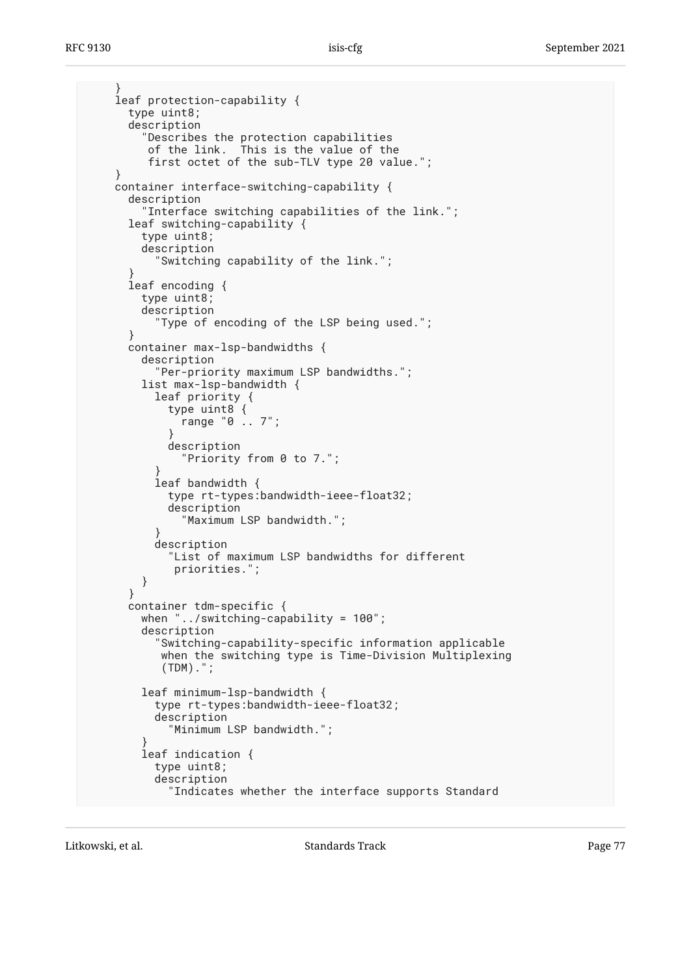```
 }
    leaf protection-capability {
      type uint8;
      description
         "Describes the protection capabilities
         of the link. This is the value of the
         first octet of the sub-TLV type 20 value.";
 }
    container interface-switching-capability {
      description
         "Interface switching capabilities of the link.";
      leaf switching-capability {
        type uint8;
        description
           "Switching capability of the link.";
 }
      leaf encoding {
        type uint8;
        description
           "Type of encoding of the LSP being used.";
      }
      container max-lsp-bandwidths {
        description
           "Per-priority maximum LSP bandwidths.";
        list max-lsp-bandwidth {
 leaf priority {
 type uint8 {
               range "0 .. 7";
 }
            description
               "Priority from 0 to 7.";
 }
          leaf bandwidth {
            type rt-types:bandwidth-ieee-float32;
            description
               "Maximum LSP bandwidth.";
 }
          description
             "List of maximum LSP bandwidths for different
             priorities.";
        }
      }
      container tdm-specific {
        when "../switching-capability = 100";
        description
          Switching-capability-specific information applicable
           when the switching type is Time-Division Multiplexing
            (TDM).";
        leaf minimum-lsp-bandwidth {
          type rt-types:bandwidth-ieee-float32;
          description
             "Minimum LSP bandwidth.";
 }
        leaf indication {
          type uint8;
          description
             "Indicates whether the interface supports Standard
```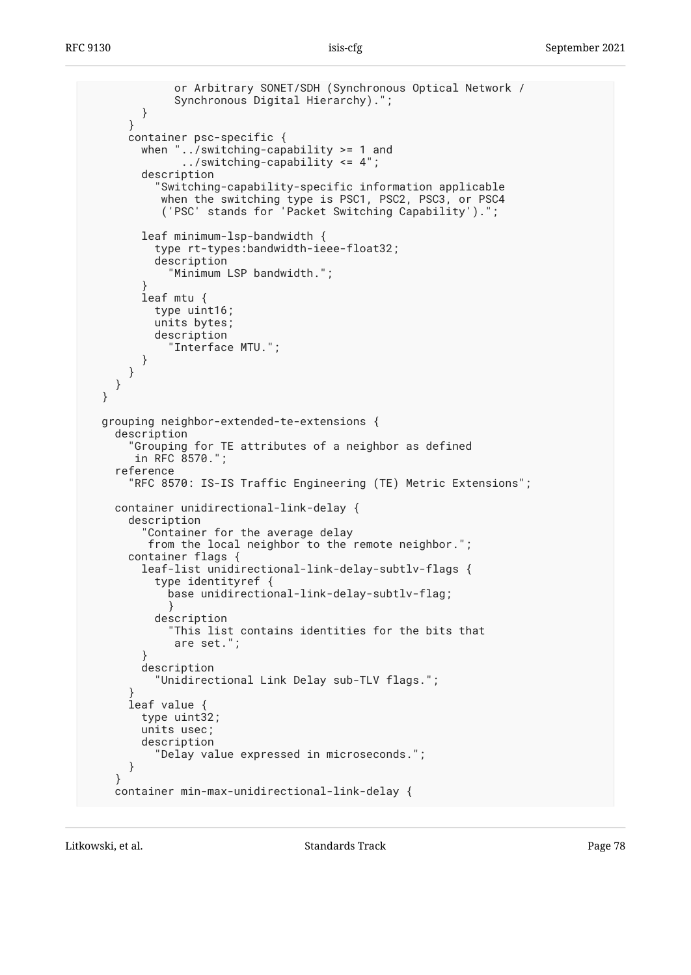```
 or Arbitrary SONET/SDH (Synchronous Optical Network /
              Synchronous Digital Hierarchy).";
         }
       }
      container psc-specific {
        when "../switching-capability >= 1 and
               ../switching-capability <= 4";
         description
           "Switching-capability-specific information applicable
 when the switching type is PSC1, PSC2, PSC3, or PSC4
 ('PSC' stands for 'Packet Switching Capability').";
        leaf minimum-lsp-bandwidth {
           type rt-types:bandwidth-ieee-float32;
           description
             "Minimum LSP bandwidth.";
 }
        leaf mtu {
          type uint16;
           units bytes;
           description
             "Interface MTU.";
        }
      }
    }
  }
  grouping neighbor-extended-te-extensions {
    description
       "Grouping for TE attributes of a neighbor as defined
       in RFC 8570.";
    reference
       "RFC 8570: IS-IS Traffic Engineering (TE) Metric Extensions";
    container unidirectional-link-delay {
      description
         "Container for the average delay
         from the local neighbor to the remote neighbor.";
      container flags {
        leaf-list unidirectional-link-delay-subtlv-flags {
           type identityref {
             base unidirectional-link-delay-subtlv-flag;
 }
           description
             "This list contains identities for the bits that
             are set.";
 }
        description
           "Unidirectional Link Delay sub-TLV flags.";
 }
       leaf value {
        type uint32;
        units usec;
        description
           "Delay value expressed in microseconds.";
       }
    }
    container min-max-unidirectional-link-delay {
```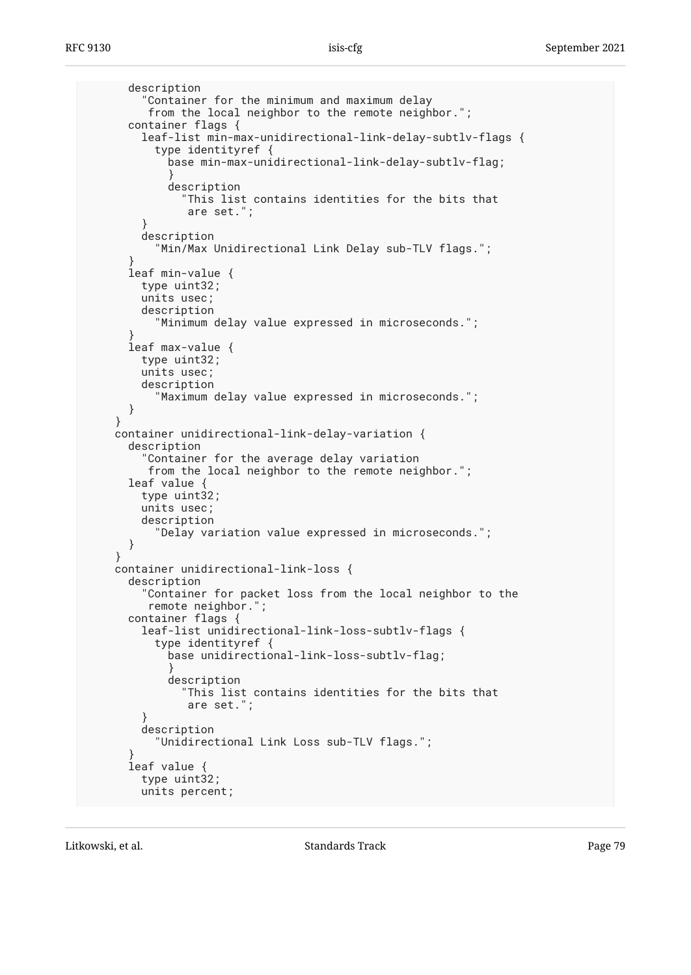```
 description
         "Container for the minimum and maximum delay
          from the local neighbor to the remote neighbor.";
       container flags {
         leaf-list min-max-unidirectional-link-delay-subtlv-flags {
           type identityref {
             base min-max-unidirectional-link-delay-subtlv-flag;
 }
             description
               "This list contains identities for the bits that
                are set.";
 }
        description
           "Min/Max Unidirectional Link Delay sub-TLV flags.";
 }
       leaf min-value {
        type uint32;
        units usec;
        description
           "Minimum delay value expressed in microseconds.";
 }
      leaf max-value {
        type uint32;
        units usec;
        description
           "Maximum delay value expressed in microseconds.";
      }
    }
    container unidirectional-link-delay-variation {
      description
         "Container for the average delay variation
          from the local neighbor to the remote neighbor.";
      leaf value {
        type uint32;
        units usec;
        description
           "Delay variation value expressed in microseconds.";
       }
    }
    container unidirectional-link-loss {
      description
         "Container for packet loss from the local neighbor to the
          remote neighbor.";
      container flags {
        leaf-list unidirectional-link-loss-subtlv-flags {
           type identityref {
             base unidirectional-link-loss-subtlv-flag;
 }
             description
               "This list contains identities for the bits that
                are set.";
 }
        description
           "Unidirectional Link Loss sub-TLV flags.";
 }
       leaf value {
        type uint32;
        units percent;
```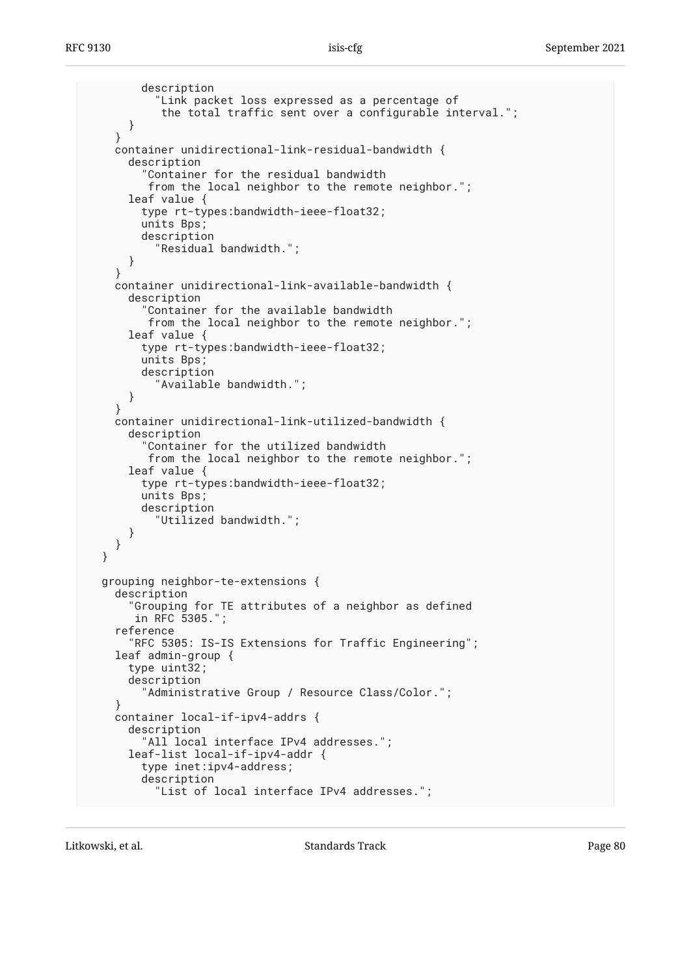```
 description
          "Link packet loss expressed as a percentage of
          the total traffic sent over a configurable interval.";
     }
   }
   container unidirectional-link-residual-bandwidth {
     description
        "Container for the residual bandwidth
        from the local neighbor to the remote neighbor.";
     leaf value {
       type rt-types:bandwidth-ieee-float32;
       units Bps;
       description
         "Residual bandwidth.";
     }
   }
   container unidirectional-link-available-bandwidth {
     description
       "Container for the available bandwidth
        from the local neighbor to the remote neighbor.";
     leaf value {
       type rt-types:bandwidth-ieee-float32;
       units Bps;
       description
          "Available bandwidth.";
     }
   }
   container unidirectional-link-utilized-bandwidth {
     description
       "Container for the utilized bandwidth
        from the local neighbor to the remote neighbor.";
     leaf value {
       type rt-types:bandwidth-ieee-float32;
       units Bps;
       description
          "Utilized bandwidth.";
     }
   }
 }
 grouping neighbor-te-extensions {
   description
     "Grouping for TE attributes of a neighbor as defined
      in RFC 5305.";
   reference
     "RFC 5305: IS-IS Extensions for Traffic Engineering";
   leaf admin-group {
     type uint32;
     description
       "Administrative Group / Resource Class/Color.";
   }
   container local-if-ipv4-addrs {
     description
       "All local interface IPv4 addresses.";
     leaf-list local-if-ipv4-addr {
       type inet:ipv4-address;
       description
         "List of local interface IPv4 addresses.";
```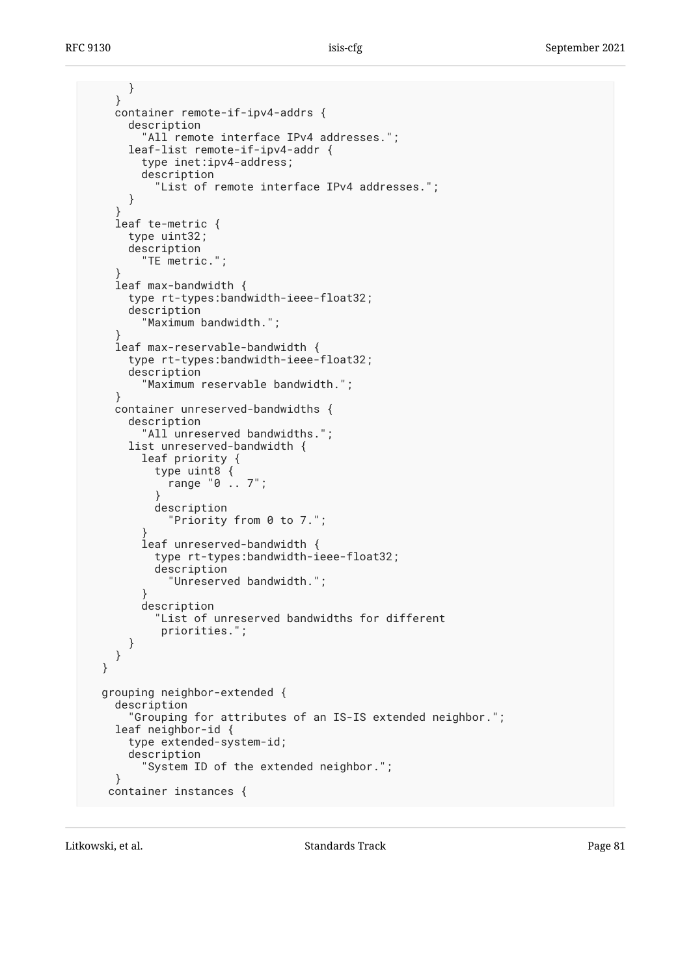```
 }
     }
     container remote-if-ipv4-addrs {
       description
         "All remote interface IPv4 addresses.";
      leaf-list remote-if-ipv4-addr {
         type inet:ipv4-address;
         description
           "List of remote interface IPv4 addresses.";
       }
 }
     leaf te-metric {
      type uint32;
      description
         "TE metric.";
 }
     leaf max-bandwidth {
      type rt-types:bandwidth-ieee-float32;
      description
         "Maximum bandwidth.";
 }
     leaf max-reservable-bandwidth {
      type rt-types:bandwidth-ieee-float32;
      description
         "Maximum reservable bandwidth.";
 }
     container unreserved-bandwidths {
       description
         "All unreserved bandwidths.";
      list unreserved-bandwidth {
         leaf priority {
           type uint8 {
             range "0 .. 7";
 }
           description
             "Priority from 0 to 7.";
 }
         leaf unreserved-bandwidth {
           type rt-types:bandwidth-ieee-float32;
           description
             "Unreserved bandwidth.";
 }
         description
           "List of unreserved bandwidths for different
            priorities.";
      }
    }
  }
  grouping neighbor-extended {
    description
       "Grouping for attributes of an IS-IS extended neighbor.";
     leaf neighbor-id {
      type extended-system-id;
      description
         "System ID of the extended neighbor.";
 }
   container instances {
```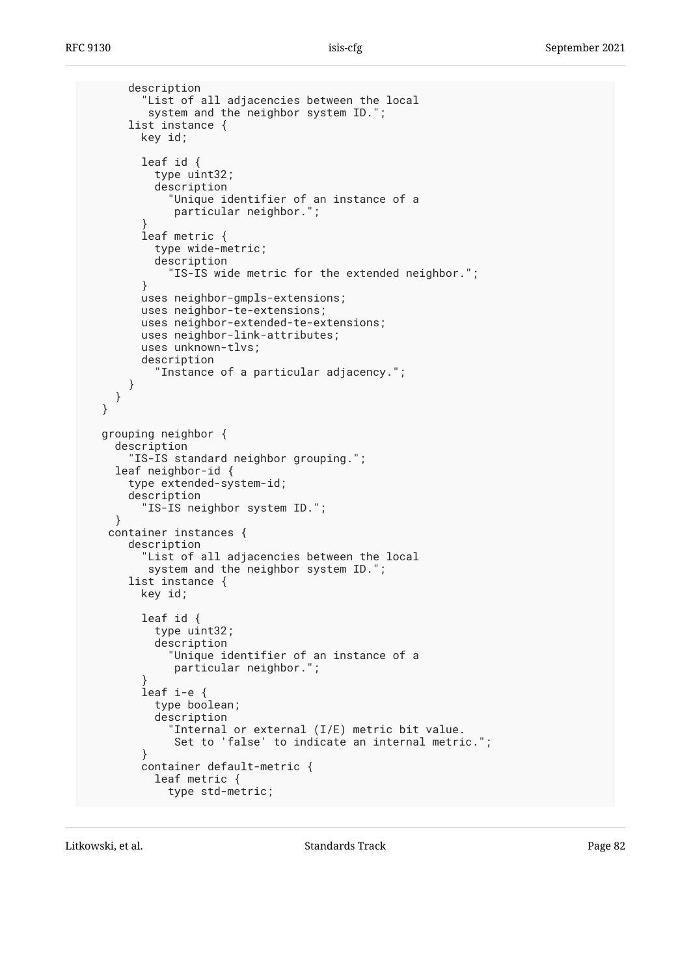```
 description
         "List of all adjacencies between the local
          system and the neighbor system ID.";
       list instance {
         key id;
         leaf id {
           type uint32;
           description
             "Unique identifier of an instance of a
              particular neighbor.";
 }
         leaf metric {
           type wide-metric;
           description
             "IS-IS wide metric for the extended neighbor.";
         }
         uses neighbor-gmpls-extensions;
         uses neighbor-te-extensions;
         uses neighbor-extended-te-extensions;
         uses neighbor-link-attributes;
         uses unknown-tlvs;
         description
           "Instance of a particular adjacency.";
      }
     }
  }
  grouping neighbor {
     description
       "IS-IS standard neighbor grouping.";
     leaf neighbor-id {
       type extended-system-id;
       description
         "IS-IS neighbor system ID.";
     }
    container instances {
       description
         "List of all adjacencies between the local
          system and the neighbor system ID.";
       list instance {
         key id;
         leaf id {
           type uint32;
           description
             "Unique identifier of an instance of a
              particular neighbor.";
 }
         leaf i-e {
           type boolean;
           description
             "Internal or external (I/E) metric bit value.
              Set to 'false' to indicate an internal metric.";
         }
         container default-metric {
           leaf metric {
             type std-metric;
```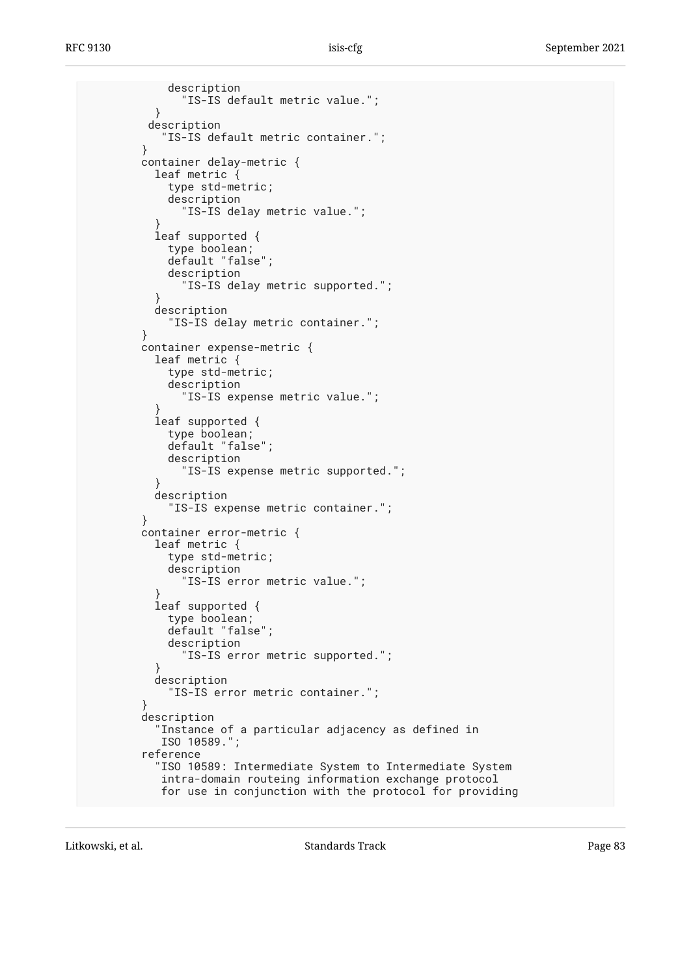description "IS-IS default metric value."; } description "IS-IS default metric container."; } container delay-metric { leaf metric { type std-metric; description "IS-IS delay metric value."; } leaf supported { type boolean; default "false"; description "IS-IS delay metric supported."; } description "IS-IS delay metric container."; } container expense-metric { leaf metric { type std-metric; description "IS-IS expense metric value."; } leaf supported { type boolean; default "false"; description "IS-IS expense metric supported."; } description "IS-IS expense metric container."; } container error-metric { leaf metric { type std-metric; description "IS-IS error metric value."; } leaf supported { type boolean; default "false"; description "IS-IS error metric supported."; } description "IS-IS error metric container."; } description "Instance of a particular adjacency as defined in ISO 10589."; reference "ISO 10589: Intermediate System to Intermediate System intra-domain routeing information exchange protocol for use in conjunction with the protocol for providing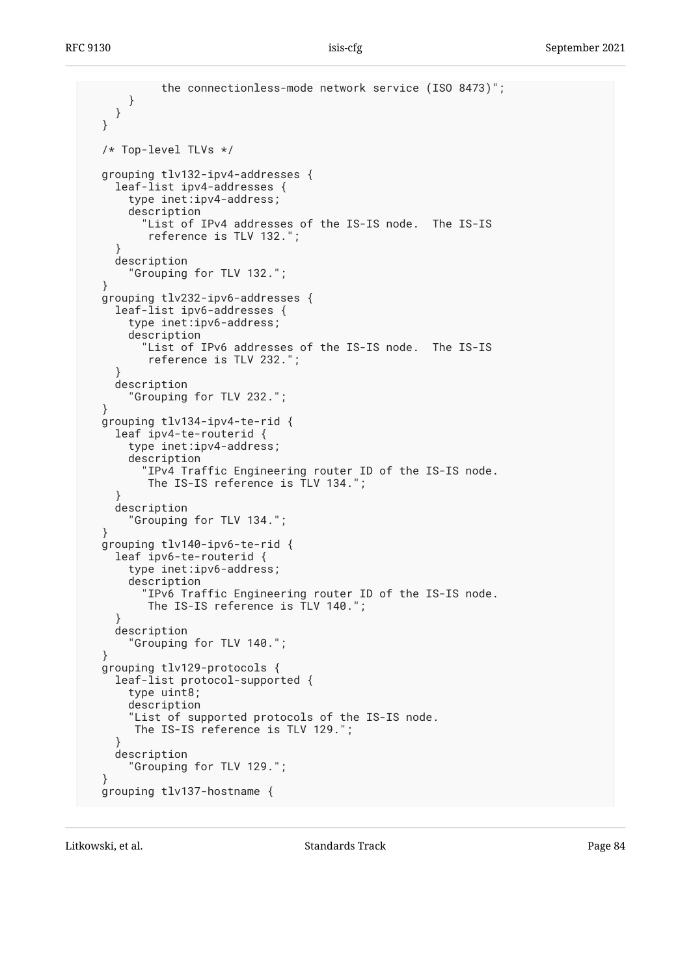```
 the connectionless-mode network service (ISO 8473)";
      }
     }
  }
  /* Top-level TLVs */
  grouping tlv132-ipv4-addresses {
     leaf-list ipv4-addresses {
       type inet:ipv4-address;
       description
         "List of IPv4 addresses of the IS-IS node. The IS-IS
          reference is TLV 132.";
 }
     description
       "Grouping for TLV 132.";
 }
  grouping tlv232-ipv6-addresses {
    leaf-list ipv6-addresses {
      type inet:ipv6-address;
       description
         "List of IPv6 addresses of the IS-IS node. The IS-IS
          reference is TLV 232.";
 }
     description
       "Grouping for TLV 232.";
 }
  grouping tlv134-ipv4-te-rid {
     leaf ipv4-te-routerid {
       type inet:ipv4-address;
       description
         "IPv4 Traffic Engineering router ID of the IS-IS node.
          The IS-IS reference is TLV 134.";
 }
     description
       "Grouping for TLV 134.";
 }
  grouping tlv140-ipv6-te-rid {
    leaf ipv6-te-routerid {
       type inet:ipv6-address;
       description
         "IPv6 Traffic Engineering router ID of the IS-IS node.
          The IS-IS reference is TLV 140.";
     }
     description
       "Grouping for TLV 140.";
 }
  grouping tlv129-protocols {
     leaf-list protocol-supported {
       type uint8;
       description
       "List of supported protocols of the IS-IS node.
        The IS-IS reference is TLV 129.";
 }
    description
       "Grouping for TLV 129.";
 }
  grouping tlv137-hostname {
```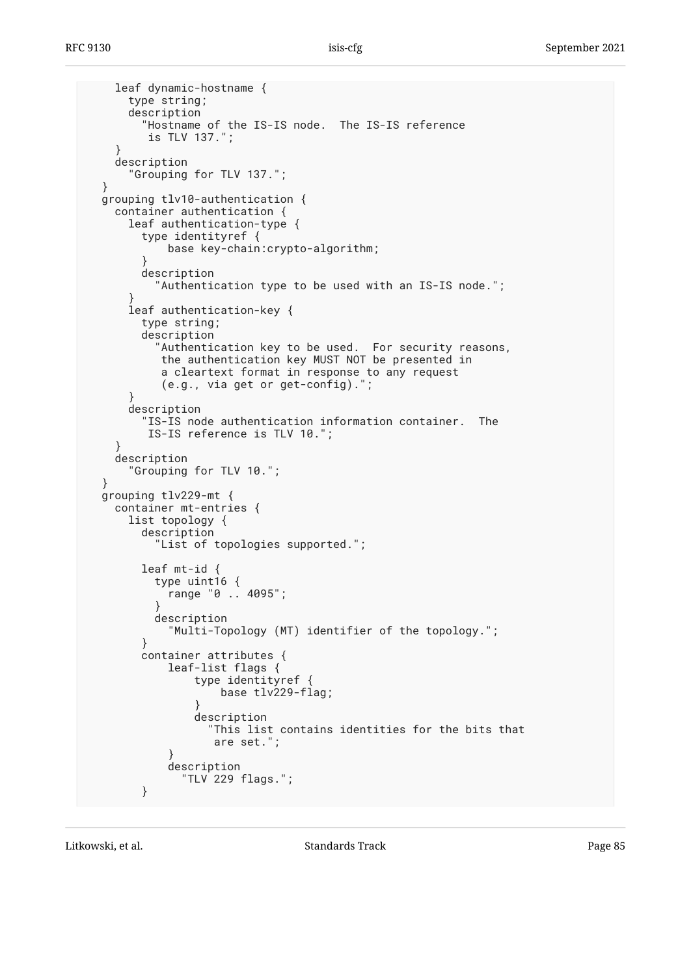```
 leaf dynamic-hostname {
      type string;
      description
         "Hostname of the IS-IS node. The IS-IS reference
         is TLV 137.";
 }
    description
       "Grouping for TLV 137.";
 }
  grouping tlv10-authentication {
    container authentication {
      leaf authentication-type {
         type identityref {
            base key-chain:crypto-algorithm;
 }
        description
           "Authentication type to be used with an IS-IS node.";
 }
      leaf authentication-key {
        type string;
        description
           "Authentication key to be used. For security reasons,
           the authentication key MUST NOT be presented in
            a cleartext format in response to any request
            (e.g., via get or get-config).";
 }
      description
         "IS-IS node authentication information container. The
         IS-IS reference is TLV 10.";
 }
    description
       "Grouping for TLV 10.";
  }
  grouping tlv229-mt {
    container mt-entries {
      list topology {
        description
           "List of topologies supported.";
        leaf mt-id {
           type uint16 {
            range "0 .. 4095";
 }
           description
             "Multi-Topology (MT) identifier of the topology.";
         }
         container attributes {
             leaf-list flags {
                 type identityref {
                     base tlv229-flag;
 }
                 description
                   "This list contains identities for the bits that
                    are set.";
 }
             description
               "TLV 229 flags.";
         }
```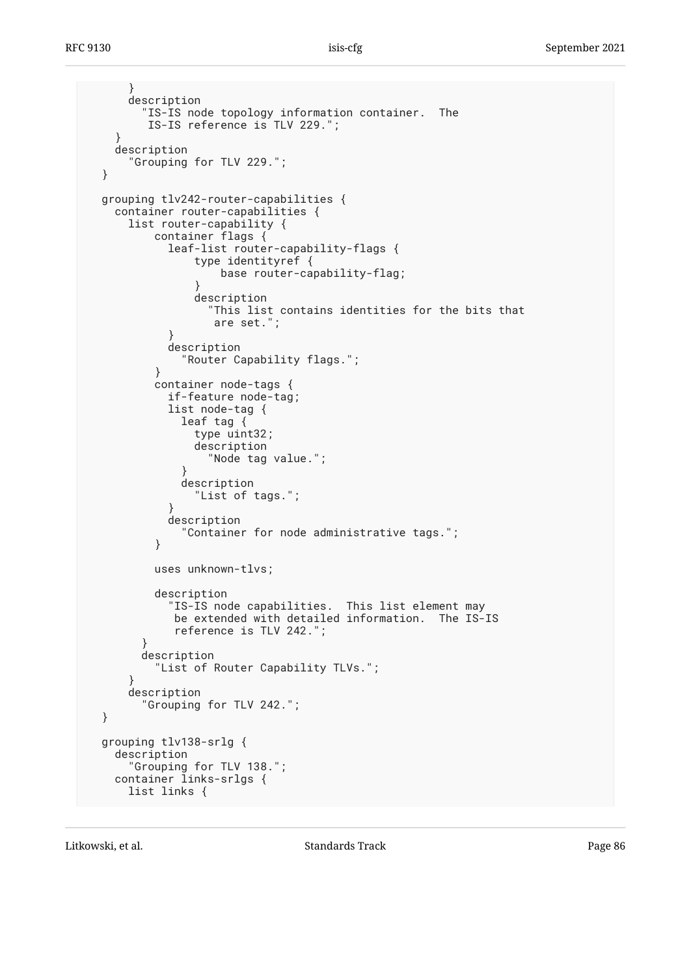```
 }
      description
         "IS-IS node topology information container. The
         IS-IS reference is TLV 229.";
 }
    description
       "Grouping for TLV 229.";
  }
  grouping tlv242-router-capabilities {
    container router-capabilities {
      list router-capability {
          container flags {
            leaf-list router-capability-flags {
                type identityref {
                    base router-capability-flag;
 }
                description
                  "This list contains identities for the bits that
                   are set.";
 }
            description
              "Router Capability flags.";
 }
          container node-tags {
            if-feature node-tag;
            list node-tag {
              leaf tag {
                type uint32;
                description
                  "Node tag value.";
 }
              description
                "List of tags.";
 }
            description
          "Container for node administrative tags.";
 }
          uses unknown-tlvs;
          description
             "IS-IS node capabilities. This list element may
             be extended with detailed information. The IS-IS
             reference is TLV 242.";
 }
        description
          "List of Router Capability TLVs.";
      }
      description
         "Grouping for TLV 242.";
  }
  grouping tlv138-srlg {
    description
      "Grouping for TLV 138.";
   container links-srlgs {
      list links {
```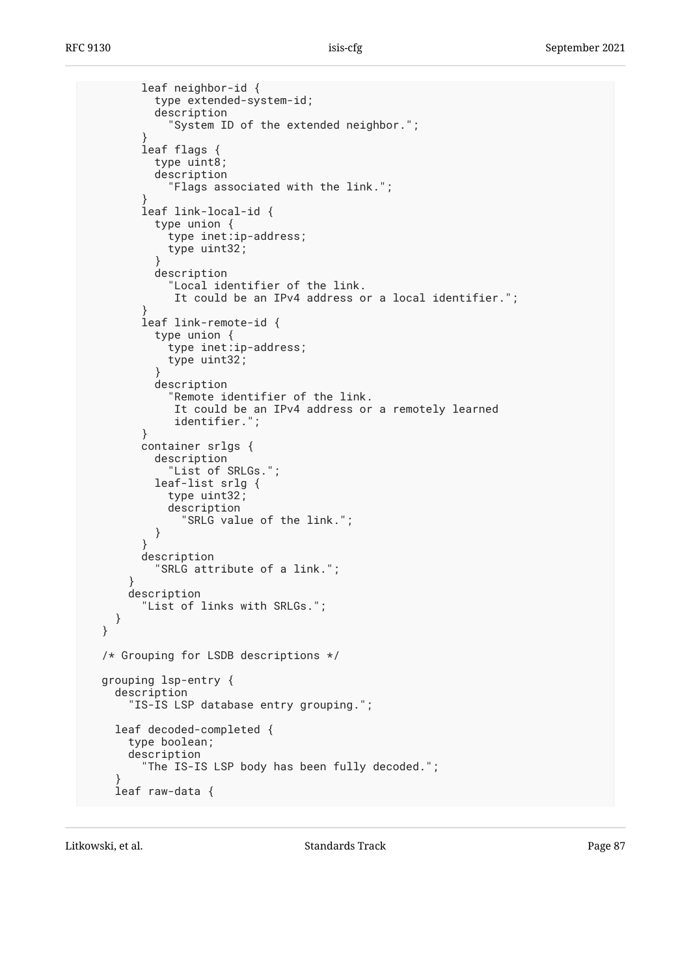```
 leaf neighbor-id {
           type extended-system-id;
           description
             "System ID of the extended neighbor.";
 }
         leaf flags {
           type uint8;
           description
             "Flags associated with the link.";
 }
        leaf link-local-id {
           type union {
            type inet:ip-address;
             type uint32;
 }
           description
             "Local identifier of the link.
              It could be an IPv4 address or a local identifier.";
 }
        leaf link-remote-id {
           type union {
            type inet:ip-address;
             type uint32;
 }
           description
             "Remote identifier of the link.
              It could be an IPv4 address or a remotely learned
              identifier.";
         }
        container srlgs {
           description
             "List of SRLGs.";
           leaf-list srlg {
             type uint32;
             description
               "SRLG value of the link.";
 }
         }
        description
           "SRLG attribute of a link.";
       }
      description
         "List of links with SRLGs.";
     }
  /* Grouping for LSDB descriptions */
  grouping lsp-entry {
     description
       "IS-IS LSP database entry grouping.";
     leaf decoded-completed {
      type boolean;
      description
         "The IS-IS LSP body has been fully decoded.";
 }
     leaf raw-data {
```
}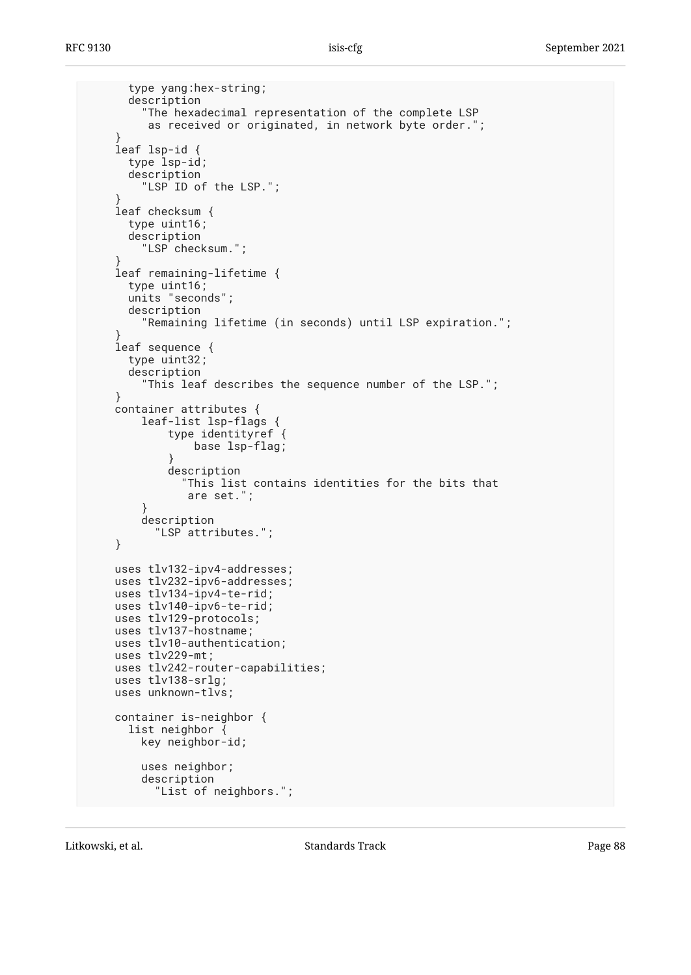```
 type yang:hex-string;
       description
         "The hexadecimal representation of the complete LSP
          as received or originated, in network byte order.";
 }
     leaf lsp-id {
      type lsp-id;
       description
        "LSP ID of the LSP.";
 }
     leaf checksum {
       type uint16;
       description
         "LSP checksum.";
 }
     leaf remaining-lifetime {
      type uint16;
       units "seconds";
       description
         "Remaining lifetime (in seconds) until LSP expiration.";
 }
     leaf sequence {
      type uint32;
       description
         "This leaf describes the sequence number of the LSP.";
     }
     container attributes {
         leaf-list lsp-flags {
             type identityref {
                 base lsp-flag;
 }
             description
               "This list contains identities for the bits that
                are set.";
 }
         description
           "LSP attributes.";
     }
    uses tlv132-ipv4-addresses;
    uses tlv232-ipv6-addresses;
    uses tlv134-ipv4-te-rid;
    uses tlv140-ipv6-te-rid;
    uses tlv129-protocols;
    uses tlv137-hostname;
    uses tlv10-authentication;
    uses tlv229-mt;
    uses tlv242-router-capabilities;
    uses tlv138-srlg;
    uses unknown-tlvs;
     container is-neighbor {
       list neighbor {
         key neighbor-id;
         uses neighbor;
         description
           "List of neighbors.";
```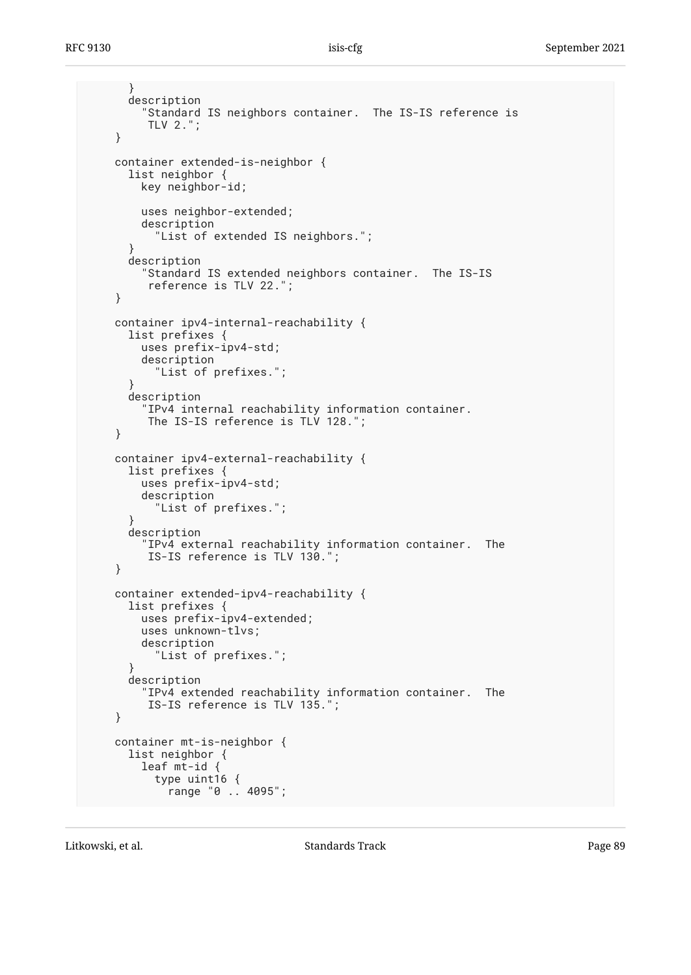```
 }
       description
         "Standard IS neighbors container. The IS-IS reference is
         TLV 2.";
     }
     container extended-is-neighbor {
       list neighbor {
         key neighbor-id;
         uses neighbor-extended;
         description
           "List of extended IS neighbors.";
 }
       description
         "Standard IS extended neighbors container. The IS-IS
          reference is TLV 22.";
     }
     container ipv4-internal-reachability {
       list prefixes {
         uses prefix-ipv4-std;
         description
           "List of prefixes.";
       }
       description
 "IPv4 internal reachability information container.
 The IS-IS reference is TLV 128.";
     }
     container ipv4-external-reachability {
       list prefixes {
         uses prefix-ipv4-std;
         description
           "List of prefixes.";
       }
       description
         "IPv4 external reachability information container. The
         IS-IS reference is TLV 130.";
     }
     container extended-ipv4-reachability {
       list prefixes {
         uses prefix-ipv4-extended;
         uses unknown-tlvs;
         description
           "List of prefixes.";
       }
       description
         "IPv4 extended reachability information container. The
          IS-IS reference is TLV 135.";
     }
     container mt-is-neighbor {
      list neighbor {
         leaf mt-id {
           type uint16 {
             range "0 .. 4095";
```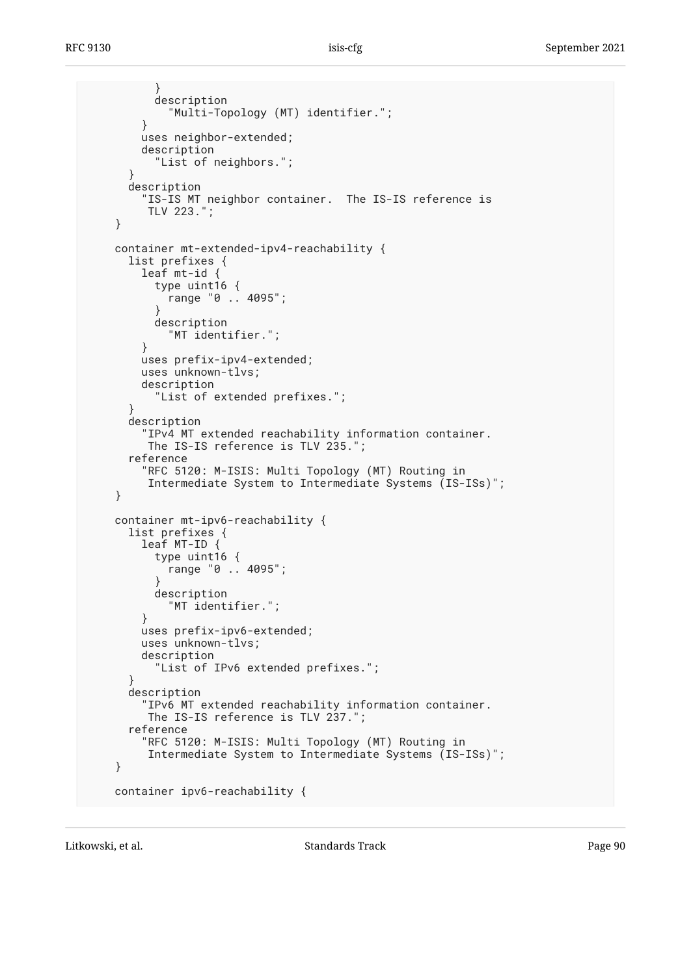```
 }
           description
             "Multi-Topology (MT) identifier.";
         }
         uses neighbor-extended;
         description
           "List of neighbors.";
       }
       description
         "IS-IS MT neighbor container. The IS-IS reference is
          TLV 223.";
     }
     container mt-extended-ipv4-reachability {
       list prefixes {
         leaf mt-id {
           type uint16 {
             range "0 .. 4095";
 }
           description
             "MT identifier.";
         }
         uses prefix-ipv4-extended;
         uses unknown-tlvs;
         description
           "List of extended prefixes.";
 }
       description
         "IPv4 MT extended reachability information container.
          The IS-IS reference is TLV 235.";
       reference
         "RFC 5120: M-ISIS: Multi Topology (MT) Routing in
          Intermediate System to Intermediate Systems (IS-ISs)";
     }
     container mt-ipv6-reachability {
       list prefixes {
         leaf MT-ID {
           type uint16 {
             range "0 .. 4095";
 }
           description
             "MT identifier.";
         }
         uses prefix-ipv6-extended;
         uses unknown-tlvs;
         description
           "List of IPv6 extended prefixes.";
       }
      description
         "IPv6 MT extended reachability information container.
          The IS-IS reference is TLV 237.";
       reference
         "RFC 5120: M-ISIS: Multi Topology (MT) Routing in
          Intermediate System to Intermediate Systems (IS-ISs)";
     }
     container ipv6-reachability {
```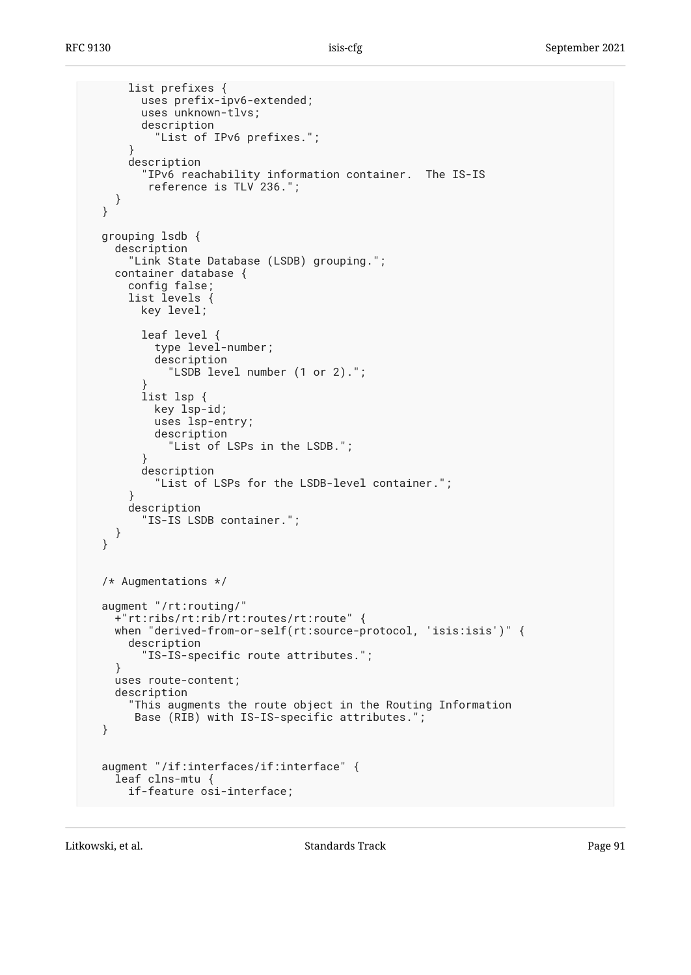```
 list prefixes {
         uses prefix-ipv6-extended;
         uses unknown-tlvs;
         description
           "List of IPv6 prefixes.";
 }
       description
         "IPv6 reachability information container. The IS-IS
          reference is TLV 236.";
     }
  }
  grouping lsdb {
     description
       "Link State Database (LSDB) grouping.";
    container database {
       config false;
       list levels {
         key level;
         leaf level {
           type level-number;
           description
             "LSDB level number (1 or 2).";
 }
         list lsp {
           key lsp-id;
          uses lsp-entry;
           description
             "List of LSPs in the LSDB.";
 }
         description
           "List of LSPs for the LSDB-level container.";
 }
      description
         "IS-IS LSDB container.";
    }
  }
  /* Augmentations */
  augment "/rt:routing/"
     +"rt:ribs/rt:rib/rt:routes/rt:route" {
   when "derived-from-or-self(rt:source-protocol, 'isis:isis')" {
       description
         "IS-IS-specific route attributes.";
     }
    uses route-content;
    description
       "This augments the route object in the Routing Information
        Base (RIB) with IS-IS-specific attributes.";
  }
  augment "/if:interfaces/if:interface" {
     leaf clns-mtu {
      if-feature osi-interface;
```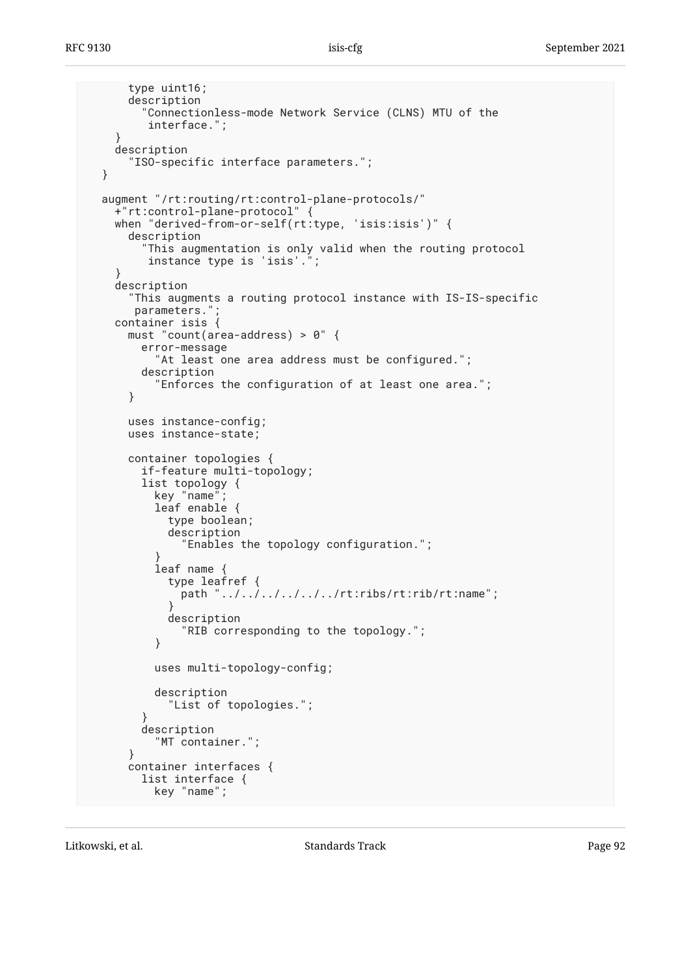```
 type uint16;
       description
         "Connectionless-mode Network Service (CLNS) MTU of the
          interface.";
     }
     description
       "ISO-specific interface parameters.";
  }
  augment "/rt:routing/rt:control-plane-protocols/"
     +"rt:control-plane-protocol" {
    when "derived-from-or-self(rt:type, 'isis:isis')" {
      description
         "This augmentation is only valid when the routing protocol
          instance type is 'isis'.";
 }
     description
       "This augments a routing protocol instance with IS-IS-specific
      parameters."
     container isis {
      must "count(area-address) > 0" {
        error-message
           "At least one area address must be configured.";
        description
           "Enforces the configuration of at least one area.";
       }
      uses instance-config;
      uses instance-state;
      container topologies {
        if-feature multi-topology;
        list topology {
           key "name";
           leaf enable {
             type boolean;
             description
               "Enables the topology configuration.";
 }
           leaf name {
             type leafref {
              path "../../../../../../rt:ribs/rt:rib/rt:name";
 }
             description
               "RIB corresponding to the topology.";
 }
           uses multi-topology-config;
           description
             "List of topologies.";
 }
        description
           "MT container.";
       }
      container interfaces {
        list interface {
           key "name";
```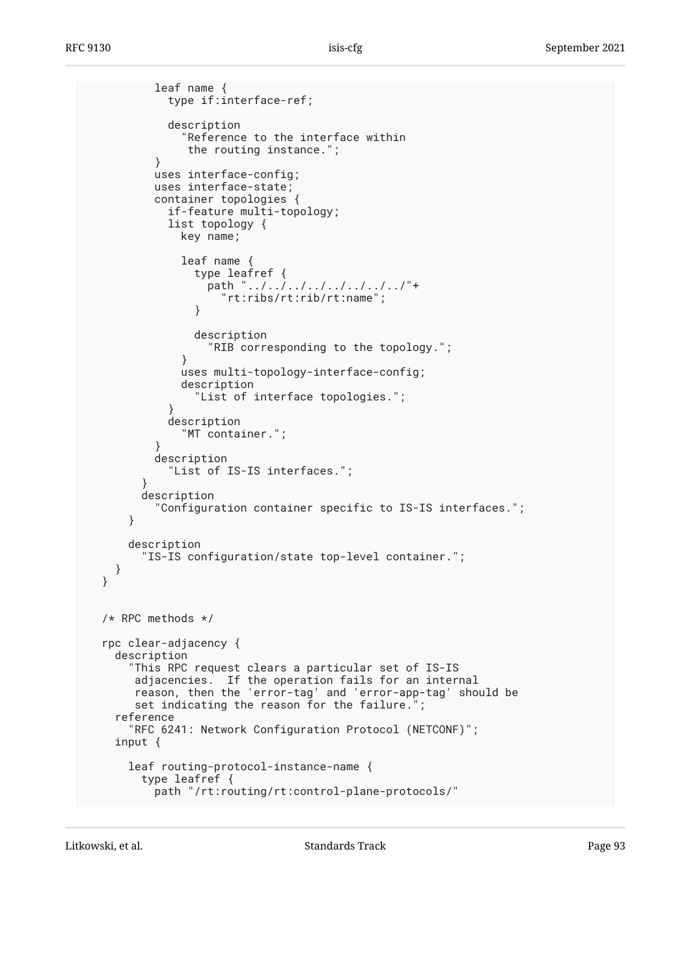```
 leaf name {
            type if:interface-ref;
            description
               "Reference to the interface within
               the routing instance.";
 }
          uses interface-config;
          uses interface-state;
          container topologies {
            if-feature multi-topology;
            list topology {
              key name;
              leaf name {
                type leafref {
                  path "../../../../../../../../"+
                     "rt:ribs/rt:rib/rt:name";
 }
                description
                   "RIB corresponding to the topology.";
 }
              uses multi-topology-interface-config;
              description
                 "List of interface topologies.";
 }
            description
               "MT container.";
 }
          description
         "List of IS-IS interfaces.";
 }
        description
           "Configuration container specific to IS-IS interfaces.";
      }
      description
         "IS-IS configuration/state top-level container.";
    }
  }
  /* RPC methods */
  rpc clear-adjacency {
    description
       "This RPC request clears a particular set of IS-IS
       adjacencies. If the operation fails for an internal
       reason, then the 'error-tag' and 'error-app-tag' should be
      set indicating the reason for the failure.";
    reference
      "RFC 6241: Network Configuration Protocol (NETCONF)";
    input {
      leaf routing-protocol-instance-name {
        type leafref {
          path "/rt:routing/rt:control-plane-protocols/"
```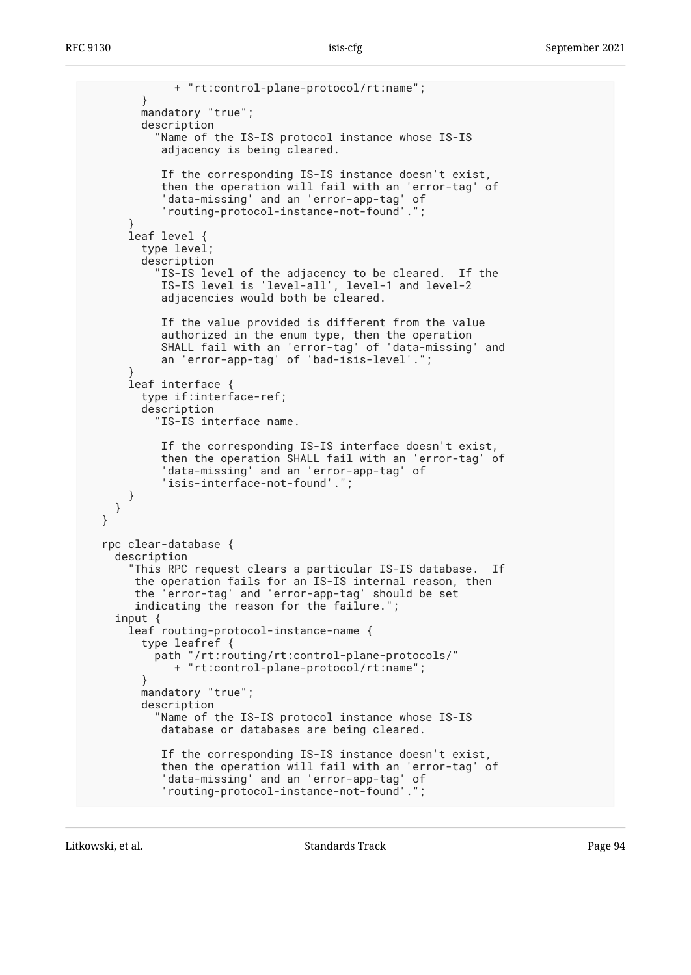```
 + "rt:control-plane-protocol/rt:name";
        }
        mandatory "true";
        description
           "Name of the IS-IS protocol instance whose IS-IS
           adjacency is being cleared.
           If the corresponding IS-IS instance doesn't exist,
 then the operation will fail with an 'error-tag' of
 'data-missing' and an 'error-app-tag' of
 'routing-protocol-instance-not-found'.";
 }
      leaf level {
        type level;
        description
 "IS-IS level of the adjacency to be cleared. If the
 IS-IS level is 'level-all', level-1 and level-2
           adjacencies would both be cleared.
           If the value provided is different from the value
           authorized in the enum type, then the operation
           SHALL fail with an 'error-tag' of 'data-missing' and
           an 'error-app-tag' of 'bad-isis-level'.";
 }
      leaf interface {
        type if:interface-ref;
        description
          "IS-IS interface name.
           If the corresponding IS-IS interface doesn't exist,
           then the operation SHALL fail with an 'error-tag' of
           'data-missing' and an 'error-app-tag' of
           'isis-interface-not-found'.";
      }
    }
  }
  rpc clear-database {
    description
      "This RPC request clears a particular IS-IS database. If
       the operation fails for an IS-IS internal reason, then
       the 'error-tag' and 'error-app-tag' should be set
      indicating the reason for the failure.";
    input {
      leaf routing-protocol-instance-name {
        type leafref {
          path "/rt:routing/rt:control-plane-protocols/"
             + "rt:control-plane-protocol/rt:name";
        }
        mandatory "true";
        description
           "Name of the IS-IS protocol instance whose IS-IS
           database or databases are being cleared.
           If the corresponding IS-IS instance doesn't exist,
 then the operation will fail with an 'error-tag' of
 'data-missing' and an 'error-app-tag' of
 'routing-protocol-instance-not-found'.";
```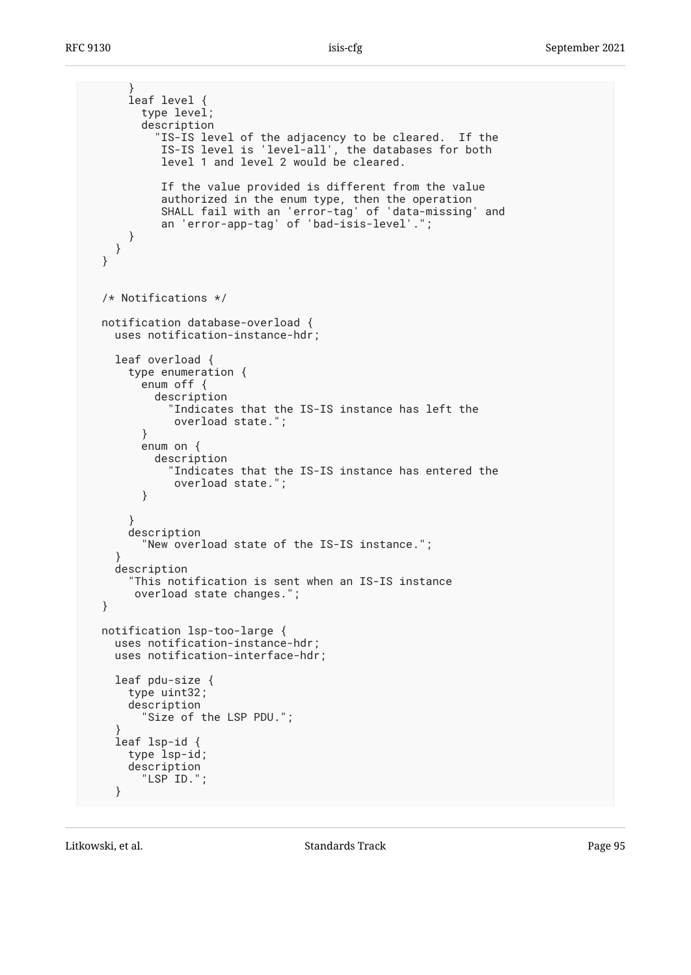```
 }
       leaf level {
         type level;
         description
           "IS-IS level of the adjacency to be cleared. If the
 IS-IS level is 'level-all', the databases for both
 level 1 and level 2 would be cleared.
            If the value provided is different from the value
            authorized in the enum type, then the operation
            SHALL fail with an 'error-tag' of 'data-missing' and
            an 'error-app-tag' of 'bad-isis-level'.";
      }
    }
  }
  /* Notifications */
  notification database-overload {
    uses notification-instance-hdr;
    leaf overload {
      type enumeration {
         enum off {
           description
             "Indicates that the IS-IS instance has left the
              overload state.";
         }
         enum on {
           description
             "Indicates that the IS-IS instance has entered the
              overload state.";
         }
       }
      description
         "New overload state of the IS-IS instance.";
     }
     description
       "This notification is sent when an IS-IS instance
       overload state changes.";
  }
  notification lsp-too-large {
     uses notification-instance-hdr;
    uses notification-interface-hdr;
     leaf pdu-size {
      type uint32;
      description
         "Size of the LSP PDU.";
 }
     leaf lsp-id {
      type lsp-id;
      description
         "LSP ID.";
     }
```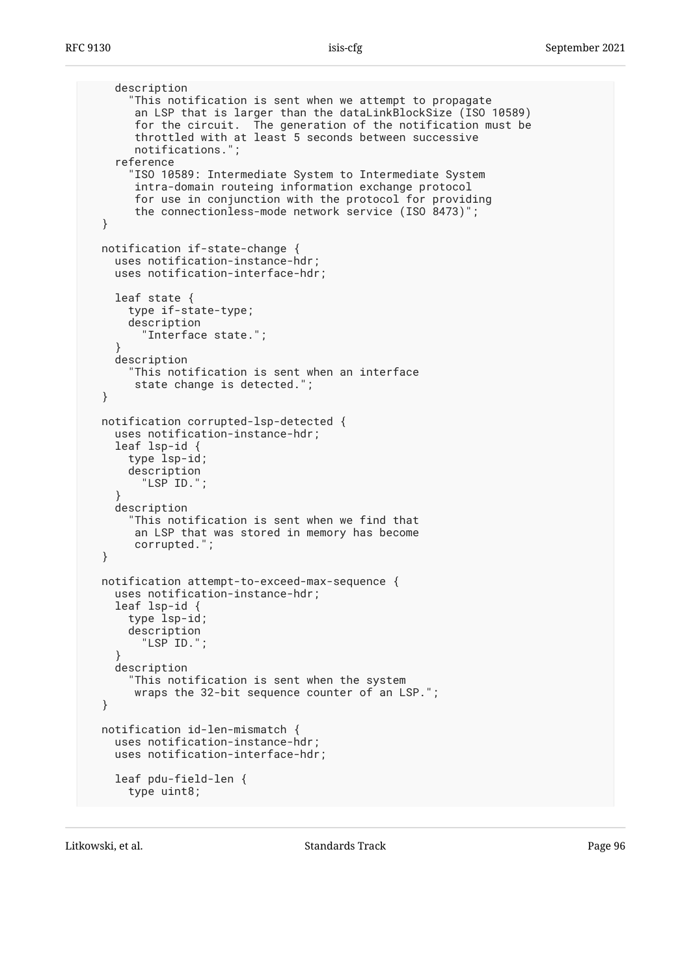```
 description
       "This notification is sent when we attempt to propagate
        an LSP that is larger than the dataLinkBlockSize (ISO 10589)
        for the circuit. The generation of the notification must be
        throttled with at least 5 seconds between successive
        notifications.";
     reference
       "ISO 10589: Intermediate System to Intermediate System
        intra-domain routeing information exchange protocol
        for use in conjunction with the protocol for providing
        the connectionless-mode network service (ISO 8473)";
  }
  notification if-state-change {
    uses notification-instance-hdr;
    uses notification-interface-hdr;
    leaf state {
       type if-state-type;
       description
         "Interface state.";
 }
     description
       "This notification is sent when an interface
        state change is detected.";
  }
  notification corrupted-lsp-detected {
     uses notification-instance-hdr;
     leaf lsp-id {
       type lsp-id;
       description
        "LSP ID.";
 }
     description
       "This notification is sent when we find that
        an LSP that was stored in memory has become
        corrupted.";
  }
  notification attempt-to-exceed-max-sequence {
     uses notification-instance-hdr;
     leaf lsp-id {
       type lsp-id;
       description
         "LSP ID.";
 }
     description
       "This notification is sent when the system
        wraps the 32-bit sequence counter of an LSP.";
  }
  notification id-len-mismatch {
    uses notification-instance-hdr;
    uses notification-interface-hdr;
     leaf pdu-field-len {
      type uint8;
```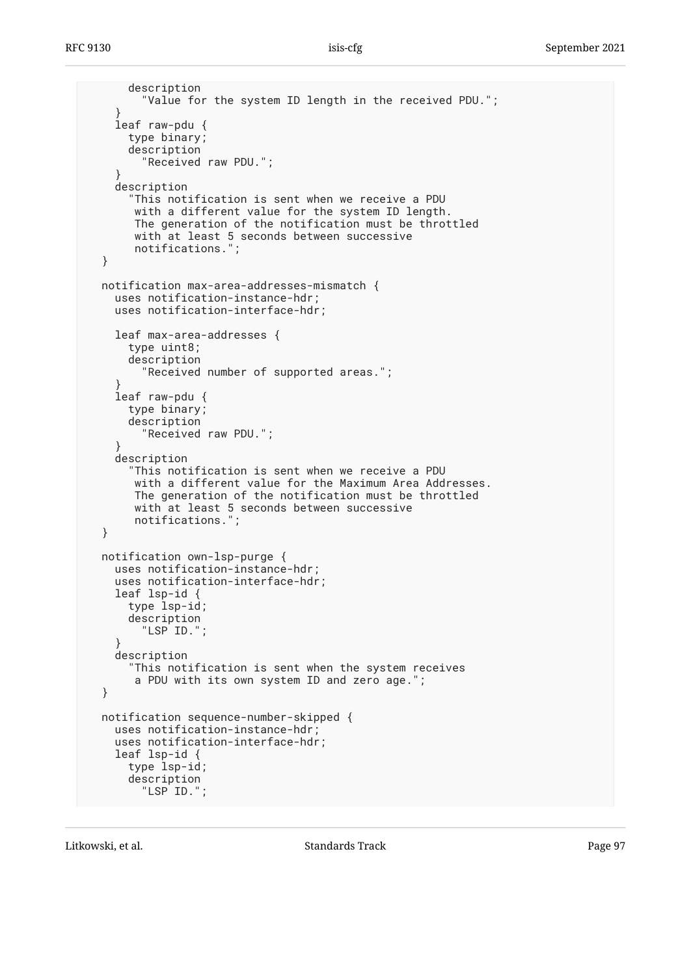```
 description
         "Value for the system ID length in the received PDU.";
     }
     leaf raw-pdu {
      type binary;
       description
         "Received raw PDU.";
 }
     description
       "This notification is sent when we receive a PDU
        with a different value for the system ID length.
        The generation of the notification must be throttled
        with at least 5 seconds between successive
        notifications.";
  }
  notification max-area-addresses-mismatch {
    uses notification-instance-hdr;
     uses notification-interface-hdr;
    leaf max-area-addresses {
       type uint8;
       description
         "Received number of supported areas.";
 }
     leaf raw-pdu {
       type binary;
       description
         "Received raw PDU.";
 }
     description
       "This notification is sent when we receive a PDU
        with a different value for the Maximum Area Addresses.
        The generation of the notification must be throttled
        with at least 5 seconds between successive
        notifications.";
  }
  notification own-lsp-purge {
    uses notification-instance-hdr;
    uses notification-interface-hdr;
    leaf lsp-id {
       type lsp-id;
       description
         "LSP ID.";
 }
     description
       "This notification is sent when the system receives
       a PDU with its own system ID and zero age.";
  }
  notification sequence-number-skipped {
    uses notification-instance-hdr;
     uses notification-interface-hdr;
     leaf lsp-id {
       type lsp-id;
       description
         "LSP ID.";
```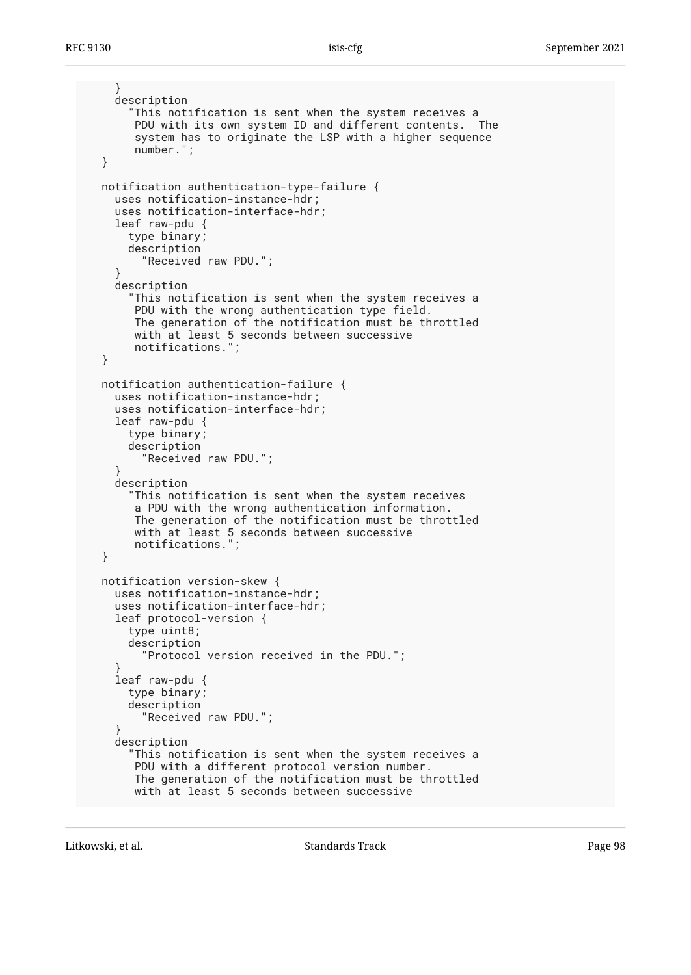```
 }
     description
       "This notification is sent when the system receives a
       PDU with its own system ID and different contents. The
        system has to originate the LSP with a higher sequence
       number.";
  }
  notification authentication-type-failure {
    uses notification-instance-hdr;
     uses notification-interface-hdr;
     leaf raw-pdu {
       type binary;
       description
         "Received raw PDU.";
 }
     description
       "This notification is sent when the system receives a
       PDU with the wrong authentication type field.
       The generation of the notification must be throttled
      with at least 5 seconds between successive
       notifications.";
  }
  notification authentication-failure {
     uses notification-instance-hdr;
     uses notification-interface-hdr;
    leaf raw-pdu {
       type binary;
       description
         "Received raw PDU.";
 }
     description
       "This notification is sent when the system receives
       a PDU with the wrong authentication information.
       The generation of the notification must be throttled
       with at least 5 seconds between successive
       notifications.";
  }
  notification version-skew {
     uses notification-instance-hdr;
     uses notification-interface-hdr;
     leaf protocol-version {
       type uint8;
       description
         "Protocol version received in the PDU.";
 }
     leaf raw-pdu {
       type binary;
       description
         "Received raw PDU.";
 }
     description
       "This notification is sent when the system receives a
       PDU with a different protocol version number.
       The generation of the notification must be throttled
       with at least 5 seconds between successive
```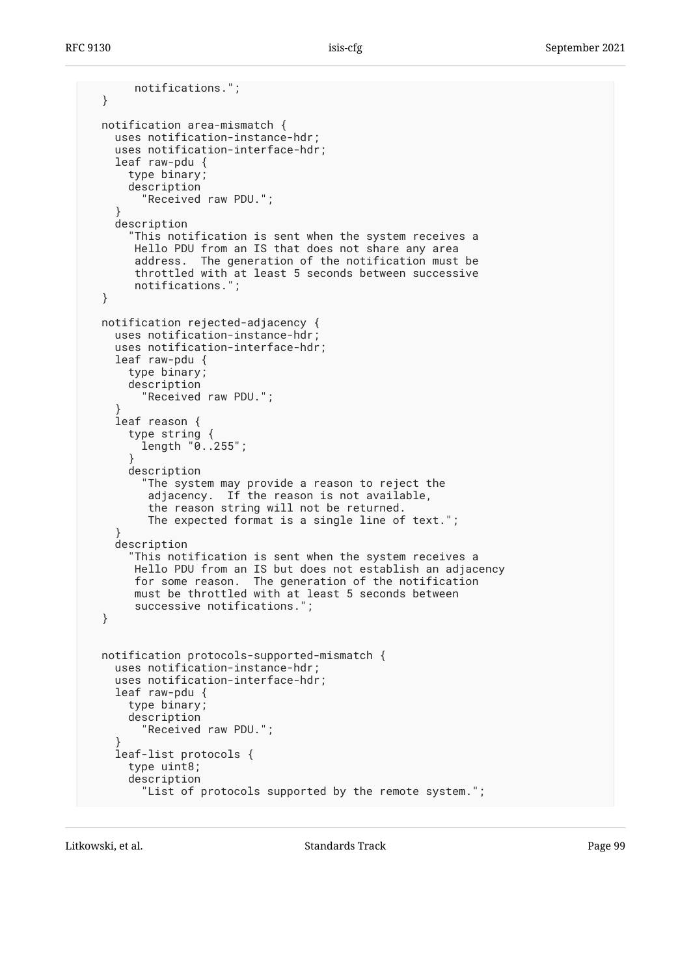```
 notifications.";
  }
  notification area-mismatch {
    uses notification-instance-hdr;
     uses notification-interface-hdr;
     leaf raw-pdu {
       type binary;
       description
         "Received raw PDU.";
 }
     description
       "This notification is sent when the system receives a
       Hello PDU from an IS that does not share any area
        address. The generation of the notification must be
        throttled with at least 5 seconds between successive
       notifications.";
  }
  notification rejected-adjacency {
    uses notification-instance-hdr;
     uses notification-interface-hdr;
    leaf raw-pdu {
      type binary;
       description
         "Received raw PDU.";
 }
     leaf reason {
       type string {
         length "0..255";
 }
       description
         "The system may provide a reason to reject the
          adjacency. If the reason is not available,
          the reason string will not be returned.
          The expected format is a single line of text.";
 }
     description
       "This notification is sent when the system receives a
       Hello PDU from an IS but does not establish an adjacency
       for some reason. The generation of the notification
       must be throttled with at least 5 seconds between
       successive notifications.";
  }
  notification protocols-supported-mismatch {
    uses notification-instance-hdr;
    uses notification-interface-hdr;
     leaf raw-pdu {
       type binary;
       description
         "Received raw PDU.";
 }
     leaf-list protocols {
       type uint8;
       description
         "List of protocols supported by the remote system.";
```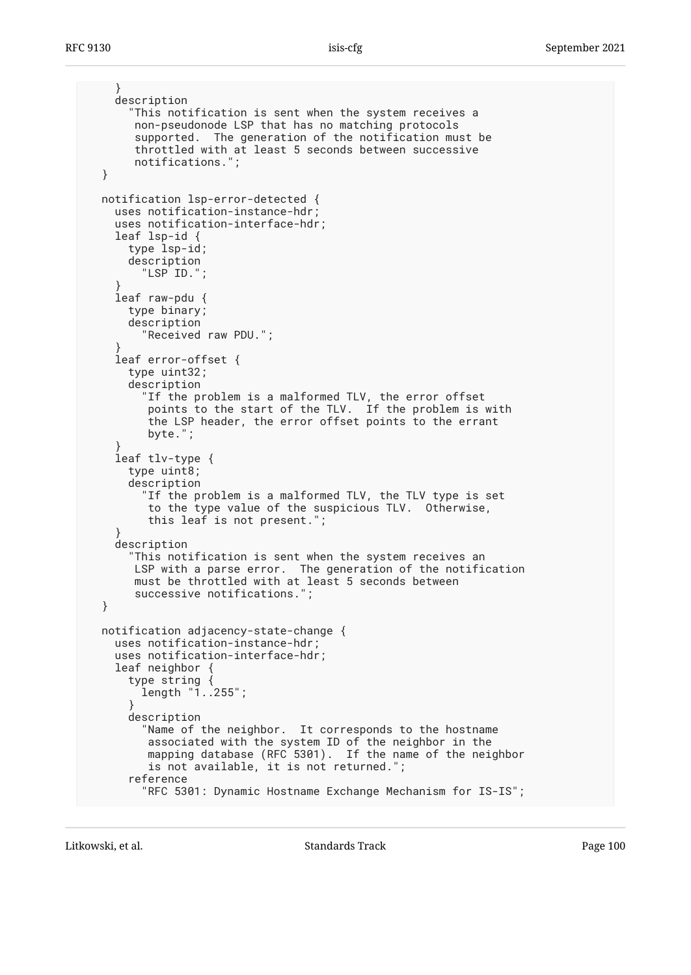```
 }
     description
       "This notification is sent when the system receives a
       non-pseudonode LSP that has no matching protocols
        supported. The generation of the notification must be
        throttled with at least 5 seconds between successive
       notifications.";
  }
  notification lsp-error-detected {
    uses notification-instance-hdr;
     uses notification-interface-hdr;
     leaf lsp-id {
      type lsp-id;
      description
         "LSP ID.";
 }
     leaf raw-pdu {
      type binary;
      description
         "Received raw PDU.";
 }
     leaf error-offset {
      type uint32;
       description
         "If the problem is a malformed TLV, the error offset
 points to the start of the TLV. If the problem is with
 the LSP header, the error offset points to the errant
          byte.";
 }
     leaf tlv-type {
       type uint8;
      description
         "If the problem is a malformed TLV, the TLV type is set
          to the type value of the suspicious TLV. Otherwise,
          this leaf is not present.";
 }
     description
       "This notification is sent when the system receives an
       LSP with a parse error. The generation of the notification
       must be throttled with at least 5 seconds between
        successive notifications.";
  }
  notification adjacency-state-change {
     uses notification-instance-hdr;
     uses notification-interface-hdr;
     leaf neighbor {
       type string {
        length "1..255";
       }
       description
         "Name of the neighbor. It corresponds to the hostname
          associated with the system ID of the neighbor in the
          mapping database (RFC 5301). If the name of the neighbor
          is not available, it is not returned.";
       reference
         "RFC 5301: Dynamic Hostname Exchange Mechanism for IS-IS";
```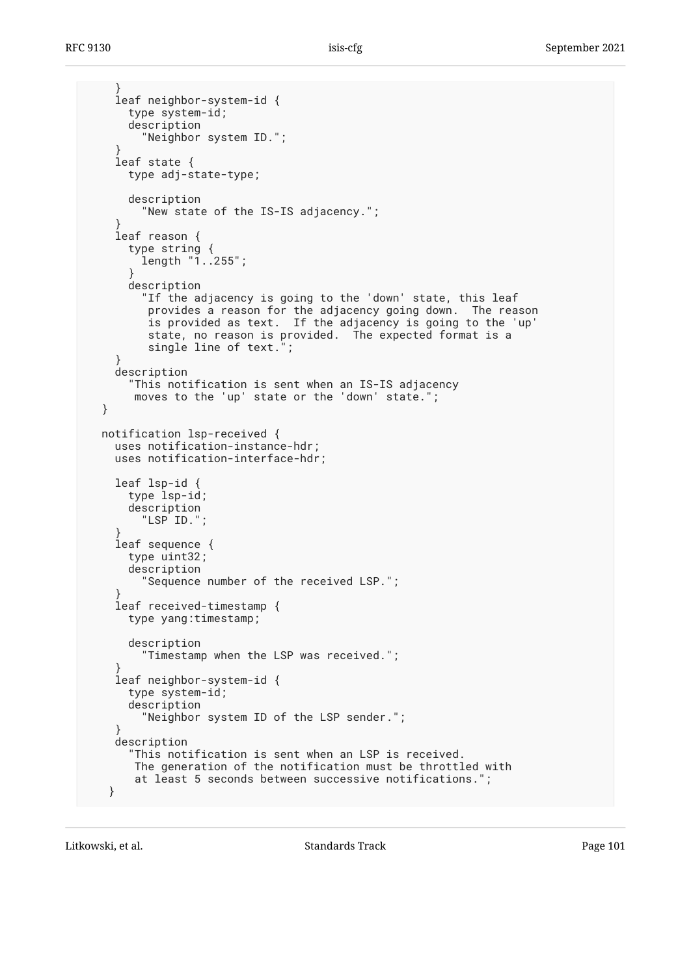```
 }
     leaf neighbor-system-id {
      type system-id;
       description
         "Neighbor system ID.";
 }
     leaf state {
      type adj-state-type;
      description
         "New state of the IS-IS adjacency.";
 }
     leaf reason {
      type string {
         length "1..255";
 }
      description
         "If the adjacency is going to the 'down' state, this leaf
          provides a reason for the adjacency going down. The reason
          is provided as text. If the adjacency is going to the 'up'
          state, no reason is provided. The expected format is a
          single line of text.";
     }
     description
       "This notification is sent when an IS-IS adjacency
       moves to the 'up' state or the 'down' state.";
  }
  notification lsp-received {
    uses notification-instance-hdr;
    uses notification-interface-hdr;
     leaf lsp-id {
      type lsp-id;
      description
         "LSP ID.";
 }
     leaf sequence {
      type uint32;
      description
         "Sequence number of the received LSP.";
 }
     leaf received-timestamp {
      type yang:timestamp;
      description
         "Timestamp when the LSP was received.";
 }
     leaf neighbor-system-id {
      type system-id;
      description
         "Neighbor system ID of the LSP sender.";
 }
     description
       "This notification is sent when an LSP is received.
       The generation of the notification must be throttled with
       at least 5 seconds between successive notifications.";
   }
```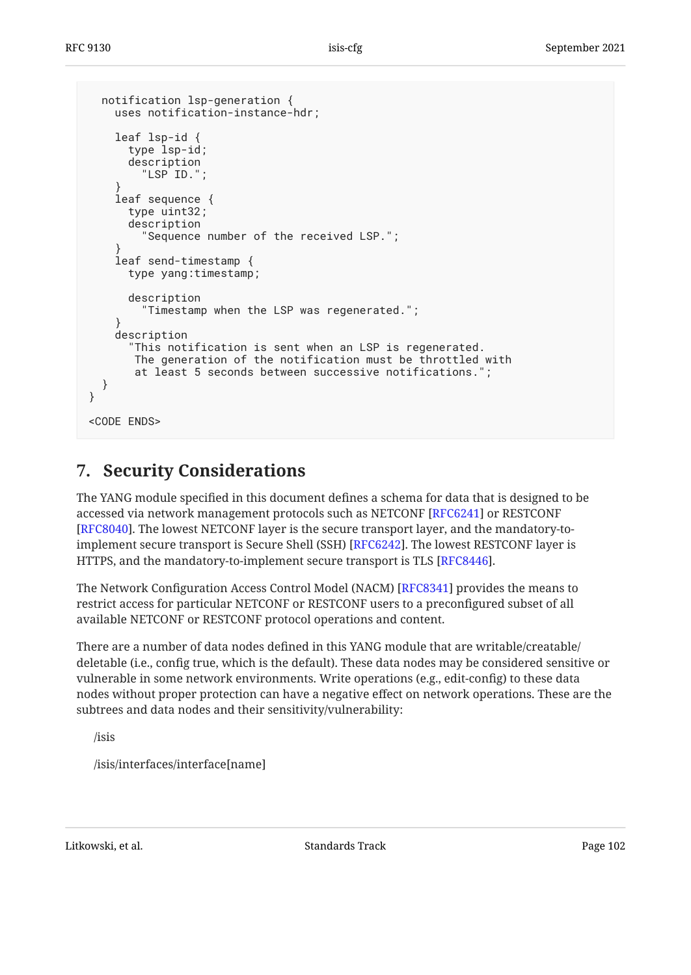```
 notification lsp-generation {
     uses notification-instance-hdr;
     leaf lsp-id {
       type lsp-id;
       description
         "LSP ID.";
 }
     leaf sequence {
       type uint32;
       description
         "Sequence number of the received LSP.";
 }
     leaf send-timestamp {
       type yang:timestamp;
       description
         "Timestamp when the LSP was regenerated.";
     }
     description
       "This notification is sent when an LSP is regenerated.
        The generation of the notification must be throttled with
        at least 5 seconds between successive notifications.";
   }
}
<CODE ENDS>
```
# <span id="page-101-0"></span>**[7. Security Considerations](#page-101-0)**

The YANG module specified in this document defines a schema for data that is designed to be accessed via network management protocols such as NETCONF [[RFC6241\]](#page-105-0) or RESTCONF [[RFC8040\]](#page-105-1). The lowest NETCONF layer is the secure transport layer, and the mandatory-to-implement secure transport is Secure Shell (SSH) [[RFC6242\]](#page-105-2). The lowest RESTCONF layer is HTTPS, and the mandatory-to-implement secure transport is TLS [[RFC8446\]](#page-106-0).

The Network Configuration Access Control Model (NACM) [[RFC8341\]](#page-106-1) provides the means to restrict access for particular NETCONF or RESTCONF users to a preconfigured subset of all available NETCONF or RESTCONF protocol operations and content.

There are a number of data nodes defined in this YANG module that are writable/creatable/ deletable (i.e., config true, which is the default). These data nodes may be considered sensitive or vulnerable in some network environments. Write operations (e.g., edit-config) to these data nodes without proper protection can have a negative effect on network operations. These are the subtrees and data nodes and their sensitivity/vulnerability:

/isis

/isis/interfaces/interface[name]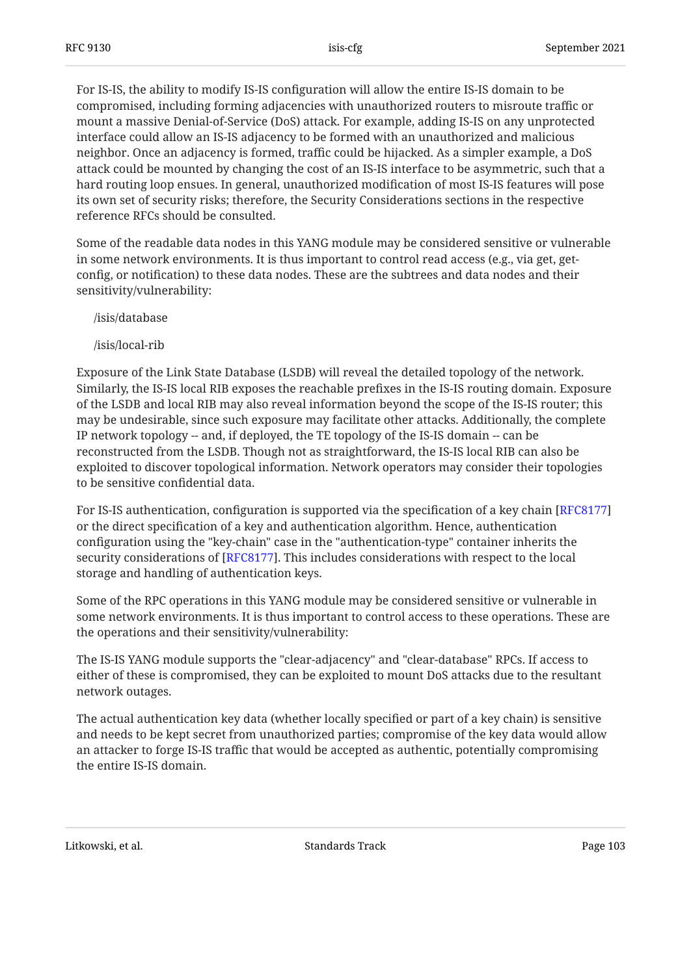For IS-IS, the ability to modify IS-IS configuration will allow the entire IS-IS domain to be compromised, including forming adjacencies with unauthorized routers to misroute traffic or mount a massive Denial-of-Service (DoS) attack. For example, adding IS-IS on any unprotected interface could allow an IS-IS adjacency to be formed with an unauthorized and malicious neighbor. Once an adjacency is formed, traffic could be hijacked. As a simpler example, a DoS attack could be mounted by changing the cost of an IS-IS interface to be asymmetric, such that a hard routing loop ensues. In general, unauthorized modification of most IS-IS features will pose its own set of security risks; therefore, the Security Considerations sections in the respective reference RFCs should be consulted.

Some of the readable data nodes in this YANG module may be considered sensitive or vulnerable in some network environments. It is thus important to control read access (e.g., via get, getconfig, or notification) to these data nodes. These are the subtrees and data nodes and their sensitivity/vulnerability:

/isis/database

/isis/local-rib

Exposure of the Link State Database (LSDB) will reveal the detailed topology of the network. Similarly, the IS-IS local RIB exposes the reachable prefixes in the IS-IS routing domain. Exposure of the LSDB and local RIB may also reveal information beyond the scope of the IS-IS router; this may be undesirable, since such exposure may facilitate other attacks. Additionally, the complete IP network topology -- and, if deployed, the TE topology of the IS-IS domain -- can be reconstructed from the LSDB. Though not as straightforward, the IS-IS local RIB can also be exploited to discover topological information. Network operators may consider their topologies to be sensitive confidential data.

For IS-IS authentication, configuration is supported via the specification of a key chain [\[RFC8177](#page-105-3)] or the direct specification of a key and authentication algorithm. Hence, authentication configuration using the "key-chain" case in the "authentication-type" container inherits the security considerations of [RFC8177]. This includes considerations with respect to the local storage and handling of authentication keys.

Some of the RPC operations in this YANG module may be considered sensitive or vulnerable in some network environments. It is thus important to control access to these operations. These are the operations and their sensitivity/vulnerability:

The IS-IS YANG module supports the "clear-adjacency" and "clear-database" RPCs. If access to either of these is compromised, they can be exploited to mount DoS attacks due to the resultant network outages.

The actual authentication key data (whether locally specified or part of a key chain) is sensitive and needs to be kept secret from unauthorized parties; compromise of the key data would allow an attacker to forge IS-IS traffic that would be accepted as authentic, potentially compromising the entire IS-IS domain.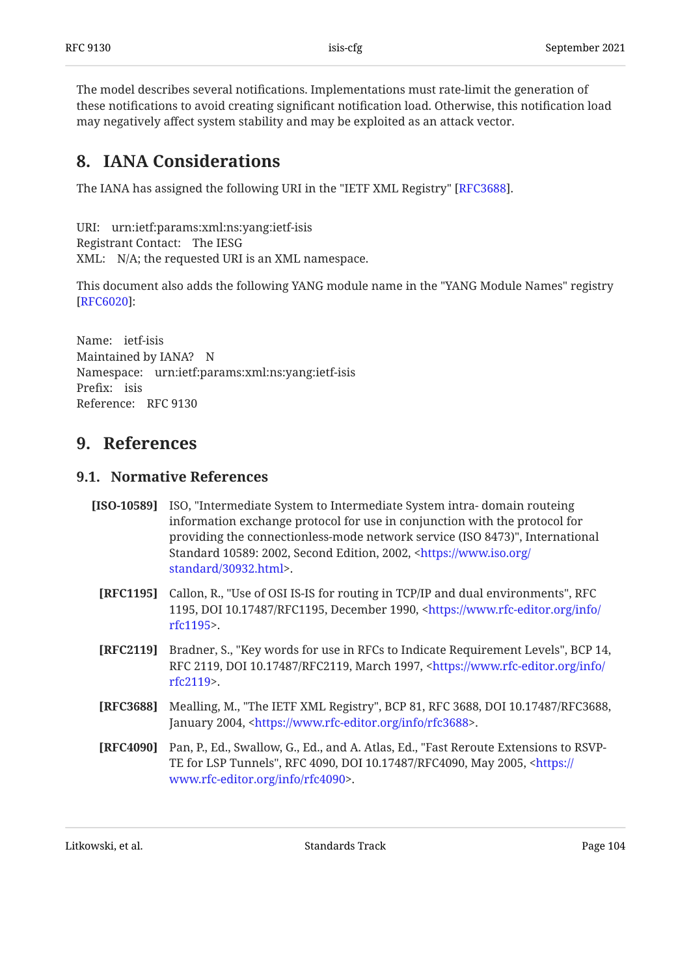The model describes several notifications. Implementations must rate-limit the generation of these notifications to avoid creating significant notification load. Otherwise, this notification load may negatively affect system stability and may be exploited as an attack vector.

## <span id="page-103-0"></span>**[8. IANA Considerations](#page-103-0)**

The IANA has assigned the following URI in the "IETF XML Registry" [RFC3688].  $\,$ 

URI: urn:ietf:params:xml:ns:yang:ietf-isis Registrant Contact: The IESG XML: N/A; the requested URI is an XML namespace.

This document also adds the following YANG module name in the "YANG Module Names" registry : [[RFC6020\]](#page-104-0)

Name: ietf-isis Maintained by IANA? N Namespace: urn:ietf:params:xml:ns:yang:ietf-isis Prefix: isis Reference: RFC 9130

### <span id="page-103-3"></span><span id="page-103-2"></span>**[9. References](#page-103-2)**

#### **[9.1. Normative References](#page-103-3)**

- **[ISO-10589]** ISO, "Intermediate System to Intermediate System intra- domain routeing providing the connectionless-mode network service (ISO 8473)", International Standard 10589: 2002, Second Edition, 2002, [<https://www.iso.org/](https://www.iso.org/standard/30932.html) . [standard/30932.html](https://www.iso.org/standard/30932.html)> information exchange protocol for use in conjunction with the protocol for
	- **[RFC1195]** Callon, R., "Use of OSI IS-IS for routing in TCP/IP and dual environments", RFC 1195, DOI 10.17487/RFC1195, December 1990, [<https://www.rfc-editor.org/info/](https://www.rfc-editor.org/info/rfc1195) . [rfc1195>](https://www.rfc-editor.org/info/rfc1195)
	- **[RFC2119]** Bradner, S., "Key words for use in RFCs to Indicate Requirement Levels", BCP 14, RFC 2119, DOI 10.17487/RFC2119, March 1997, <[https://www.rfc-editor.org/info/](https://www.rfc-editor.org/info/rfc2119) . [rfc2119>](https://www.rfc-editor.org/info/rfc2119)
- <span id="page-103-1"></span>**[RFC3688]** Mealling, M., "The IETF XML Registry", BCP 81, RFC 3688, DOI 10.17487/RFC3688, January 2004, <[https://www.rfc-editor.org/info/rfc3688>](https://www.rfc-editor.org/info/rfc3688).
- **[RFC4090]** Pan, P., Ed., Swallow, G., Ed., and A. Atlas, Ed., "Fast Reroute Extensions to RSVPTE for LSP Tunnels", RFC 4090, DOI 10.17487/RFC4090, May 2005, <[https://](https://www.rfc-editor.org/info/rfc4090) . [www.rfc-editor.org/info/rfc4090>](https://www.rfc-editor.org/info/rfc4090)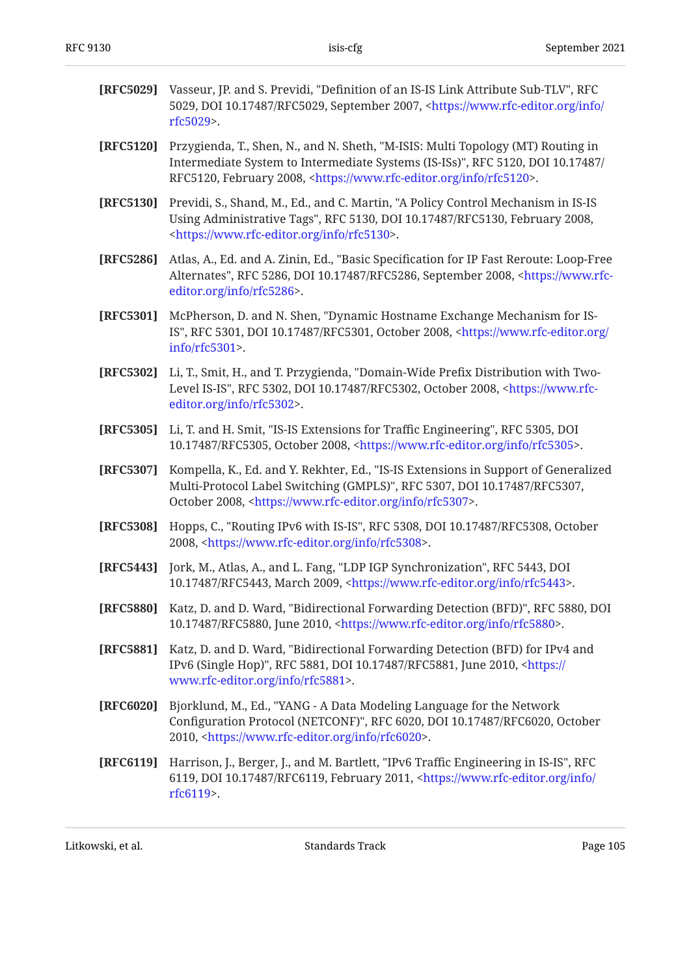| [RFC5029] | Vasseur, JP. and S. Previdi, "Definition of an IS-IS Link Attribute Sub-TLV", RFC<br>5029, DOI 10.17487/RFC5029, September 2007, <https: <br="" info="" www.rfc-editor.org="">rfc5029&gt;.</https:>                                                      |
|-----------|----------------------------------------------------------------------------------------------------------------------------------------------------------------------------------------------------------------------------------------------------------|
| [RFC5120] | Przygienda, T., Shen, N., and N. Sheth, "M-ISIS: Multi Topology (MT) Routing in<br>Intermediate System to Intermediate Systems (IS-ISs)", RFC 5120, DOI 10.17487/<br>RFC5120, February 2008, <https: info="" rfc5120="" www.rfc-editor.org="">.</https:> |
| [RFC5130] | Previdi, S., Shand, M., Ed., and C. Martin, "A Policy Control Mechanism in IS-IS<br>Using Administrative Tags", RFC 5130, DOI 10.17487/RFC5130, February 2008,<br><https: info="" rfc5130="" www.rfc-editor.org="">.</https:>                            |
| [RFC5286] | Atlas, A., Ed. and A. Zinin, Ed., "Basic Specification for IP Fast Reroute: Loop-Free<br>Alternates", RFC 5286, DOI 10.17487/RFC5286, September 2008, <https: www.rfc-<br="">editor.org/info/rfc5286&gt;.</https:>                                       |
| [RFC5301] | McPherson, D. and N. Shen, "Dynamic Hostname Exchange Mechanism for IS-<br>IS", RFC 5301, DOI 10.17487/RFC5301, October 2008, <https: <br="" www.rfc-editor.org="">info/rfc5301&gt;.</https:>                                                            |
| [RFC5302] | Li, T., Smit, H., and T. Przygienda, "Domain-Wide Prefix Distribution with Two-<br>Level IS-IS", RFC 5302, DOI 10.17487/RFC5302, October 2008, <https: www.rfc-<br="">editor.org/info/rfc5302&gt;.</https:>                                              |
| [RFC5305] | Li, T. and H. Smit, "IS-IS Extensions for Traffic Engineering", RFC 5305, DOI<br>10.17487/RFC5305, October 2008, <https: info="" rfc5305="" www.rfc-editor.org="">.</https:>                                                                             |
| [RFC5307] | Kompella, K., Ed. and Y. Rekhter, Ed., "IS-IS Extensions in Support of Generalized<br>Multi-Protocol Label Switching (GMPLS)", RFC 5307, DOI 10.17487/RFC5307,<br>October 2008, <https: info="" rfc5307="" www.rfc-editor.org="">.</https:>              |
| [RFC5308] | Hopps, C., "Routing IPv6 with IS-IS", RFC 5308, DOI 10.17487/RFC5308, October<br>2008, <https: info="" rfc5308="" www.rfc-editor.org="">.</https:>                                                                                                       |
| [RFC5443] | Jork, M., Atlas, A., and L. Fang, "LDP IGP Synchronization", RFC 5443, DOI<br>10.17487/RFC5443, March 2009, <https: info="" rfc5443="" www.rfc-editor.org="">.</https:>                                                                                  |
| [RFC5880] | Katz, D. and D. Ward, "Bidirectional Forwarding Detection (BFD)", RFC 5880, DOI<br>10.17487/RFC5880, June 2010, <https: info="" rfc5880="" www.rfc-editor.org="">.</https:>                                                                              |
| [RFC5881] | Katz, D. and D. Ward, "Bidirectional Forwarding Detection (BFD) for IPv4 and<br>IPv6 (Single Hop)", RFC 5881, DOI 10.17487/RFC5881, June 2010, <https: <br="">www.rfc-editor.org/info/rfc5881&gt;.</https:>                                              |

- <span id="page-104-0"></span>**[RFC6020]** , Bjorklund, M., Ed. "YANG - A Data Modeling Language for the Network Configuration Protocol (NETCONF)", RFC 6020, DOI 10.17487/RFC6020, October 2010, <https://www.rfc-editor.org/info/rfc6020>.
- **[RFC6119]** Harrison, J., Berger, J., and M. Bartlett, "IPv6 Traffic Engineering in IS-IS", RFC 6119, DOI 10.17487/RFC6119, February 2011, <[https://www.rfc-editor.org/info/](https://www.rfc-editor.org/info/rfc6119) . [rfc6119>](https://www.rfc-editor.org/info/rfc6119)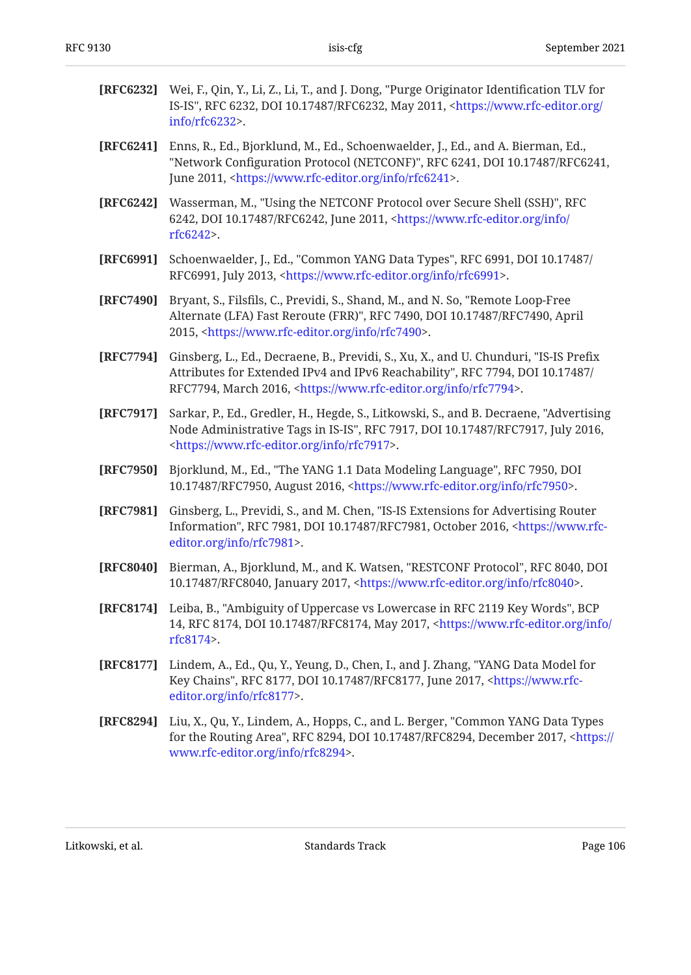<span id="page-105-2"></span><span id="page-105-0"></span>

| [RFC6232] | Wei, F., Qin, Y., Li, Z., Li, T., and J. Dong, "Purge Originator Identification TLV for<br>IS-IS", RFC 6232, DOI 10.17487/RFC6232, May 2011, <https: <br="" www.rfc-editor.org=""><math>info/rfc6232</math>.</https:>                                    |
|-----------|----------------------------------------------------------------------------------------------------------------------------------------------------------------------------------------------------------------------------------------------------------|
| [RFC6241] | Enns, R., Ed., Bjorklund, M., Ed., Schoenwaelder, J., Ed., and A. Bierman, Ed.,<br>"Network Configuration Protocol (NETCONF)", RFC 6241, DOI 10.17487/RFC6241,<br>June 2011, <https: info="" rfc6241="" www.rfc-editor.org="">.</https:>                 |
| [RFC6242] | Wasserman, M., "Using the NETCONF Protocol over Secure Shell (SSH)", RFC<br>6242, DOI 10.17487/RFC6242, June 2011, <https: <br="" info="" www.rfc-editor.org="">rfc6242&gt;.</https:>                                                                    |
| [RFC6991] | Schoenwaelder, J., Ed., "Common YANG Data Types", RFC 6991, DOI 10.17487/<br>RFC6991, July 2013, <https: info="" rfc6991="" www.rfc-editor.org="">.</https:>                                                                                             |
| [RFC7490] | Bryant, S., Filsfils, C., Previdi, S., Shand, M., and N. So, "Remote Loop-Free<br>Alternate (LFA) Fast Reroute (FRR)", RFC 7490, DOI 10.17487/RFC7490, April<br>2015, <https: info="" rfc7490="" www.rfc-editor.org="">.</https:>                        |
| [RFC7794] | Ginsberg, L., Ed., Decraene, B., Previdi, S., Xu, X., and U. Chunduri, "IS-IS Prefix<br>Attributes for Extended IPv4 and IPv6 Reachability", RFC 7794, DOI 10.17487/<br>RFC7794, March 2016, <https: info="" rfc7794="" www.rfc-editor.org="">.</https:> |
| [RFC7917] | Sarkar, P., Ed., Gredler, H., Hegde, S., Litkowski, S., and B. Decraene, "Advertising<br>Node Administrative Tags in IS-IS", RFC 7917, DOI 10.17487/RFC7917, July 2016,<br><https: info="" rfc7917="" www.rfc-editor.org="">.</https:>                   |
| [RFC7950] | Bjorklund, M., Ed., "The YANG 1.1 Data Modeling Language", RFC 7950, DOI<br>10.17487/RFC7950, August 2016, <https: info="" rfc7950="" www.rfc-editor.org="">.</https:>                                                                                   |
| [RFC7981] | Ginsberg, L., Previdi, S., and M. Chen, "IS-IS Extensions for Advertising Router<br>Information", RFC 7981, DOI 10.17487/RFC7981, October 2016, <https: www.rfc-<br="">editor.org/info/rfc7981&gt;.</https:>                                             |
| [RFC8040] | Bierman, A., Bjorklund, M., and K. Watsen, "RESTCONF Protocol", RFC 8040, DOI<br>10.17487/RFC8040, January 2017, <https: info="" rfc8040="" www.rfc-editor.org="">.</https:>                                                                             |
|           | [RFC8174] Leiba, B., "Ambiguity of Uppercase vs Lowercase in RFC 2119 Key Words", BCP<br>14, RFC 8174, DOI 10.17487/RFC8174, May 2017, <https: <br="" info="" www.rfc-editor.org="">rfc8174&gt;.</https:>                                                |
| [RFC8177] | Lindem, A., Ed., Qu, Y., Yeung, D., Chen, I., and J. Zhang, "YANG Data Model for<br>Key Chains", RFC 8177, DOI 10.17487/RFC8177, June 2017, <https: www.rfc-<br="">editor.org/info/rfc8177&gt;.</https:>                                                 |
| [RFC8294] | Liu, X., Qu, Y., Lindem, A., Hopps, C., and L. Berger, "Common YANG Data Types<br>for the Routing Area", RFC 8294, DOI 10.17487/RFC8294, December 2017, <https: <br="">www.rfc-editor.org/info/rfc8294&gt;.</https:>                                     |

<span id="page-105-3"></span><span id="page-105-1"></span>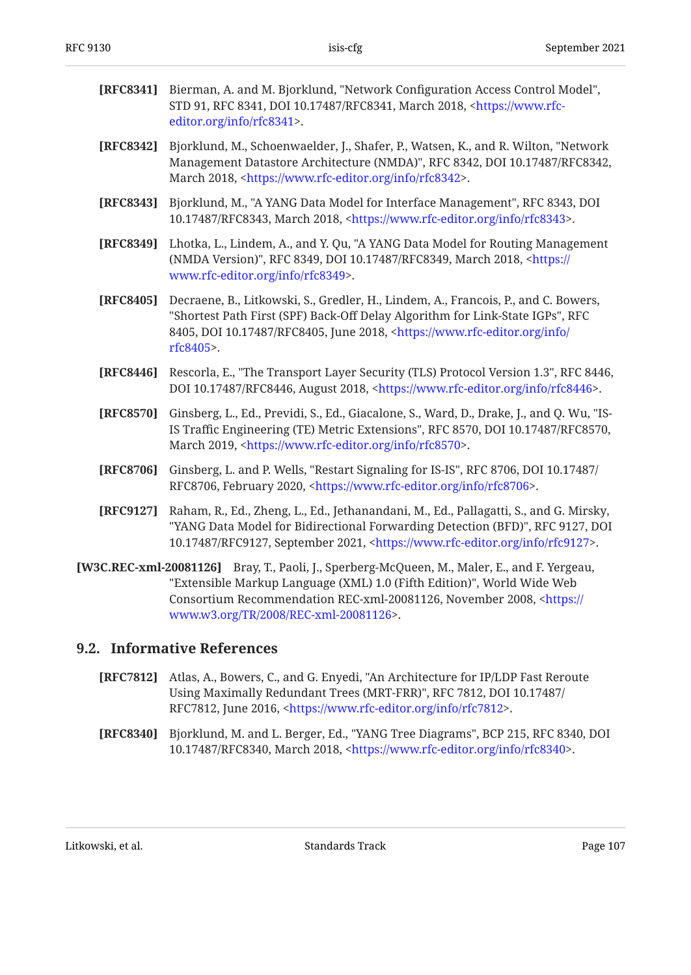<span id="page-106-1"></span>

| [RFC8341] Bierman, A. and M. Bjorklund, "Network Configuration Access Control Model",    |
|------------------------------------------------------------------------------------------|
| STD 91, RFC 8341, DOI 10.17487/RFC8341, March 2018, <https: th="" www.rfc-<=""></https:> |
| editor.org/info/rfc8341>.                                                                |

- **[RFC8342]** Bjorklund, M., Schoenwaelder, J., Shafer, P., Watsen, K., and R. Wilton, "Network Management Datastore Architecture (NMDA)", RFC 8342, DOI 10.17487/RFC8342, March 2018, <https://www.rfc-editor.org/info/rfc8342>.
- **[RFC8343]** Bjorklund, M., "A YANG Data Model for Interface Management", RFC 8343, DOI 10.17487/RFC8343, March 2018, <https://www.rfc-editor.org/info/rfc8343>.
- **[RFC8349]** Lhotka, L., Lindem, A., and Y. Qu, "A YANG Data Model for Routing Management (NMDA Version)", RFC 8349, DOI 10.17487/RFC8349, March 2018, <[https://](https://www.rfc-editor.org/info/rfc8349) . [www.rfc-editor.org/info/rfc8349>](https://www.rfc-editor.org/info/rfc8349)
- **[RFC8405]** Decraene, B., Litkowski, S., Gredler, H., Lindem, A., Francois, P., and C. Bowers, "Shortest Path First (SPF) Back-Off Delay Algorithm for Link-State IGPs", RFC 8405, DOI 10.17487/RFC8405, June 2018, [<https://www.rfc-editor.org/info/](https://www.rfc-editor.org/info/rfc8405) . [rfc8405>](https://www.rfc-editor.org/info/rfc8405)
- <span id="page-106-0"></span>**[RFC8446]** Rescorla, E., "The Transport Layer Security (TLS) Protocol Version 1.3", RFC 8446, DOI 10.17487/RFC8446, August 2018, <https://www.rfc-editor.org/info/rfc8446>.
- **[RFC8570]** Ginsberg, L., Ed., Previdi, S., Ed., Giacalone, S., Ward, D., Drake, J., and Q. Wu, "IS-IS Traffic Engineering (TE) Metric Extensions", RFC 8570, DOI 10.17487/RFC8570, March 2019, <https://www.rfc-editor.org/info/rfc8570>.
- **[RFC8706]** Ginsberg, L. and P. Wells, "Restart Signaling for IS-IS", RFC 8706, DOI 10.17487/ RFC8706, February 2020, <https://www.rfc-editor.org/info/rfc8706>.
- **[RFC9127]** Raham, R., Ed., Zheng, L., Ed., Jethanandani, M., Ed., Pallagatti, S., and G. Mirsky, "YANG Data Model for Bidirectional Forwarding Detection (BFD)", RFC 9127, DOI 10.17487/RFC9127, September 2021, <https://www.rfc-editor.org/info/rfc9127>.
- **[W3C.REC-xml-20081126]** Bray, T., Paoli, J., Sperberg-McQueen, M., Maler, E., and F. Yergeau, "Extensible Markup Language (XML) 1.0 (Fifth Edition)", World Wide Web Consortium Recommendation REC-xml-20081126, November 2008, [<https://](https://www.w3.org/TR/2008/REC-xml-20081126) . [www.w3.org/TR/2008/REC-xml-20081126](https://www.w3.org/TR/2008/REC-xml-20081126)>

### <span id="page-106-2"></span>**[9.2. Informative References](#page-106-2)**

- **[RFC7812]** Atlas, A., Bowers, C., and G. Enyedi, "An Architecture for IP/LDP Fast Reroute Using Maximally Redundant Trees (MRT-FRR)", RFC 7812, DOI 10.17487/ RFC7812, June 2016, <https://www.rfc-editor.org/info/rfc7812>.
- **[RFC8340]** Bjorklund, M. and L. Berger, Ed., "YANG Tree Diagrams", BCP 215, RFC 8340, DOI 10.17487/RFC8340, March 2018, <https://www.rfc-editor.org/info/rfc8340>.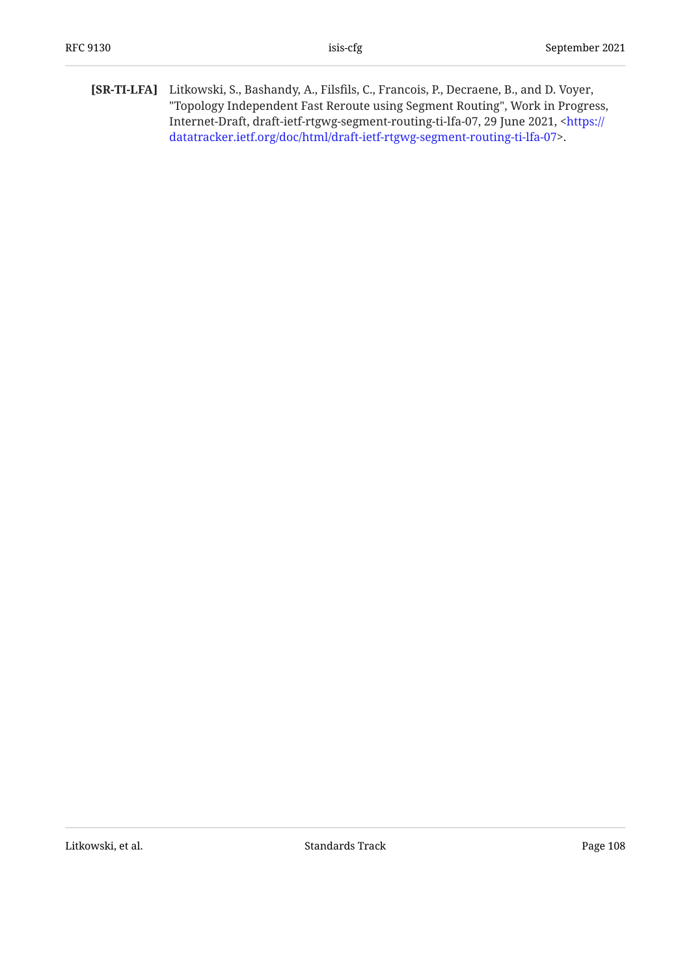[SR-TI-LFA] Litkowski, S., Bashandy, A., Filsfils, C., Francois, P., Decraene, B., and D. Voyer, "Topology Independent Fast Reroute using Segment Routing", Work in Progress, Internet-Draft, draft-ietf-rtgwg-segment-routing-ti-lfa-07, 29 June 2021, [<https://](https://datatracker.ietf.org/doc/html/draft-ietf-rtgwg-segment-routing-ti-lfa-07) . [datatracker.ietf.org/doc/html/draft-ietf-rtgwg-segment-routing-ti-lfa-07>](https://datatracker.ietf.org/doc/html/draft-ietf-rtgwg-segment-routing-ti-lfa-07)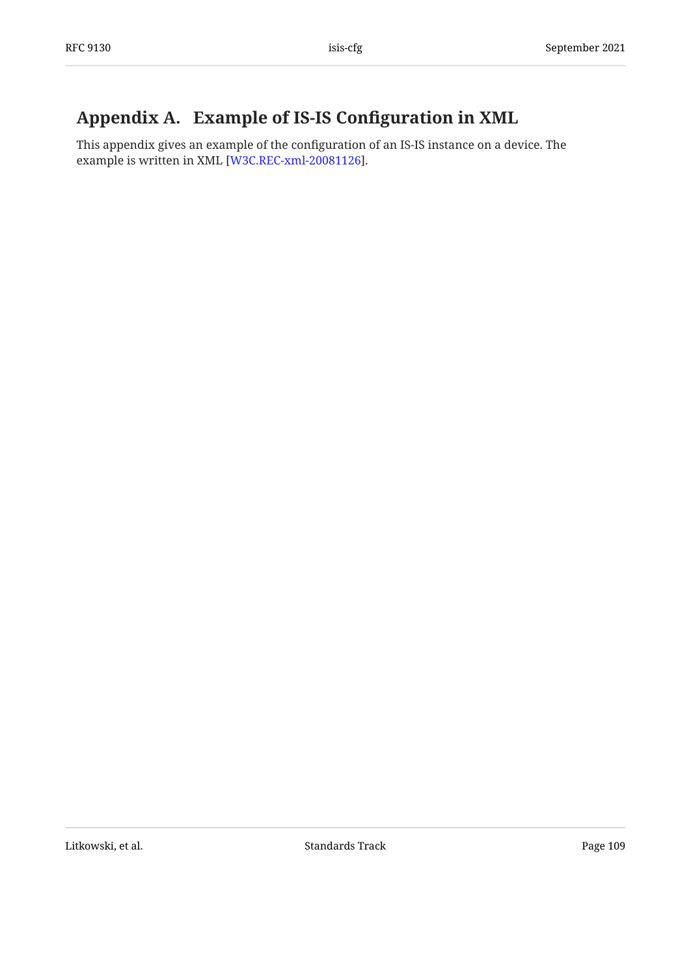## <span id="page-108-0"></span>[Appendix A. Example of IS-IS Con](#page-108-0)figuration in XML

This appendix gives an example of the configuration of an IS-IS instance on a device. The example is written in XML [\[W3C.REC-xml-20081126](#page-106-0)].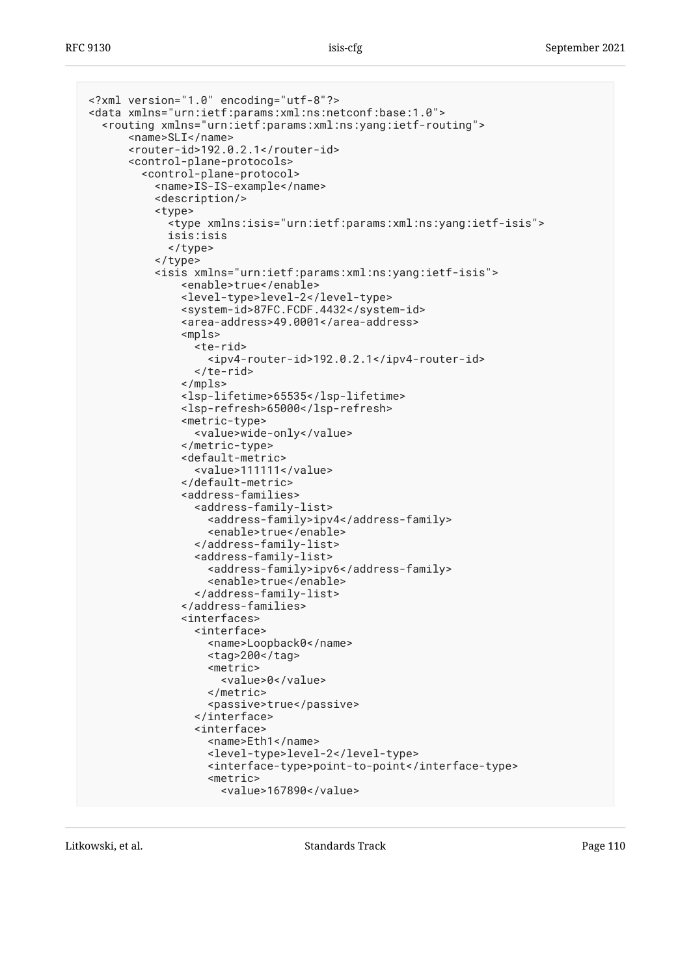```
<?xml version="1.0" encoding="utf-8"?>
<data xmlns="urn:ietf:params:xml:ns:netconf:base:1.0">
   <routing xmlns="urn:ietf:params:xml:ns:yang:ietf-routing">
       <name>SLI</name>
       <router-id>192.0.2.1</router-id>
       <control-plane-protocols>
         <control-plane-protocol>
           <name>IS-IS-example</name>
           <description/>
           <type>
              <type xmlns:isis="urn:ietf:params:xml:ns:yang:ietf-isis">
              isis:isis
              </type>
           </type>
            <isis xmlns="urn:ietf:params:xml:ns:yang:ietf-isis">
                <enable>true</enable>
                <level-type>level-2</level-type>
                <system-id>87FC.FCDF.4432</system-id>
                <area-address>49.0001</area-address>
                <mpls>
                  <te-rid>
                    <ipv4-router-id>192.0.2.1</ipv4-router-id>
                  </te-rid>
               </mpls>
                <lsp-lifetime>65535</lsp-lifetime>
                <lsp-refresh>65000</lsp-refresh>
                <metric-type>
                  <value>wide-only</value>
                </metric-type>
                <default-metric>
                  <value>111111</value>
                </default-metric>
                <address-families>
                  <address-family-list>
                    <address-family>ipv4</address-family>
                    <enable>true</enable>
                  </address-family-list>
                  <address-family-list>
                    <address-family>ipv6</address-family>
                    <enable>true</enable>
                  </address-family-list>
                </address-families>
                <interfaces>
                  <interface>
                    <name>Loopback0</name>
                    <tag>200</tag>
                    <metric>
                      <value>0</value>
                    </metric>
                    <passive>true</passive>
                  </interface>
                  <interface>
                    <name>Eth1</name>
                    <level-type>level-2</level-type>
                    <interface-type>point-to-point</interface-type>
                    <metric>
                      <value>167890</value>
```
Litkowski, et al. Standards Track Page 110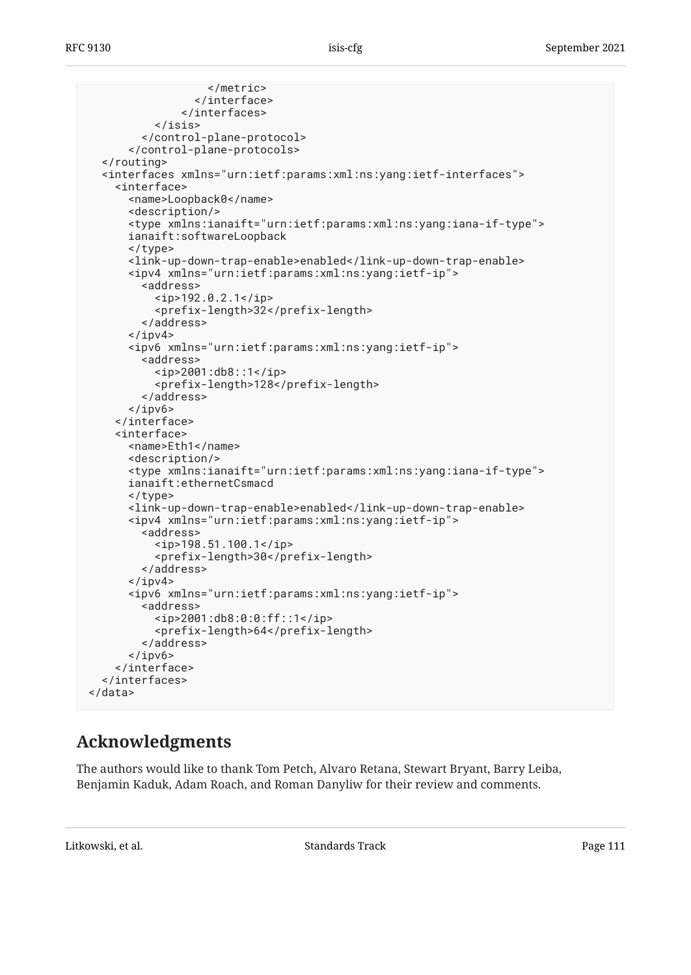```
 </metric>
                  </interface>
                </interfaces>
           </isis>
         </control-plane-protocol>
       </control-plane-protocols>
   </routing>
   <interfaces xmlns="urn:ietf:params:xml:ns:yang:ietf-interfaces">
     <interface>
       <name>Loopback0</name>
       <description/>
       <type xmlns:ianaift="urn:ietf:params:xml:ns:yang:iana-if-type">
       ianaift:softwareLoopback
       </type>
       <link-up-down-trap-enable>enabled</link-up-down-trap-enable>
       <ipv4 xmlns="urn:ietf:params:xml:ns:yang:ietf-ip">
         <address>
           <ip>192.0.2.1</ip>
            <prefix-length>32</prefix-length>
         </address>
      \langleipv4>
       <ipv6 xmlns="urn:ietf:params:xml:ns:yang:ietf-ip">
         <address>
           <ip>2001:db8::1</ip>
           <prefix-length>128</prefix-length>
         </address>
      \langleipv6>
     </interface>
     <interface>
       <name>Eth1</name>
       <description/>
       <type xmlns:ianaift="urn:ietf:params:xml:ns:yang:iana-if-type">
       ianaift:ethernetCsmacd
       </type>
       <link-up-down-trap-enable>enabled</link-up-down-trap-enable>
       <ipv4 xmlns="urn:ietf:params:xml:ns:yang:ietf-ip">
         <address>
           <ip>198.51.100.1</ip>
           <prefix-length>30</prefix-length>
         </address>
      \langleipv4>
       <ipv6 xmlns="urn:ietf:params:xml:ns:yang:ietf-ip">
         <address>
           <ip>2001:db8:0:0:ff::1</ip>
           <prefix-length>64</prefix-length>
         </address>
      \langleipv6>
     </interface>
   </interfaces>
</data>
```
## <span id="page-110-0"></span>**[Acknowledgments](#page-110-0)**

The authors would like to thank Tom Petch, Alvaro Retana, Stewart Bryant, Barry Leiba, Benjamin Kaduk, Adam Roach, and Roman Danyliw for their review and comments.

Litkowski, et al. Standards Track Page 111